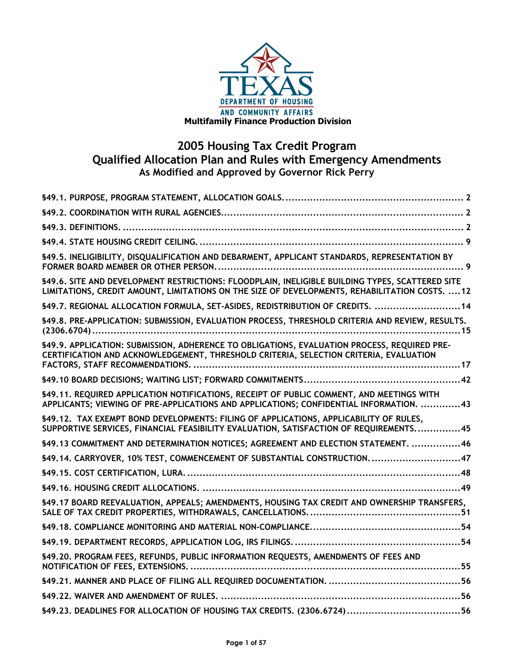

# **2005 Housing Tax Credit Program Qualified Allocation Plan and Rules with Emergency Amendments As Modified and Approved by Governor Rick Perry**

| §49.5. INELIGIBILITY, DISQUALIFICATION AND DEBARMENT, APPLICANT STANDARDS, REPRESENTATION BY                                                                                                      |
|---------------------------------------------------------------------------------------------------------------------------------------------------------------------------------------------------|
| §49.6. SITE AND DEVELOPMENT RESTRICTIONS: FLOODPLAIN, INELIGIBLE BUILDING TYPES, SCATTERED SITE<br>LIMITATIONS, CREDIT AMOUNT, LIMITATIONS ON THE SIZE OF DEVELOPMENTS, REHABILITATION COSTS.  12 |
| \$49.7. REGIONAL ALLOCATION FORMULA, SET-ASIDES, REDISTRIBUTION OF CREDITS.  14                                                                                                                   |
| §49.8. PRE-APPLICATION: SUBMISSION, EVALUATION PROCESS, THRESHOLD CRITERIA AND REVIEW, RESULTS.                                                                                                   |
| \$49.9. APPLICATION: SUBMISSION, ADHERENCE TO OBLIGATIONS, EVALUATION PROCESS, REQUIRED PRE-<br>CERTIFICATION AND ACKNOWLEDGEMENT, THRESHOLD CRITERIA, SELECTION CRITERIA, EVALUATION             |
|                                                                                                                                                                                                   |
| §49.11. REQUIRED APPLICATION NOTIFICATIONS, RECEIPT OF PUBLIC COMMENT, AND MEETINGS WITH<br>APPLICANTS; VIEWING OF PRE-APPLICATIONS AND APPLICATIONS; CONFIDENTIAL INFORMATION. 43                |
| §49.12. TAX EXEMPT BOND DEVELOPMENTS: FILING OF APPLICATIONS, APPLICABILITY OF RULES,<br>SUPPORTIVE SERVICES, FINANCIAL FEASIBILITY EVALUATION, SATISFACTION OF REQUIREMENTS45                    |
| \$49.13 COMMITMENT AND DETERMINATION NOTICES; AGREEMENT AND ELECTION STATEMENT. 46                                                                                                                |
| §49.14. CARRYOVER, 10% TEST, COMMENCEMENT OF SUBSTANTIAL CONSTRUCTION. 47                                                                                                                         |
|                                                                                                                                                                                                   |
|                                                                                                                                                                                                   |
| §49.17 BOARD REEVALUATION, APPEALS; AMENDMENTS, HOUSING TAX CREDIT AND OWNERSHIP TRANSFERS,                                                                                                       |
|                                                                                                                                                                                                   |
|                                                                                                                                                                                                   |
| §49.20. PROGRAM FEES, REFUNDS, PUBLIC INFORMATION REQUESTS, AMENDMENTS OF FEES AND                                                                                                                |
|                                                                                                                                                                                                   |
|                                                                                                                                                                                                   |
|                                                                                                                                                                                                   |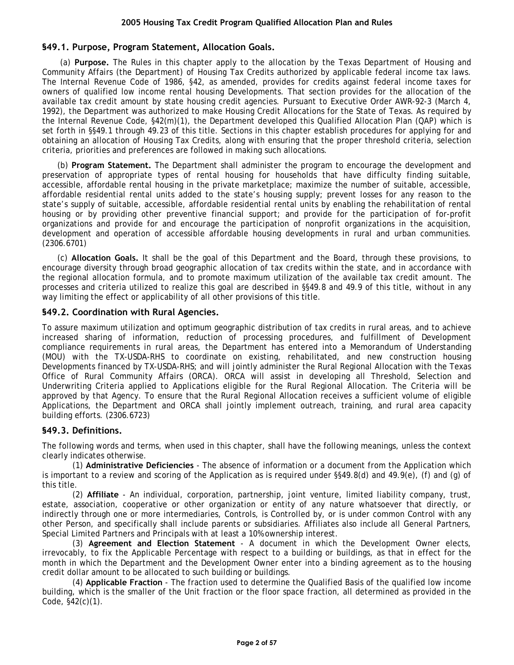# <span id="page-1-0"></span>**§49.1. Purpose, Program Statement, Allocation Goals.**

(a) **Purpose.** The Rules in this chapter apply to the allocation by the Texas Department of Housing and Community Affairs (the Department) of Housing Tax Credits authorized by applicable federal income tax laws. The Internal Revenue Code of 1986, §42, as amended, provides for credits against federal income taxes for owners of qualified low income rental housing Developments. That section provides for the allocation of the available tax credit amount by state housing credit agencies. Pursuant to Executive Order AWR-92-3 (March 4, 1992), the Department was authorized to make Housing Credit Allocations for the State of Texas. As required by the Internal Revenue Code, §42(m)(1), the Department developed this Qualified Allocation Plan (QAP) which is set forth in §§49.1 through 49.23 of this title. Sections in this chapter establish procedures for applying for and obtaining an allocation of Housing Tax Credits, along with ensuring that the proper threshold criteria, selection criteria, priorities and preferences are followed in making such allocations.

(b) **Program Statement.** The Department shall administer the program to encourage the development and preservation of appropriate types of rental housing for households that have difficulty finding suitable, accessible, affordable rental housing in the private marketplace; maximize the number of suitable, accessible, affordable residential rental units added to the state's housing supply; prevent losses for any reason to the state's supply of suitable, accessible, affordable residential rental units by enabling the rehabilitation of rental housing or by providing other preventive financial support; and provide for the participation of for-profit organizations and provide for and encourage the participation of nonprofit organizations in the acquisition, development and operation of accessible affordable housing developments in rural and urban communities. (2306.6701)

(c) **Allocation Goals.** It shall be the goal of this Department and the Board, through these provisions, to encourage diversity through broad geographic allocation of tax credits within the state, and in accordance with the regional allocation formula, and to promote maximum utilization of the available tax credit amount. The processes and criteria utilized to realize this goal are described in §§49.8 and 49.9 of this title, without in any way limiting the effect or applicability of all other provisions of this title.

#### **§49.2. Coordination with Rural Agencies.**

To assure maximum utilization and optimum geographic distribution of tax credits in rural areas, and to achieve increased sharing of information, reduction of processing procedures, and fulfillment of Development compliance requirements in rural areas, the Department has entered into a Memorandum of Understanding (MOU) with the TX-USDA-RHS to coordinate on existing, rehabilitated, and new construction housing Developments financed by TX-USDA-RHS; and will jointly administer the Rural Regional Allocation with the Texas Office of Rural Community Affairs (ORCA). ORCA will assist in developing all Threshold, Selection and Underwriting Criteria applied to Applications eligible for the Rural Regional Allocation. The Criteria will be approved by that Agency. To ensure that the Rural Regional Allocation receives a sufficient volume of eligible Applications, the Department and ORCA shall jointly implement outreach, training, and rural area capacity building efforts. (2306.6723)

## **§49.3. Definitions.**

The following words and terms, when used in this chapter, shall have the following meanings, unless the context clearly indicates otherwise.

(1) **Administrative Deficiencies** - The absence of information or a document from the Application which is important to a review and scoring of the Application as is required under §§49.8(d) and 49.9(e), (f) and (g) of this title.

(2) **Affiliate** - An individual, corporation, partnership, joint venture, limited liability company, trust, estate, association, cooperative or other organization or entity of any nature whatsoever that directly, or indirectly through one or more intermediaries, Controls, is Controlled by, or is under common Control with any other Person, and specifically shall include parents or subsidiaries. Affiliates also include all General Partners, Special Limited Partners and Principals with at least a 10% ownership interest.

(3) **Agreement and Election Statement** - A document in which the Development Owner elects, irrevocably, to fix the Applicable Percentage with respect to a building or buildings, as that in effect for the month in which the Department and the Development Owner enter into a binding agreement as to the housing credit dollar amount to be allocated to such building or buildings.

(4) **Applicable Fraction** - The fraction used to determine the Qualified Basis of the qualified low income building, which is the smaller of the Unit fraction or the floor space fraction, all determined as provided in the Code, §42(c)(1).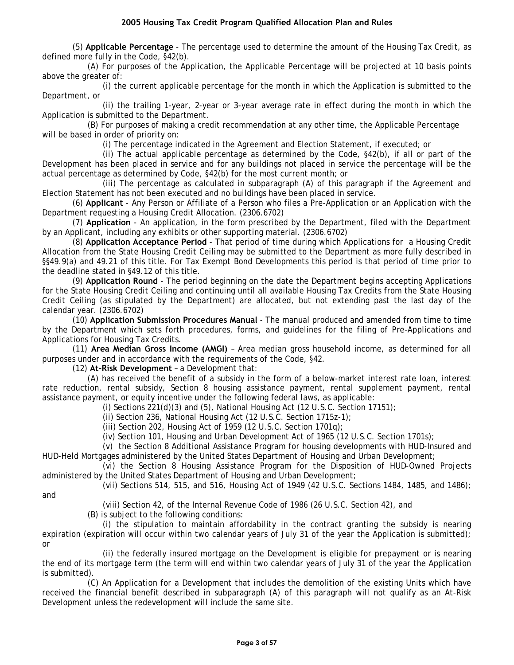(5) **Applicable Percentage** - The percentage used to determine the amount of the Housing Tax Credit, as defined more fully in the Code, §42(b).

(A) For purposes of the Application, the Applicable Percentage will be projected at 10 basis points above the greater of:

(i) the current applicable percentage for the month in which the Application is submitted to the Department, or

(ii) the trailing 1-year, 2-year or 3-year average rate in effect during the month in which the Application is submitted to the Department.

(B) For purposes of making a credit recommendation at any other time, the Applicable Percentage will be based in order of priority on:

(i) The percentage indicated in the Agreement and Election Statement, if executed; or

(ii) The actual applicable percentage as determined by the Code, §42(b), if all or part of the Development has been placed in service and for any buildings not placed in service the percentage will be the actual percentage as determined by Code, §42(b) for the most current month; or

(iii) The percentage as calculated in subparagraph (A) of this paragraph if the Agreement and Election Statement has not been executed and no buildings have been placed in service.

(6) **Applicant** - Any Person or Affiliate of a Person who files a Pre-Application or an Application with the Department requesting a Housing Credit Allocation. (2306.6702)

(7) **Application** - An application, in the form prescribed by the Department, filed with the Department by an Applicant, including any exhibits or other supporting material. (2306.6702)

(8) **Application Acceptance Period** - That period of time during which Applications for a Housing Credit Allocation from the State Housing Credit Ceiling may be submitted to the Department as more fully described in §§49.9(a) and 49.21 of this title. For Tax Exempt Bond Developments this period is that period of time prior to the deadline stated in §49.12 of this title.

(9) **Application Round** - The period beginning on the date the Department begins accepting Applications for the State Housing Credit Ceiling and continuing until all available Housing Tax Credits from the State Housing Credit Ceiling (as stipulated by the Department) are allocated, but not extending past the last day of the calendar year. (2306.6702)

(10) **Application Submission Procedures Manual** - The manual produced and amended from time to time by the Department which sets forth procedures, forms, and guidelines for the filing of Pre-Applications and Applications for Housing Tax Credits.

(11) **Area Median Gross Income (AMGI)** – Area median gross household income, as determined for all purposes under and in accordance with the requirements of the Code, §42.

(12) **At-Risk Development** – a Development that:

(A) has received the benefit of a subsidy in the form of a below-market interest rate loan, interest rate reduction, rental subsidy, Section 8 housing assistance payment, rental supplement payment, rental assistance payment, or equity incentive under the following federal laws, as applicable:

(i) Sections 221(d)(3) and (5), National Housing Act (12 U.S.C. Section 17151);

(ii) Section 236, National Housing Act (12 U.S.C. Section 1715z-1);

(iii) Section 202, Housing Act of 1959 (12 U.S.C. Section 1701q);

(iv) Section 101, Housing and Urban Development Act of 1965 (12 U.S.C. Section 1701s);

(v) the Section 8 Additional Assistance Program for housing developments with HUD-Insured and HUD-Held Mortgages administered by the United States Department of Housing and Urban Development;

(vi) the Section 8 Housing Assistance Program for the Disposition of HUD-Owned Projects administered by the United States Department of Housing and Urban Development;

(vii) Sections 514, 515, and 516, Housing Act of 1949 (42 U.S.C. Sections 1484, 1485, and 1486);

and

(viii) Section 42, of the Internal Revenue Code of 1986 (26 U.S.C. Section 42), and

(B) is subject to the following conditions:

(i) the stipulation to maintain affordability in the contract granting the subsidy is nearing expiration (expiration will occur within two calendar years of July 31 of the year the Application is submitted); or

(ii) the federally insured mortgage on the Development is eligible for prepayment or is nearing the end of its mortgage term (the term will end within two calendar years of July 31 of the year the Application is submitted).

(C) An Application for a Development that includes the demolition of the existing Units which have received the financial benefit described in subparagraph (A) of this paragraph will not qualify as an At-Risk Development unless the redevelopment will include the same site.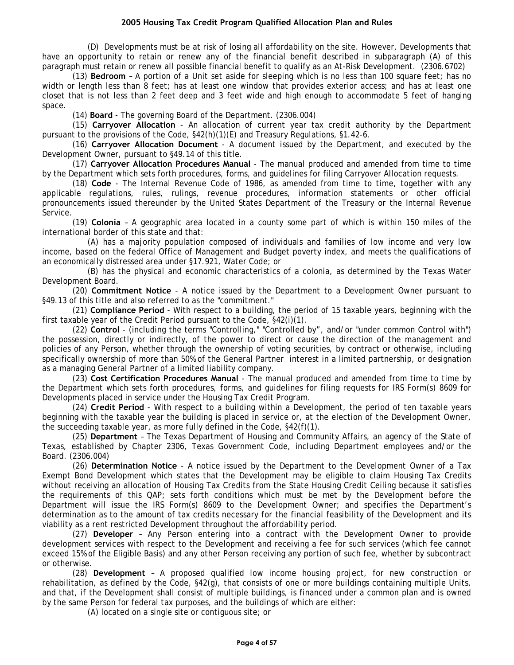(D) Developments must be at risk of losing all affordability on the site. However, Developments that have an opportunity to retain or renew any of the financial benefit described in subparagraph (A) of this paragraph must retain or renew all possible financial benefit to qualify as an At-Risk Development. (2306.6702)

(13) **Bedroom** – A portion of a Unit set aside for sleeping which is no less than 100 square feet; has no width or length less than 8 feet; has at least one window that provides exterior access; and has at least one closet that is not less than 2 feet deep and 3 feet wide and high enough to accommodate 5 feet of hanging space.

(14) **Board** - The governing Board of the Department. (2306.004)

(15) **Carryover Allocation** - An allocation of current year tax credit authority by the Department pursuant to the provisions of the Code, §42(h)(1)(E) and Treasury Regulations, §1.42-6.

(16) **Carryover Allocation Document** - A document issued by the Department, and executed by the Development Owner, pursuant to §49.14 of this title.

(17) **Carryover Allocation Procedures Manual** - The manual produced and amended from time to time by the Department which sets forth procedures, forms, and guidelines for filing Carryover Allocation requests.

(18) **Code** - The Internal Revenue Code of 1986, as amended from time to time, together with any applicable regulations, rules, rulings, revenue procedures, information statements or other official pronouncements issued thereunder by the United States Department of the Treasury or the Internal Revenue Service.

(19) **Colonia** – A geographic area located in a county some part of which is within 150 miles of the international border of this state and that:

(A) has a majority population composed of individuals and families of low income and very low income, based on the federal Office of Management and Budget poverty index, and meets the qualifications of an economically distressed area under §17.921, Water Code; or

(B) has the physical and economic characteristics of a colonia, as determined by the Texas Water Development Board.

(20) **Commitment Notice** - A notice issued by the Department to a Development Owner pursuant to §49.13 of this title and also referred to as the "commitment."

(21) **Compliance Period** - With respect to a building, the period of 15 taxable years, beginning with the first taxable year of the Credit Period pursuant to the Code, §42(i)(1).

(22) **Control** - (including the terms "Controlling," "Controlled by", and/or "under common Control with") the possession, directly or indirectly, of the power to direct or cause the direction of the management and policies of any Person, whether through the ownership of voting securities, by contract or otherwise, including specifically ownership of more than 50% of the General Partner interest in a limited partnership, or designation as a managing General Partner of a limited liability company.

(23) **Cost Certification Procedures Manual** - The manual produced and amended from time to time by the Department which sets forth procedures, forms, and guidelines for filing requests for IRS Form(s) 8609 for Developments placed in service under the Housing Tax Credit Program.

(24) **Credit Period** - With respect to a building within a Development, the period of ten taxable years beginning with the taxable year the building is placed in service or, at the election of the Development Owner, the succeeding taxable year, as more fully defined in the Code, §42(f)(1).

(25) **Department** – The Texas Department of Housing and Community Affairs, an agency of the State of Texas, established by Chapter 2306, Texas Government Code, including Department employees and/or the Board. (2306.004)

(26) **Determination Notice** - A notice issued by the Department to the Development Owner of a Tax Exempt Bond Development which states that the Development may be eligible to claim Housing Tax Credits without receiving an allocation of Housing Tax Credits from the State Housing Credit Ceiling because it satisfies the requirements of this QAP; sets forth conditions which must be met by the Development before the Department will issue the IRS Form(s) 8609 to the Development Owner; and specifies the Department's determination as to the amount of tax credits necessary for the financial feasibility of the Development and its viability as a rent restricted Development throughout the affordability period.

(27) **Developer** – Any Person entering into a contract with the Development Owner to provide development services with respect to the Development and receiving a fee for such services (which fee cannot exceed 15% of the Eligible Basis) and any other Person receiving any portion of such fee, whether by subcontract or otherwise.

(28) **Development** – A proposed qualified low income housing project, for new construction or rehabilitation, as defined by the Code, §42(g), that consists of one or more buildings containing multiple Units, and that, if the Development shall consist of multiple buildings, is financed under a common plan and is owned by the same Person for federal tax purposes, and the buildings of which are either:

(A) located on a single site or contiguous site; or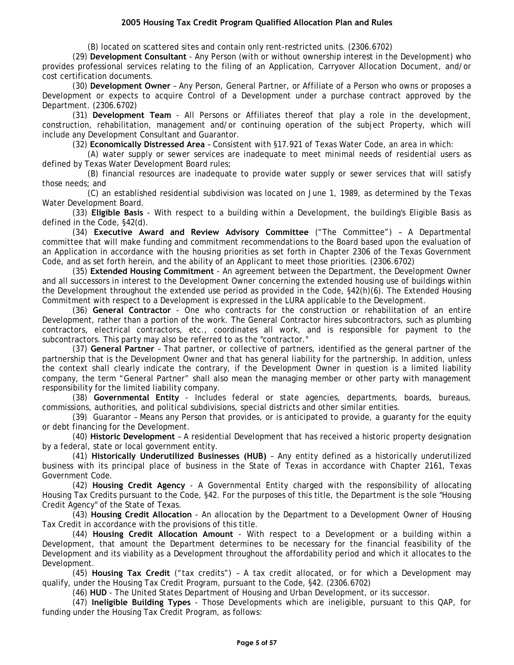(B) located on scattered sites and contain only rent-restricted units. (2306.6702)

(29) **Development Consultant** - Any Person (with or without ownership interest in the Development) who provides professional services relating to the filing of an Application, Carryover Allocation Document, and/or cost certification documents.

(30) **Development Owner** – Any Person, General Partner, or Affiliate of a Person who owns or proposes a Development or expects to acquire Control of a Development under a purchase contract approved by the Department. (2306.6702)

(31) **Development Team** - All Persons or Affiliates thereof that play a role in the development, construction, rehabilitation, management and/or continuing operation of the subject Property, which will include any Development Consultant and Guarantor.

(32) **Economically Distressed Area** – Consistent with §17.921 of Texas Water Code, an area in which:

(A) water supply or sewer services are inadequate to meet minimal needs of residential users as defined by Texas Water Development Board rules;

(B) financial resources are inadequate to provide water supply or sewer services that will satisfy those needs; and

(C) an established residential subdivision was located on June 1, 1989, as determined by the Texas Water Development Board.

(33) **Eligible Basis** - With respect to a building within a Development, the building's Eligible Basis as defined in the Code, §42(d).

(34) **Executive Award and Review Advisory Committee** ("The Committee") – A Departmental committee that will make funding and commitment recommendations to the Board based upon the evaluation of an Application in accordance with the housing priorities as set forth in Chapter 2306 of the Texas Government Code, and as set forth herein, and the ability of an Applicant to meet those priorities. (2306.6702)

(35) **Extended Housing Commitment** - An agreement between the Department, the Development Owner and all successors in interest to the Development Owner concerning the extended housing use of buildings within the Development throughout the extended use period as provided in the Code, §42(h)(6). The Extended Housing Commitment with respect to a Development is expressed in the LURA applicable to the Development.

(36) **General Contractor** - One who contracts for the construction or rehabilitation of an entire Development, rather than a portion of the work. The General Contractor hires subcontractors, such as plumbing contractors, electrical contractors, etc., coordinates all work, and is responsible for payment to the subcontractors. This party may also be referred to as the "contractor."

(37) **General Partner** – That partner, or collective of partners, identified as the general partner of the partnership that is the Development Owner and that has general liability for the partnership. In addition, unless the context shall clearly indicate the contrary, if the Development Owner in question is a limited liability company, the term "General Partner" shall also mean the managing member or other party with management responsibility for the limited liability company.

(38) **Governmental Entity** - Includes federal or state agencies, departments, boards, bureaus, commissions, authorities, and political subdivisions, special districts and other similar entities.

(39) Guarantor – Means any Person that provides, or is anticipated to provide, a guaranty for the equity or debt financing for the Development.

(40) **Historic Development** – A residential Development that has received a historic property designation by a federal, state or local government entity.

(41) **Historically Underutilized Businesses (HUB)** – Any entity defined as a historically underutilized business with its principal place of business in the State of Texas in accordance with Chapter 2161, Texas Government Code.

(42) **Housing Credit Agency** - A Governmental Entity charged with the responsibility of allocating Housing Tax Credits pursuant to the Code, §42. For the purposes of this title, the Department is the sole "Housing Credit Agency" of the State of Texas.

(43) **Housing Credit Allocation** - An allocation by the Department to a Development Owner of Housing Tax Credit in accordance with the provisions of this title.

(44) **Housing Credit Allocation Amount** - With respect to a Development or a building within a Development, that amount the Department determines to be necessary for the financial feasibility of the Development and its viability as a Development throughout the affordability period and which it allocates to the Development.

(45) **Housing Tax Credit** ("tax credits") – A tax credit allocated, or for which a Development may qualify, under the Housing Tax Credit Program, pursuant to the Code, §42. (2306.6702)

(46) **HUD** - The United States Department of Housing and Urban Development, or its successor.

(47) **Ineligible Building Types** - Those Developments which are ineligible, pursuant to this QAP, for funding under the Housing Tax Credit Program, as follows: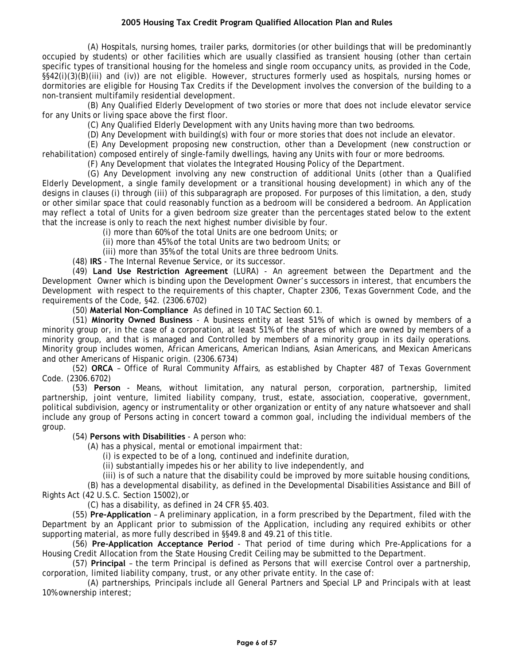(A) Hospitals, nursing homes, trailer parks, dormitories (or other buildings that will be predominantly occupied by students) or other facilities which are usually classified as transient housing (other than certain specific types of transitional housing for the homeless and single room occupancy units, as provided in the Code, §§42(i)(3)(B)(iii) and (iv)) are not eligible. However, structures formerly used as hospitals, nursing homes or dormitories are eligible for Housing Tax Credits if the Development involves the conversion of the building to a non-transient multifamily residential development.

(B) Any Qualified Elderly Development of two stories or more that does not include elevator service for any Units or living space above the first floor.

(C) Any Qualified Elderly Development with any Units having more than two bedrooms.

(D) Any Development with building(s) with four or more stories that does not include an elevator.

(E) Any Development proposing new construction, other than a Development (new construction or rehabilitation) composed entirely of single-family dwellings, having any Units with four or more bedrooms.

(F) Any Development that violates the Integrated Housing Policy of the Department.

(G) Any Development involving any new construction of additional Units (other than a Qualified Elderly Development, a single family development or a transitional housing development) in which any of the designs in clauses (i) through (iii) of this subparagraph are proposed. For purposes of this limitation, a den, study or other similar space that could reasonably function as a bedroom will be considered a bedroom. An Application may reflect a total of Units for a given bedroom size greater than the percentages stated below to the extent that the increase is only to reach the next highest number divisible by four.

(i) more than 60% of the total Units are one bedroom Units; or

(ii) more than 45% of the total Units are two bedroom Units; or

(iii) more than 35% of the total Units are three bedroom Units.

(48) **IRS** - The Internal Revenue Service, or its successor.

(49) **Land Use Restriction Agreement** (LURA) - An agreement between the Department and the Development Owner which is binding upon the Development Owner's successors in interest, that encumbers the Development with respect to the requirements of this chapter, Chapter 2306, Texas Government Code, and the requirements of the Code, §42. (2306.6702)

(50) **Material Non-Compliance** As defined in 10 TAC Section 60.1.

(51) **Minority Owned Business** - A business entity at least 51% of which is owned by members of a minority group or, in the case of a corporation, at least 51% of the shares of which are owned by members of a minority group, and that is managed and Controlled by members of a minority group in its daily operations. Minority group includes women, African Americans, American Indians, Asian Americans, and Mexican Americans and other Americans of Hispanic origin. (2306.6734)

(52) **ORCA** – Office of Rural Community Affairs, as established by Chapter 487 of Texas Government Code. (2306.6702)

(53) **Person** - Means, without limitation, any natural person, corporation, partnership, limited partnership, joint venture, limited liability company, trust, estate, association, cooperative, government, political subdivision, agency or instrumentality or other organization or entity of any nature whatsoever and shall include any group of Persons acting in concert toward a common goal, including the individual members of the group.

(54) **Persons with Disabilities** - A person who:

(A) has a physical, mental or emotional impairment that:

(i) is expected to be of a long, continued and indefinite duration,

(ii) substantially impedes his or her ability to live independently, and

(iii) is of such a nature that the disability could be improved by more suitable housing conditions,

(B) has a developmental disability, as defined in the Developmental Disabilities Assistance and Bill of Rights Act (42 U.S.C. Section 15002),or

(C) has a disability, as defined in 24 CFR §5.403.

(55) **Pre-Application** – A preliminary application, in a form prescribed by the Department, filed with the Department by an Applicant prior to submission of the Application, including any required exhibits or other supporting material, as more fully described in §§49.8 and 49.21 of this title.

(56) **Pre-Application Acceptance Period** - That period of time during which Pre-Applications for a Housing Credit Allocation from the State Housing Credit Ceiling may be submitted to the Department.

(57) **Principal** – the term Principal is defined as Persons that will exercise Control over a partnership, corporation, limited liability company, trust, or any other private entity. In the case of:

(A) partnerships, Principals include all General Partners and Special LP and Principals with at least 10% ownership interest;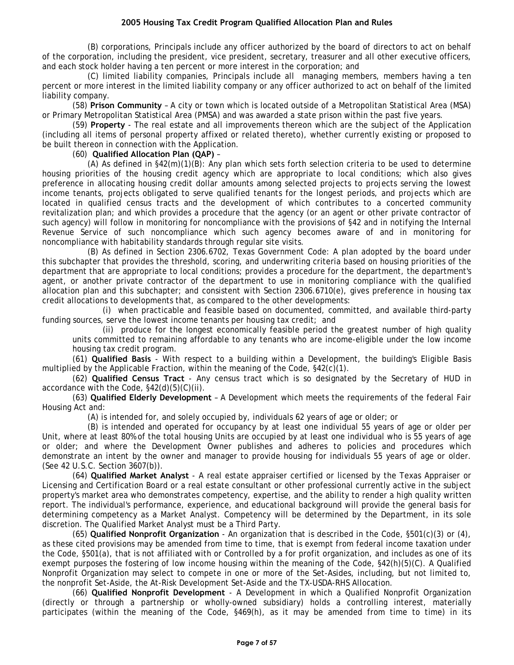(B) corporations, Principals include any officer authorized by the board of directors to act on behalf of the corporation, including the president, vice president, secretary, treasurer and all other executive officers, and each stock holder having a ten percent or more interest in the corporation; and

(C) limited liability companies, Principals include all managing members, members having a ten percent or more interest in the limited liability company or any officer authorized to act on behalf of the limited liability company.

(58) **Prison Community** – A city or town which is located outside of a Metropolitan Statistical Area (MSA) or Primary Metropolitan Statistical Area (PMSA) and was awarded a state prison within the past five years.

(59) **Property** - The real estate and all improvements thereon which are the subject of the Application (including all items of personal property affixed or related thereto), whether currently existing or proposed to be built thereon in connection with the Application.

#### (60) **Qualified Allocation Plan (QAP)** –

(A) As defined in §42(m)(1)(B): Any plan which sets forth selection criteria to be used to determine housing priorities of the housing credit agency which are appropriate to local conditions; which also gives preference in allocating housing credit dollar amounts among selected projects to projects serving the lowest income tenants, projects obligated to serve qualified tenants for the longest periods, and projects which are located in qualified census tracts and the development of which contributes to a concerted community revitalization plan; and which provides a procedure that the agency (or an agent or other private contractor of such agency) will follow in monitoring for noncompliance with the provisions of §42 and in notifying the Internal Revenue Service of such noncompliance which such agency becomes aware of and in monitoring for noncompliance with habitability standards through regular site visits.

(B) As defined in Section 2306.6702, Texas Government Code: A plan adopted by the board under this subchapter that provides the threshold, scoring, and underwriting criteria based on housing priorities of the department that are appropriate to local conditions; provides a procedure for the department, the department's agent, or another private contractor of the department to use in monitoring compliance with the qualified allocation plan and this subchapter; and consistent with Section 2306.6710(e), gives preference in housing tax credit allocations to developments that, as compared to the other developments:

(i) when practicable and feasible based on documented, committed, and available third-party funding sources, serve the lowest income tenants per housing tax credit; and

(ii) produce for the longest economically feasible period the greatest number of high quality units committed to remaining affordable to any tenants who are income-eligible under the low income housing tax credit program.

(61) **Qualified Basis** - With respect to a building within a Development, the building's Eligible Basis multiplied by the Applicable Fraction, within the meaning of the Code, §42(c)(1).

(62) **Qualified Census Tract** - Any census tract which is so designated by the Secretary of HUD in accordance with the Code, §42(d)(5)(C)(ii).

(63) **Qualified Elderly Development** – A Development which meets the requirements of the federal Fair Housing Act and:

(A) is intended for, and solely occupied by, individuals 62 years of age or older; or

(B) is intended and operated for occupancy by at least one individual 55 years of age or older per Unit, where at least 80% of the total housing Units are occupied by at least one individual who is 55 years of age or older; and where the Development Owner publishes and adheres to policies and procedures which demonstrate an intent by the owner and manager to provide housing for individuals 55 years of age or older. (See 42 U.S.C. Section 3607(b)).

(64) **Qualified Market Analyst** - A real estate appraiser certified or licensed by the Texas Appraiser or Licensing and Certification Board or a real estate consultant or other professional currently active in the subject property's market area who demonstrates competency, expertise, and the ability to render a high quality written report. The individual's performance, experience, and educational background will provide the general basis for determining competency as a Market Analyst. Competency will be determined by the Department, in its sole discretion. The Qualified Market Analyst must be a Third Party.

(65) **Qualified Nonprofit Organization** - An organization that is described in the Code, §501(c)(3) or (4), as these cited provisions may be amended from time to time, that is exempt from federal income taxation under the Code, §501(a), that is not affiliated with or Controlled by a for profit organization, and includes as one of its exempt purposes the fostering of low income housing within the meaning of the Code, §42(h)(5)(C). A Qualified Nonprofit Organization may select to compete in one or more of the Set-Asides, including, but not limited to, the nonprofit Set-Aside, the At-Risk Development Set-Aside and the TX-USDA-RHS Allocation.

(66) **Qualified Nonprofit Development** - A Development in which a Qualified Nonprofit Organization (directly or through a partnership or wholly-owned subsidiary) holds a controlling interest, materially participates (within the meaning of the Code, §469(h), as it may be amended from time to time) in its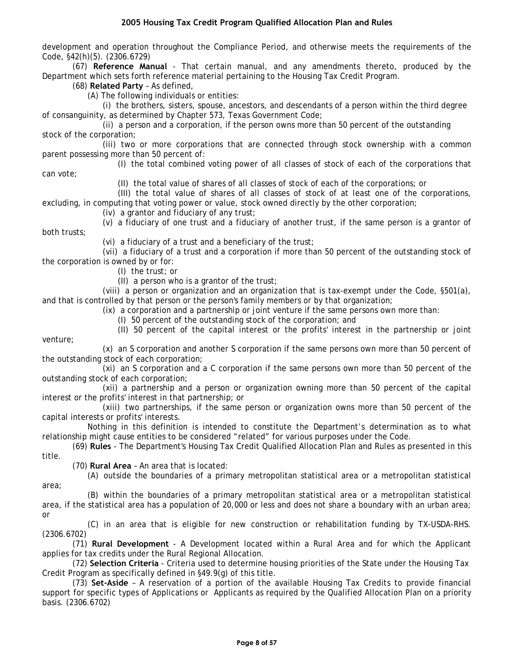development and operation throughout the Compliance Period, and otherwise meets the requirements of the Code, §42(h)(5). (2306.6729)

(67) **Reference Manual** - That certain manual, and any amendments thereto, produced by the Department which sets forth reference material pertaining to the Housing Tax Credit Program.

(68) **Related Party** – As defined,

can vote;

(A) The following individuals or entities:

(i) the brothers, sisters, spouse, ancestors, and descendants of a person within the third degree of consanguinity, as determined by Chapter 573, Texas Government Code;

(ii) a person and a corporation, if the person owns more than 50 percent of the outstanding stock of the corporation;

(iii) two or more corporations that are connected through stock ownership with a common parent possessing more than 50 percent of:

(I) the total combined voting power of all classes of stock of each of the corporations that

(II) the total value of shares of all classes of stock of each of the corporations; or

(III) the total value of shares of all classes of stock of at least one of the corporations, excluding, in computing that voting power or value, stock owned directly by the other corporation;

(iv) a grantor and fiduciary of any trust;

(v) a fiduciary of one trust and a fiduciary of another trust, if the same person is a grantor of both trusts;

(vi) a fiduciary of a trust and a beneficiary of the trust;

(vii) a fiduciary of a trust and a corporation if more than 50 percent of the outstanding stock of the corporation is owned by or for:

(I) the trust; or

(II) a person who is a grantor of the trust;

(viii) a person or organization and an organization that is tax-exempt under the Code, §501(a), and that is controlled by that person or the person's family members or by that organization;

(ix) a corporation and a partnership or joint venture if the same persons own more than:

(I) 50 percent of the outstanding stock of the corporation; and

(II) 50 percent of the capital interest or the profits' interest in the partnership or joint venture;

(x) an S corporation and another S corporation if the same persons own more than 50 percent of the outstanding stock of each corporation;

(xi) an S corporation and a C corporation if the same persons own more than 50 percent of the outstanding stock of each corporation;

(xii) a partnership and a person or organization owning more than 50 percent of the capital interest or the profits' interest in that partnership; or

(xiii) two partnerships, if the same person or organization owns more than 50 percent of the capital interests or profits' interests.

Nothing in this definition is intended to constitute the Department's determination as to what relationship might cause entities to be considered "related" for various purposes under the Code.

(69) **Rules** - The Department's Housing Tax Credit Qualified Allocation Plan and Rules as presented in this title.

(70) **Rural Area** – An area that is located:

(A) outside the boundaries of a primary metropolitan statistical area or a metropolitan statistical area;

(B) within the boundaries of a primary metropolitan statistical area or a metropolitan statistical area, if the statistical area has a population of 20,000 or less and does not share a boundary with an urban area; or

(C) in an area that is eligible for new construction or rehabilitation funding by TX-USDA-RHS. (2306.6702)

(71) **Rural Development** - A Development located within a Rural Area and for which the Applicant applies for tax credits under the Rural Regional Allocation.

(72) **Selection Criteria** - Criteria used to determine housing priorities of the State under the Housing Tax Credit Program as specifically defined in §49.9(g) of this title.

(73) **Set-Aside** – A reservation of a portion of the available Housing Tax Credits to provide financial support for specific types of Applications or Applicants as required by the Qualified Allocation Plan on a priority basis. (2306.6702)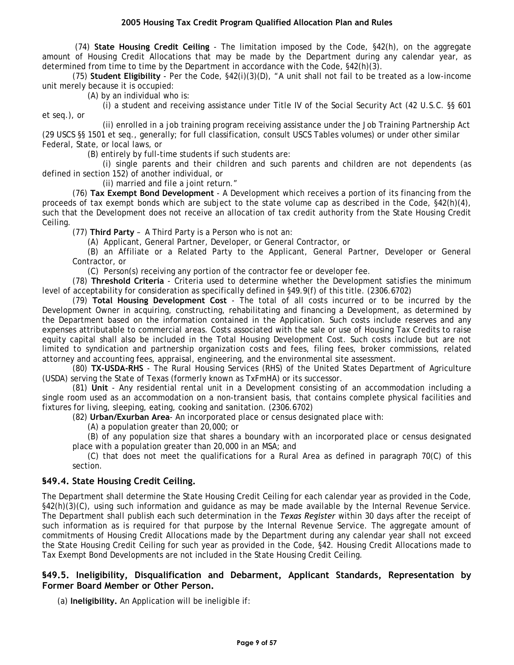<span id="page-8-0"></span> (74) **State Housing Credit Ceiling** - The limitation imposed by the Code, §42(h), on the aggregate amount of Housing Credit Allocations that may be made by the Department during any calendar year, as determined from time to time by the Department in accordance with the Code, §42(h)(3).

(75) **Student Eligibility** - Per the Code, §42(i)(3)(D), "A unit shall not fail to be treated as a low-income unit merely because it is occupied:

(A) by an individual who is:

(i) a student and receiving assistance under Title IV of the Social Security Act (42 U.S.C. §§ 601 et seq.), or

(ii) enrolled in a job training program receiving assistance under the Job Training Partnership Act (29 USCS §§ 1501 et seq., generally; for full classification, consult USCS Tables volumes) or under other similar Federal, State, or local laws, or

(B) entirely by full-time students if such students are:

(i) single parents and their children and such parents and children are not dependents (as defined in section 152) of another individual, or

(ii) married and file a joint return."

(76) **Tax Exempt Bond Development** - A Development which receives a portion of its financing from the proceeds of tax exempt bonds which are subject to the state volume cap as described in the Code, §42(h)(4), such that the Development does not receive an allocation of tax credit authority from the State Housing Credit Ceiling.

(77) **Third Party** – A Third Party is a Person who is not an:

(A) Applicant, General Partner, Developer, or General Contractor, or

(B) an Affiliate or a Related Party to the Applicant, General Partner, Developer or General Contractor, or

(C) Person(s) receiving any portion of the contractor fee or developer fee.

(78) **Threshold Criteria** - Criteria used to determine whether the Development satisfies the minimum level of acceptability for consideration as specifically defined in §49.9(f) of this title. (2306.6702)

(79) **Total Housing Development Cost** - The total of all costs incurred or to be incurred by the Development Owner in acquiring, constructing, rehabilitating and financing a Development, as determined by the Department based on the information contained in the Application. Such costs include reserves and any expenses attributable to commercial areas. Costs associated with the sale or use of Housing Tax Credits to raise equity capital shall also be included in the Total Housing Development Cost. Such costs include but are not limited to syndication and partnership organization costs and fees, filing fees, broker commissions, related attorney and accounting fees, appraisal, engineering, and the environmental site assessment.

(80) **TX-USDA-RHS** - The Rural Housing Services (RHS) of the United States Department of Agriculture (USDA) serving the State of Texas (formerly known as TxFmHA) or its successor.

(81) **Unit** - Any residential rental unit in a Development consisting of an accommodation including a single room used as an accommodation on a non-transient basis, that contains complete physical facilities and fixtures for living, sleeping, eating, cooking and sanitation. (2306.6702)

(82) **Urban/Exurban Area**- An incorporated place or census designated place with:

(A) a population greater than 20,000; or

(B) of any population size that shares a boundary with an incorporated place or census designated place with a population greater than 20,000 in an MSA; and

(C) that does not meet the qualifications for a Rural Area as defined in paragraph 70(C) of this section.

## **§49.4. State Housing Credit Ceiling.**

The Department shall determine the State Housing Credit Ceiling for each calendar year as provided in the Code, §42(h)(3)(C), using such information and guidance as may be made available by the Internal Revenue Service. The Department shall publish each such determination in the *Texas Register* within 30 days after the receipt of such information as is required for that purpose by the Internal Revenue Service. The aggregate amount of commitments of Housing Credit Allocations made by the Department during any calendar year shall not exceed the State Housing Credit Ceiling for such year as provided in the Code, §42. Housing Credit Allocations made to Tax Exempt Bond Developments are not included in the State Housing Credit Ceiling.

## **§49.5. Ineligibility, Disqualification and Debarment, Applicant Standards, Representation by Former Board Member or Other Person.**

(a) **Ineligibility.** An Application will be ineligible if: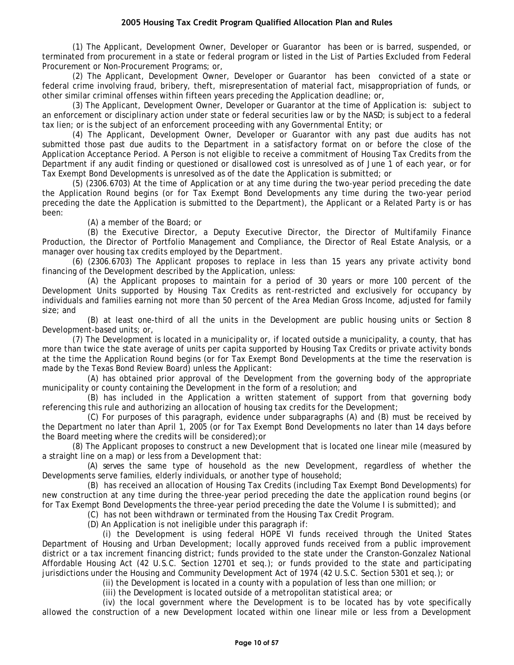(1) The Applicant, Development Owner, Developer or Guarantor has been or is barred, suspended, or terminated from procurement in a state or federal program or listed in the List of Parties Excluded from Federal Procurement or Non-Procurement Programs; or,

(2) The Applicant, Development Owner, Developer or Guarantor has been convicted of a state or federal crime involving fraud, bribery, theft, misrepresentation of material fact, misappropriation of funds, or other similar criminal offenses within fifteen years preceding the Application deadline; or,

(3) The Applicant, Development Owner, Developer or Guarantor at the time of Application is: subject to an enforcement or disciplinary action under state or federal securities law or by the NASD; is subject to a federal tax lien; or is the subject of an enforcement proceeding with any Governmental Entity; or

(4) The Applicant, Development Owner, Developer or Guarantor with any past due audits has not submitted those past due audits to the Department in a satisfactory format on or before the close of the Application Acceptance Period. A Person is not eligible to receive a commitment of Housing Tax Credits from the Department if any audit finding or questioned or disallowed cost is unresolved as of June 1 of each year, or for Tax Exempt Bond Developments is unresolved as of the date the Application is submitted; or

(5) (2306.6703) At the time of Application or at any time during the two-year period preceding the date the Application Round begins (or for Tax Exempt Bond Developments any time during the two-year period preceding the date the Application is submitted to the Department), the Applicant or a Related Party is or has been:

(A) a member of the Board; or

(B) the Executive Director, a Deputy Executive Director, the Director of Multifamily Finance Production, the Director of Portfolio Management and Compliance, the Director of Real Estate Analysis, or a manager over housing tax credits employed by the Department.

(6) (2306.6703) The Applicant proposes to replace in less than 15 years any private activity bond financing of the Development described by the Application, unless:

(A) the Applicant proposes to maintain for a period of 30 years or more 100 percent of the Development Units supported by Housing Tax Credits as rent-restricted and exclusively for occupancy by individuals and families earning not more than 50 percent of the Area Median Gross Income, adjusted for family size; and

(B) at least one-third of all the units in the Development are public housing units or Section 8 Development-based units; or,

(7) The Development is located in a municipality or, if located outside a municipality, a county, that has more than twice the state average of units per capita supported by Housing Tax Credits or private activity bonds at the time the Application Round begins (or for Tax Exempt Bond Developments at the time the reservation is made by the Texas Bond Review Board) unless the Applicant:

(A) has obtained prior approval of the Development from the governing body of the appropriate municipality or county containing the Development in the form of a resolution; and

(B) has included in the Application a written statement of support from that governing body referencing this rule and authorizing an allocation of housing tax credits for the Development;

(C) For purposes of this paragraph, evidence under subparagraphs (A) and (B) must be received by the Department no later than April 1, 2005 (or for Tax Exempt Bond Developments no later than 14 days before the Board meeting where the credits will be considered);or

(8) The Applicant proposes to construct a new Development that is located one linear mile (measured by a straight line on a map) or less from a Development that:

(A) serves the same type of household as the new Development, regardless of whether the Developments serve families, elderly individuals, or another type of household;

(B) has received an allocation of Housing Tax Credits (including Tax Exempt Bond Developments) for new construction at any time during the three-year period preceding the date the application round begins (or for Tax Exempt Bond Developments the three-year period preceding the date the Volume I is submitted); and

(C) has not been withdrawn or terminated from the Housing Tax Credit Program.

(D) An Application is not ineligible under this paragraph if:

(i) the Development is using federal HOPE VI funds received through the United States Department of Housing and Urban Development; locally approved funds received from a public improvement district or a tax increment financing district; funds provided to the state under the Cranston-Gonzalez National Affordable Housing Act (42 U.S.C. Section 12701 et seq.); or funds provided to the state and participating jurisdictions under the Housing and Community Development Act of 1974 (42 U.S.C. Section 5301 et seq.); or

(ii) the Development is located in a county with a population of less than one million; or

(iii) the Development is located outside of a metropolitan statistical area; or

(iv) the local government where the Development is to be located has by vote specifically allowed the construction of a new Development located within one linear mile or less from a Development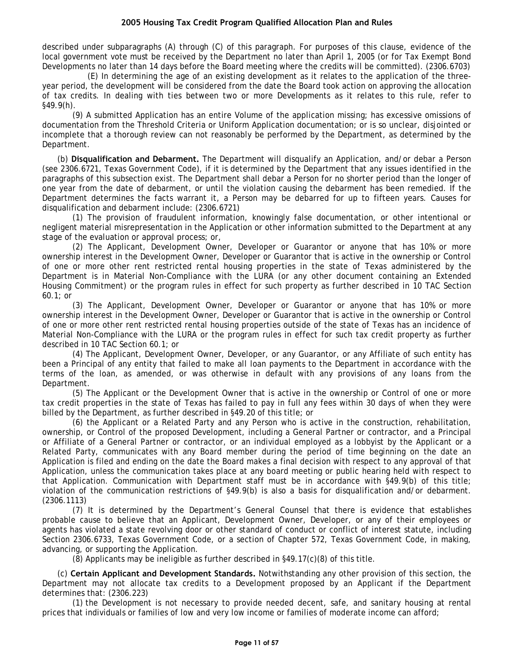described under subparagraphs (A) through (C) of this paragraph. For purposes of this clause, evidence of the local government vote must be received by the Department no later than April 1, 2005 (or for Tax Exempt Bond Developments no later than 14 days before the Board meeting where the credits will be committed). (2306.6703)

(E) In determining the age of an existing development as it relates to the application of the threeyear period, the development will be considered from the date the Board took action on approving the allocation of tax credits. In dealing with ties between two or more Developments as it relates to this rule, refer to §49.9(h).

(9) A submitted Application has an entire Volume of the application missing; has excessive omissions of documentation from the Threshold Criteria or Uniform Application documentation; or is so unclear, disjointed or incomplete that a thorough review can not reasonably be performed by the Department, as determined by the Department.

(b) **Disqualification and Debarment.** The Department will disqualify an Application, and/or debar a Person (see 2306.6721, Texas Government Code), if it is determined by the Department that any issues identified in the paragraphs of this subsection exist. The Department shall debar a Person for no shorter period than the longer of one year from the date of debarment, or until the violation causing the debarment has been remedied. If the Department determines the facts warrant it, a Person may be debarred for up to fifteen years. Causes for disqualification and debarment include: (2306.6721)

(1) The provision of fraudulent information, knowingly false documentation, or other intentional or negligent material misrepresentation in the Application or other information submitted to the Department at any stage of the evaluation or approval process; or,

(2) The Applicant, Development Owner, Developer or Guarantor or anyone that has 10% or more ownership interest in the Development Owner, Developer or Guarantor that is active in the ownership or Control of one or more other rent restricted rental housing properties in the state of Texas administered by the Department is in Material Non-Compliance with the LURA (or any other document containing an Extended Housing Commitment) or the program rules in effect for such property as further described in 10 TAC Section 60.1; or

(3) The Applicant, Development Owner, Developer or Guarantor or anyone that has 10% or more ownership interest in the Development Owner, Developer or Guarantor that is active in the ownership or Control of one or more other rent restricted rental housing properties outside of the state of Texas has an incidence of Material Non-Compliance with the LURA or the program rules in effect for such tax credit property as further described in 10 TAC Section 60.1; or

(4) The Applicant, Development Owner, Developer, or any Guarantor, or any Affiliate of such entity has been a Principal of any entity that failed to make all loan payments to the Department in accordance with the terms of the loan, as amended, or was otherwise in default with any provisions of any loans from the Department.

(5) The Applicant or the Development Owner that is active in the ownership or Control of one or more tax credit properties in the state of Texas has failed to pay in full any fees within 30 days of when they were billed by the Department, as further described in §49.20 of this title; or

(6) the Applicant or a Related Party and any Person who is active in the construction, rehabilitation, ownership, or Control of the proposed Development, including a General Partner or contractor, and a Principal or Affiliate of a General Partner or contractor, or an individual employed as a lobbyist by the Applicant or a Related Party, communicates with any Board member during the period of time beginning on the date an Application is filed and ending on the date the Board makes a final decision with respect to any approval of that Application, unless the communication takes place at any board meeting or public hearing held with respect to that Application. Communication with Department staff must be in accordance with §49.9(b) of this title; violation of the communication restrictions of §49.9(b) is also a basis for disqualification and/or debarment. (2306.1113)

(7) It is determined by the Department's General Counsel that there is evidence that establishes probable cause to believe that an Applicant, Development Owner, Developer, or any of their employees or agents has violated a state revolving door or other standard of conduct or conflict of interest statute, including Section 2306.6733, Texas Government Code, or a section of Chapter 572, Texas Government Code, in making, advancing, or supporting the Application.

(8) Applicants may be ineligible as further described in §49.17(c)(8) of this title.

(c) **Certain Applicant and Development Standards.** Notwithstanding any other provision of this section, the Department may not allocate tax credits to a Development proposed by an Applicant if the Department determines that: (2306.223)

(1) the Development is not necessary to provide needed decent, safe, and sanitary housing at rental prices that individuals or families of low and very low income or families of moderate income can afford;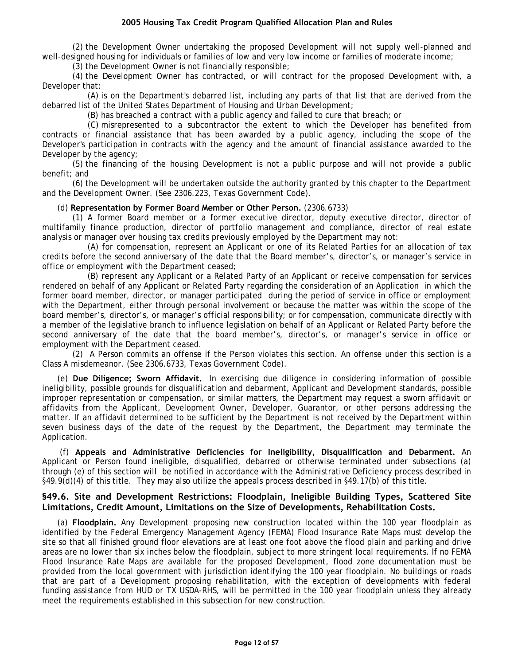<span id="page-11-0"></span>(2) the Development Owner undertaking the proposed Development will not supply well-planned and well-designed housing for individuals or families of low and very low income or families of moderate income;

(3) the Development Owner is not financially responsible;

(4) the Development Owner has contracted, or will contract for the proposed Development with, a Developer that:

(A) is on the Department's debarred list, including any parts of that list that are derived from the debarred list of the United States Department of Housing and Urban Development;

(B) has breached a contract with a public agency and failed to cure that breach; or

(C) misrepresented to a subcontractor the extent to which the Developer has benefited from contracts or financial assistance that has been awarded by a public agency, including the scope of the Developer's participation in contracts with the agency and the amount of financial assistance awarded to the Developer by the agency;

(5) the financing of the housing Development is not a public purpose and will not provide a public benefit; and

(6) the Development will be undertaken outside the authority granted by this chapter to the Department and the Development Owner. (See 2306.223, Texas Government Code).

#### (d) **Representation by Former Board Member or Other Person.** (2306.6733)

(1) A former Board member or a former executive director, deputy executive director, director of multifamily finance production, director of portfolio management and compliance, director of real estate analysis or manager over housing tax credits previously employed by the Department may not:

(A) for compensation, represent an Applicant or one of its Related Parties for an allocation of tax credits before the second anniversary of the date that the Board member's, director's, or manager's service in office or employment with the Department ceased;

(B) represent any Applicant or a Related Party of an Applicant or receive compensation for services rendered on behalf of any Applicant or Related Party regarding the consideration of an Application in which the former board member, director, or manager participated during the period of service in office or employment with the Department, either through personal involvement or because the matter was within the scope of the board member's, director's, or manager's official responsibility; or for compensation, communicate directly with a member of the legislative branch to influence legislation on behalf of an Applicant or Related Party before the second anniversary of the date that the board member's, director's, or manager's service in office or employment with the Department ceased.

(2) A Person commits an offense if the Person violates this section. An offense under this section is a Class A misdemeanor. (See 2306.6733, Texas Government Code).

(e) **Due Diligence; Sworn Affidavit.** In exercising due diligence in considering information of possible ineligibility, possible grounds for disqualification and debarment, Applicant and Development standards, possible improper representation or compensation, or similar matters, the Department may request a sworn affidavit or affidavits from the Applicant, Development Owner, Developer, Guarantor, or other persons addressing the matter. If an affidavit determined to be sufficient by the Department is not received by the Department within seven business days of the date of the request by the Department, the Department may terminate the Application.

 (f) **Appeals and Administrative Deficiencies for Ineligibility, Disqualification and Debarment.** An Applicant or Person found ineligible, disqualified, debarred or otherwise terminated under subsections (a) through (e) of this section will be notified in accordance with the Administrative Deficiency process described in §49.9(d)(4) of this title. They may also utilize the appeals process described in §49.17(b) of this title.

## **§49.6. Site and Development Restrictions: Floodplain, Ineligible Building Types, Scattered Site Limitations, Credit Amount, Limitations on the Size of Developments, Rehabilitation Costs.**

(a) **Floodplain.** Any Development proposing new construction located within the 100 year floodplain as identified by the Federal Emergency Management Agency (FEMA) Flood Insurance Rate Maps must develop the site so that all finished ground floor elevations are at least one foot above the flood plain and parking and drive areas are no lower than six inches below the floodplain, subject to more stringent local requirements. If no FEMA Flood Insurance Rate Maps are available for the proposed Development, flood zone documentation must be provided from the local government with jurisdiction identifying the 100 year floodplain. No buildings or roads that are part of a Development proposing rehabilitation, with the exception of developments with federal funding assistance from HUD or TX USDA-RHS, will be permitted in the 100 year floodplain unless they already meet the requirements established in this subsection for new construction.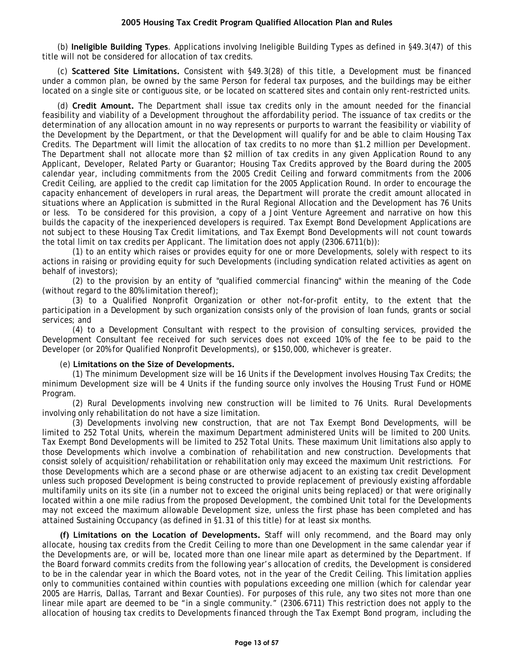(b) **Ineligible Building Types**. Applications involving Ineligible Building Types as defined in §49.3(47) of this title will not be considered for allocation of tax credits.

(c) **Scattered Site Limitations.** Consistent with §49.3(28) of this title, a Development must be financed under a common plan, be owned by the same Person for federal tax purposes, and the buildings may be either located on a single site or contiguous site, or be located on scattered sites and contain only rent-restricted units.

(d) **Credit Amount.** The Department shall issue tax credits only in the amount needed for the financial feasibility and viability of a Development throughout the affordability period. The issuance of tax credits or the determination of any allocation amount in no way represents or purports to warrant the feasibility or viability of the Development by the Department, or that the Development will qualify for and be able to claim Housing Tax Credits. The Department will limit the allocation of tax credits to no more than \$1.2 million per Development. The Department shall not allocate more than \$2 million of tax credits in any given Application Round to any Applicant, Developer, Related Party or Guarantor; Housing Tax Credits approved by the Board during the 2005 calendar year, including commitments from the 2005 Credit Ceiling and forward commitments from the 2006 Credit Ceiling, are applied to the credit cap limitation for the 2005 Application Round. In order to encourage the capacity enhancement of developers in rural areas, the Department will prorate the credit amount allocated in situations where an Application is submitted in the Rural Regional Allocation and the Development has 76 Units or less. To be considered for this provision, a copy of a Joint Venture Agreement and narrative on how this builds the capacity of the inexperienced developers is required. Tax Exempt Bond Development Applications are not subject to these Housing Tax Credit limitations, and Tax Exempt Bond Developments will not count towards the total limit on tax credits per Applicant. The limitation does not apply (2306.6711(b)):

(1) to an entity which raises or provides equity for one or more Developments, solely with respect to its actions in raising or providing equity for such Developments (including syndication related activities as agent on behalf of investors);

(2) to the provision by an entity of "qualified commercial financing" within the meaning of the Code (without regard to the 80% limitation thereof);

(3) to a Qualified Nonprofit Organization or other not-for-profit entity, to the extent that the participation in a Development by such organization consists only of the provision of loan funds, grants or social services; and

(4) to a Development Consultant with respect to the provision of consulting services, provided the Development Consultant fee received for such services does not exceed 10% of the fee to be paid to the Developer (or 20% for Qualified Nonprofit Developments), or \$150,000, whichever is greater.

#### (e) **Limitations on the Size of Developments.**

(1) The minimum Development size will be 16 Units if the Development involves Housing Tax Credits; the minimum Development size will be 4 Units if the funding source only involves the Housing Trust Fund or HOME Program.

(2) Rural Developments involving new construction will be limited to 76 Units. Rural Developments involving only rehabilitation do not have a size limitation.

(3) Developments involving new construction, that are not Tax Exempt Bond Developments, will be limited to 252 Total Units, wherein the maximum Department administered Units will be limited to 200 Units. Tax Exempt Bond Developments will be limited to 252 Total Units. These maximum Unit limitations also apply to those Developments which involve a combination of rehabilitation and new construction. Developments that consist solely of acquisition/rehabilitation or rehabilitation only may exceed the maximum Unit restrictions. For those Developments which are a second phase or are otherwise adjacent to an existing tax credit Development unless such proposed Development is being constructed to provide replacement of previously existing affordable multifamily units on its site (in a number not to exceed the original units being replaced) or that were originally located within a one mile radius from the proposed Development, the combined Unit total for the Developments may not exceed the maximum allowable Development size, unless the first phase has been completed and has attained Sustaining Occupancy (as defined in §1.31 of this title) for at least six months.

**(f) Limitations on the Location of Developments.** Staff will only recommend, and the Board may only allocate, housing tax credits from the Credit Ceiling to more than one Development in the same calendar year if the Developments are, or will be, located more than one linear mile apart as determined by the Department. If the Board forward commits credits from the following year's allocation of credits, the Development is considered to be in the calendar year in which the Board votes, not in the year of the Credit Ceiling. This limitation applies only to communities contained within counties with populations exceeding one million (which for calendar year 2005 are Harris, Dallas, Tarrant and Bexar Counties). For purposes of this rule, any two sites not more than one linear mile apart are deemed to be "in a single community." (2306.6711) This restriction does not apply to the allocation of housing tax credits to Developments financed through the Tax Exempt Bond program, including the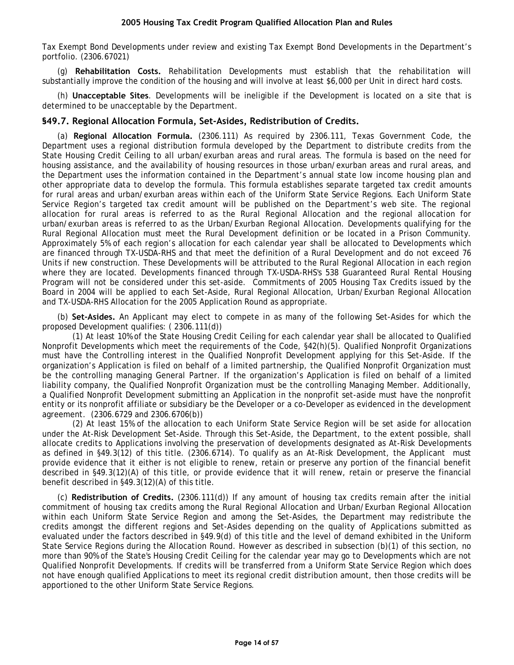<span id="page-13-0"></span>Tax Exempt Bond Developments under review and existing Tax Exempt Bond Developments in the Department's portfolio. (2306.67021)

(g) **Rehabilitation Costs.** Rehabilitation Developments must establish that the rehabilitation will substantially improve the condition of the housing and will involve at least \$6,000 per Unit in direct hard costs.

(h) **Unacceptable Sites**. Developments will be ineligible if the Development is located on a site that is determined to be unacceptable by the Department.

#### **§49.7. Regional Allocation Formula, Set-Asides, Redistribution of Credits.**

(a) **Regional Allocation Formula.** (2306.111) As required by 2306.111, Texas Government Code, the Department uses a regional distribution formula developed by the Department to distribute credits from the State Housing Credit Ceiling to all urban/exurban areas and rural areas. The formula is based on the need for housing assistance, and the availability of housing resources in those urban/exurban areas and rural areas, and the Department uses the information contained in the Department's annual state low income housing plan and other appropriate data to develop the formula. This formula establishes separate targeted tax credit amounts for rural areas and urban/exurban areas within each of the Uniform State Service Regions. Each Uniform State Service Region's targeted tax credit amount will be published on the Department's web site. The regional allocation for rural areas is referred to as the Rural Regional Allocation and the regional allocation for urban/exurban areas is referred to as the Urban/Exurban Regional Allocation. Developments qualifying for the Rural Regional Allocation must meet the Rural Development definition or be located in a Prison Community. Approximately 5% of each region's allocation for each calendar year shall be allocated to Developments which are financed through TX-USDA-RHS and that meet the definition of a Rural Development and do not exceed 76 Units if new construction. These Developments will be attributed to the Rural Regional Allocation in each region where they are located. Developments financed through TX-USDA-RHS's 538 Guaranteed Rural Rental Housing Program will not be considered under this set-aside. Commitments of 2005 Housing Tax Credits issued by the Board in 2004 will be applied to each Set-Aside, Rural Regional Allocation, Urban/Exurban Regional Allocation and TX-USDA-RHS Allocation for the 2005 Application Round as appropriate.

(b) **Set-Asides.** An Applicant may elect to compete in as many of the following Set-Asides for which the proposed Development qualifies: ( 2306.111(d))

(1) At least 10% of the State Housing Credit Ceiling for each calendar year shall be allocated to Qualified Nonprofit Developments which meet the requirements of the Code, §42(h)(5). Qualified Nonprofit Organizations must have the Controlling interest in the Qualified Nonprofit Development applying for this Set-Aside. If the organization's Application is filed on behalf of a limited partnership, the Qualified Nonprofit Organization must be the controlling managing General Partner. If the organization's Application is filed on behalf of a limited liability company, the Qualified Nonprofit Organization must be the controlling Managing Member. Additionally, a Qualified Nonprofit Development submitting an Application in the nonprofit set-aside must have the nonprofit entity or its nonprofit affiliate or subsidiary be the Developer or a co-Developer as evidenced in the development agreement. (2306.6729 and 2306.6706(b))

(2) At least 15% of the allocation to each Uniform State Service Region will be set aside for allocation under the At-Risk Development Set-Aside. Through this Set-Aside, the Department, to the extent possible, shall allocate credits to Applications involving the preservation of developments designated as At-Risk Developments as defined in §49.3(12) of this title. (2306.6714). To qualify as an At-Risk Development, the Applicant must provide evidence that it either is not eligible to renew, retain or preserve any portion of the financial benefit described in §49.3(12)(A) of this title, or provide evidence that it will renew, retain or preserve the financial benefit described in §49.3(12)(A) of this title.

(c) **Redistribution of Credits.** (2306.111(d)) If any amount of housing tax credits remain after the initial commitment of housing tax credits among the Rural Regional Allocation and Urban/Exurban Regional Allocation within each Uniform State Service Region and among the Set-Asides, the Department may redistribute the credits amongst the different regions and Set-Asides depending on the quality of Applications submitted as evaluated under the factors described in §49.9(d) of this title and the level of demand exhibited in the Uniform State Service Regions during the Allocation Round. However as described in subsection (b)(1) of this section, no more than 90% of the State's Housing Credit Ceiling for the calendar year may go to Developments which are not Qualified Nonprofit Developments. If credits will be transferred from a Uniform State Service Region which does not have enough qualified Applications to meet its regional credit distribution amount, then those credits will be apportioned to the other Uniform State Service Regions.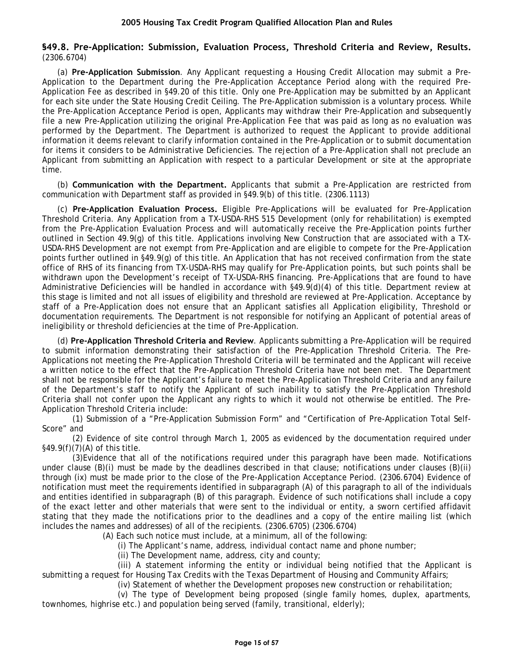#### <span id="page-14-0"></span>**§49.8. Pre-Application: Submission, Evaluation Process, Threshold Criteria and Review, Results.** (2306.6704)

(a) **Pre-Application Submission**. Any Applicant requesting a Housing Credit Allocation may submit a Pre-Application to the Department during the Pre-Application Acceptance Period along with the required Pre-Application Fee as described in §49.20 of this title. Only one Pre-Application may be submitted by an Applicant for each site under the State Housing Credit Ceiling. The Pre-Application submission is a voluntary process. While the Pre-Application Acceptance Period is open, Applicants may withdraw their Pre-Application and subsequently file a new Pre-Application utilizing the original Pre-Application Fee that was paid as long as no evaluation was performed by the Department. The Department is authorized to request the Applicant to provide additional information it deems relevant to clarify information contained in the Pre-Application or to submit documentation for items it considers to be Administrative Deficiencies. The rejection of a Pre-Application shall not preclude an Applicant from submitting an Application with respect to a particular Development or site at the appropriate time.

(b) **Communication with the Department.** Applicants that submit a Pre-Application are restricted from communication with Department staff as provided in §49.9(b) of this title. (2306.1113)

(c) **Pre-Application Evaluation Process.** Eligible Pre-Applications will be evaluated for Pre-Application Threshold Criteria. Any Application from a TX-USDA-RHS 515 Development (only for rehabilitation) is exempted from the Pre-Application Evaluation Process and will automatically receive the Pre-Application points further outlined in Section 49.9(g) of this title. Applications involving New Construction that are associated with a TX-USDA-RHS Development are not exempt from Pre-Application and are eligible to compete for the Pre-Application points further outlined in §49.9(g) of this title. An Application that has not received confirmation from the state office of RHS of its financing from TX-USDA-RHS may qualify for Pre-Application points, but such points shall be withdrawn upon the Development's receipt of TX-USDA-RHS financing. Pre-Applications that are found to have Administrative Deficiencies will be handled in accordance with §49.9(d)(4) of this title. Department review at this stage is limited and not all issues of eligibility and threshold are reviewed at Pre-Application. Acceptance by staff of a Pre-Application does not ensure that an Applicant satisfies all Application eligibility, Threshold or documentation requirements. The Department is not responsible for notifying an Applicant of potential areas of ineligibility or threshold deficiencies at the time of Pre-Application.

(d) **Pre-Application Threshold Criteria and Review**. Applicants submitting a Pre-Application will be required to submit information demonstrating their satisfaction of the Pre-Application Threshold Criteria. The Pre-Applications not meeting the Pre-Application Threshold Criteria will be terminated and the Applicant will receive a written notice to the effect that the Pre-Application Threshold Criteria have not been met. The Department shall not be responsible for the Applicant's failure to meet the Pre-Application Threshold Criteria and any failure of the Department's staff to notify the Applicant of such inability to satisfy the Pre-Application Threshold Criteria shall not confer upon the Applicant any rights to which it would not otherwise be entitled. The Pre-Application Threshold Criteria include:

(1) Submission of a "Pre-Application Submission Form" and "Certification of Pre-Application Total Self-Score" and

(2) Evidence of site control through March 1, 2005 as evidenced by the documentation required under §49.9(f)(7)(A) of this title.

(3)Evidence that all of the notifications required under this paragraph have been made. Notifications under clause (B)(i) must be made by the deadlines described in that clause; notifications under clauses (B)(ii) through (ix) must be made prior to the close of the Pre-Application Acceptance Period. (2306.6704) Evidence of notification must meet the requirements identified in subparagraph (A) of this paragraph to all of the individuals and entities identified in subparagraph (B) of this paragraph. Evidence of such notifications shall include a copy of the exact letter and other materials that were sent to the individual or entity, a sworn certified affidavit stating that they made the notifications prior to the deadlines and a copy of the entire mailing list (which includes the names and addresses) of all of the recipients. (2306.6705) (2306.6704)

(A) Each such notice must include, at a minimum, all of the following:

(i) The Applicant's name, address, individual contact name and phone number;

(ii) The Development name, address, city and county;

(iii) A statement informing the entity or individual being notified that the Applicant is submitting a request for Housing Tax Credits with the Texas Department of Housing and Community Affairs;

(iv) Statement of whether the Development proposes new construction or rehabilitation;

(v) The type of Development being proposed (single family homes, duplex, apartments, townhomes, highrise etc.) and population being served (family, transitional, elderly);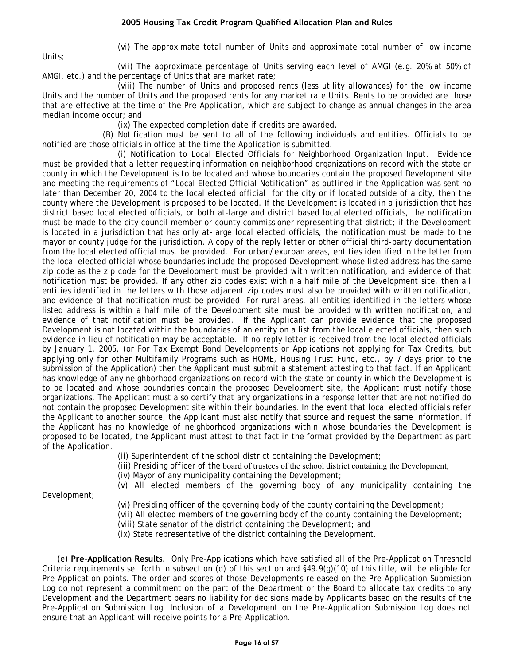Units;

(vi) The approximate total number of Units and approximate total number of low income

(vii) The approximate percentage of Units serving each level of AMGI (e.g. 20% at 50% of AMGI, etc.) and the percentage of Units that are market rate;

(viii) The number of Units and proposed rents (less utility allowances) for the low income Units and the number of Units and the proposed rents for any market rate Units. Rents to be provided are those that are effective at the time of the Pre-Application, which are subject to change as annual changes in the area median income occur; and

(ix) The expected completion date if credits are awarded.

(B) Notification must be sent to all of the following individuals and entities. Officials to be notified are those officials in office at the time the Application is submitted.

(i) Notification to Local Elected Officials for Neighborhood Organization Input. Evidence must be provided that a letter requesting information on neighborhood organizations on record with the state or county in which the Development is to be located and whose boundaries contain the proposed Development site and meeting the requirements of "Local Elected Official Notification" as outlined in the Application was sent no later than December 20, 2004 to the local elected official for the city or if located outside of a city, then the county where the Development is proposed to be located. If the Development is located in a jurisdiction that has district based local elected officials, or both at-large and district based local elected officials, the notification must be made to the city council member or county commissioner representing that district; if the Development is located in a jurisdiction that has only at-large local elected officials, the notification must be made to the mayor or county judge for the jurisdiction. A copy of the reply letter or other official third-party documentation from the local elected official must be provided. For urban/exurban areas, entities identified in the letter from the local elected official whose boundaries include the proposed Development whose listed address has the same zip code as the zip code for the Development must be provided with written notification, and evidence of that notification must be provided. If any other zip codes exist within a half mile of the Development site, then all entities identified in the letters with those adjacent zip codes must also be provided with written notification, and evidence of that notification must be provided. For rural areas, all entities identified in the letters whose listed address is within a half mile of the Development site must be provided with written notification, and evidence of that notification must be provided. If the Applicant can provide evidence that the proposed Development is not located within the boundaries of an entity on a list from the local elected officials, then such evidence in lieu of notification may be acceptable. If no reply letter is received from the local elected officials by January 1, 2005, (or For Tax Exempt Bond Developments or Applications not applying for Tax Credits, but applying only for other Multifamily Programs such as HOME, Housing Trust Fund, etc., by 7 days prior to the submission of the Application) then the Applicant must submit a statement attesting to that fact. If an Applicant has knowledge of any neighborhood organizations on record with the state or county in which the Development is to be located and whose boundaries contain the proposed Development site, the Applicant must notify those organizations. The Applicant must also certify that any organizations in a response letter that are not notified do not contain the proposed Development site within their boundaries. In the event that local elected officials refer the Applicant to another source, the Applicant must also notify that source and request the same information. If the Applicant has no knowledge of neighborhood organizations within whose boundaries the Development is proposed to be located, the Applicant must attest to that fact in the format provided by the Department as part of the Application.

(ii) Superintendent of the school district containing the Development;

(iii) Presiding officer of the board of trustees of the school district containing the Development;

(iv) Mayor of any municipality containing the Development;

(v) All elected members of the governing body of any municipality containing the

Development;

(vi) Presiding officer of the governing body of the county containing the Development;

(vii) All elected members of the governing body of the county containing the Development;

(viii) State senator of the district containing the Development; and

(ix) State representative of the district containing the Development.

(e) **Pre-Application Results**. Only Pre-Applications which have satisfied all of the Pre-Application Threshold Criteria requirements set forth in subsection (d) of this section and §49.9(g)(10) of this title, will be eligible for Pre-Application points. The order and scores of those Developments released on the Pre-Application Submission Log do not represent a commitment on the part of the Department or the Board to allocate tax credits to any Development and the Department bears no liability for decisions made by Applicants based on the results of the Pre-Application Submission Log. Inclusion of a Development on the Pre-Application Submission Log does not ensure that an Applicant will receive points for a Pre-Application.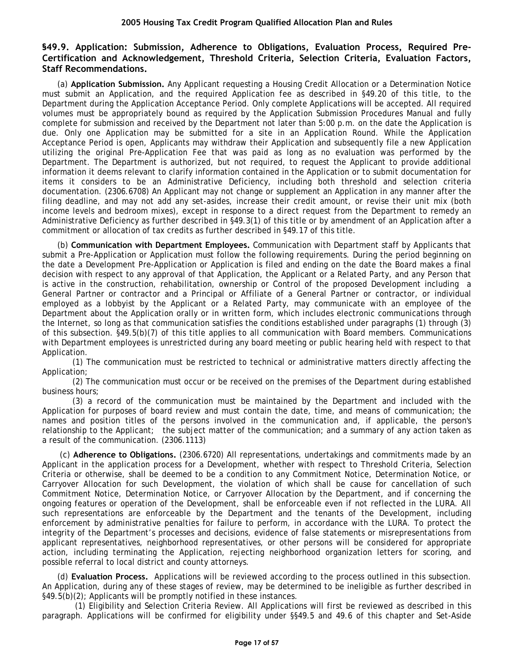# <span id="page-16-0"></span>**§49.9. Application: Submission, Adherence to Obligations, Evaluation Process, Required Pre-Certification and Acknowledgement, Threshold Criteria, Selection Criteria, Evaluation Factors, Staff Recommendations.**

(a) **Application Submission.** Any Applicant requesting a Housing Credit Allocation or a Determination Notice must submit an Application, and the required Application fee as described in §49.20 of this title, to the Department during the Application Acceptance Period. Only complete Applications will be accepted. All required volumes must be appropriately bound as required by the Application Submission Procedures Manual and fully complete for submission and received by the Department not later than 5:00 p.m. on the date the Application is due. Only one Application may be submitted for a site in an Application Round. While the Application Acceptance Period is open, Applicants may withdraw their Application and subsequently file a new Application utilizing the original Pre-Application Fee that was paid as long as no evaluation was performed by the Department. The Department is authorized, but not required, to request the Applicant to provide additional information it deems relevant to clarify information contained in the Application or to submit documentation for items it considers to be an Administrative Deficiency, including both threshold and selection criteria documentation. (2306.6708) An Applicant may not change or supplement an Application in any manner after the filing deadline, and may not add any set-asides, increase their credit amount, or revise their unit mix (both income levels and bedroom mixes), except in response to a direct request from the Department to remedy an Administrative Deficiency as further described in §49.3(1) of this title or by amendment of an Application after a commitment or allocation of tax credits as further described in §49.17 of this title.

(b) **Communication with Department Employees.** Communication with Department staff by Applicants that submit a Pre-Application or Application must follow the following requirements. During the period beginning on the date a Development Pre-Application or Application is filed and ending on the date the Board makes a final decision with respect to any approval of that Application, the Applicant or a Related Party, and any Person that is active in the construction, rehabilitation, ownership or Control of the proposed Development including a General Partner or contractor and a Principal or Affiliate of a General Partner or contractor, or individual employed as a lobbyist by the Applicant or a Related Party, may communicate with an employee of the Department about the Application orally or in written form, which includes electronic communications through the Internet, so long as that communication satisfies the conditions established under paragraphs (1) through (3) of this subsection. §49.5(b)(7) of this title applies to all communication with Board members. Communications with Department employees is unrestricted during any board meeting or public hearing held with respect to that Application.

(1) The communication must be restricted to technical or administrative matters directly affecting the Application;

(2) The communication must occur or be received on the premises of the Department during established business hours;

(3) a record of the communication must be maintained by the Department and included with the Application for purposes of board review and must contain the date, time, and means of communication; the names and position titles of the persons involved in the communication and, if applicable, the person's relationship to the Applicant; the subject matter of the communication; and a summary of any action taken as a result of the communication. (2306.1113)

 (c) **Adherence to Obligations.** (2306.6720) All representations, undertakings and commitments made by an Applicant in the application process for a Development, whether with respect to Threshold Criteria, Selection Criteria or otherwise, shall be deemed to be a condition to any Commitment Notice, Determination Notice, or Carryover Allocation for such Development, the violation of which shall be cause for cancellation of such Commitment Notice, Determination Notice, or Carryover Allocation by the Department, and if concerning the ongoing features or operation of the Development, shall be enforceable even if not reflected in the LURA. All such representations are enforceable by the Department and the tenants of the Development, including enforcement by administrative penalties for failure to perform, in accordance with the LURA. To protect the integrity of the Department's processes and decisions, evidence of false statements or misrepresentations from applicant representatives, neighborhood representatives, or other persons will be considered for appropriate action, including terminating the Application, rejecting neighborhood organization letters for scoring, and possible referral to local district and county attorneys.

(d) **Evaluation Process.** Applications will be reviewed according to the process outlined in this subsection. An Application, during any of these stages of review, may be determined to be ineligible as further described in §49.5(b)(2); Applicants will be promptly notified in these instances.

(1) Eligibility and Selection Criteria Review. All Applications will first be reviewed as described in this paragraph. Applications will be confirmed for eligibility under §§49.5 and 49.6 of this chapter and Set-Aside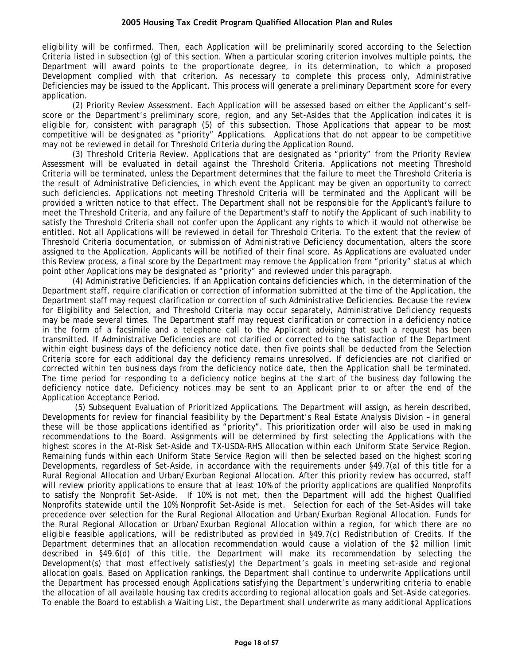eligibility will be confirmed. Then, each Application will be preliminarily scored according to the Selection Criteria listed in subsection (g) of this section. When a particular scoring criterion involves multiple points, the Department will award points to the proportionate degree, in its determination, to which a proposed Development complied with that criterion. As necessary to complete this process only, Administrative Deficiencies may be issued to the Applicant. This process will generate a preliminary Department score for every application.

(2) Priority Review Assessment. Each Application will be assessed based on either the Applicant's selfscore or the Department's preliminary score, region, and any Set-Asides that the Application indicates it is eligible for, consistent with paragraph (5) of this subsection. Those Applications that appear to be most competitive will be designated as "priority" Applications. Applications that do not appear to be competitive may not be reviewed in detail for Threshold Criteria during the Application Round.

(3) Threshold Criteria Review. Applications that are designated as "priority" from the Priority Review Assessment will be evaluated in detail against the Threshold Criteria. Applications not meeting Threshold Criteria will be terminated, unless the Department determines that the failure to meet the Threshold Criteria is the result of Administrative Deficiencies, in which event the Applicant may be given an opportunity to correct such deficiencies. Applications not meeting Threshold Criteria will be terminated and the Applicant will be provided a written notice to that effect. The Department shall not be responsible for the Applicant's failure to meet the Threshold Criteria, and any failure of the Department's staff to notify the Applicant of such inability to satisfy the Threshold Criteria shall not confer upon the Applicant any rights to which it would not otherwise be entitled. Not all Applications will be reviewed in detail for Threshold Criteria. To the extent that the review of Threshold Criteria documentation, or submission of Administrative Deficiency documentation, alters the score assigned to the Application, Applicants will be notified of their final score. As Applications are evaluated under this Review process, a final score by the Department may remove the Application from "priority" status at which point other Applications may be designated as "priority" and reviewed under this paragraph.

(4) Administrative Deficiencies. If an Application contains deficiencies which, in the determination of the Department staff, require clarification or correction of information submitted at the time of the Application, the Department staff may request clarification or correction of such Administrative Deficiencies. Because the review for Eligibility and Selection, and Threshold Criteria may occur separately, Administrative Deficiency requests may be made several times. The Department staff may request clarification or correction in a deficiency notice in the form of a facsimile and a telephone call to the Applicant advising that such a request has been transmitted. If Administrative Deficiencies are not clarified or corrected to the satisfaction of the Department within eight business days of the deficiency notice date, then five points shall be deducted from the Selection Criteria score for each additional day the deficiency remains unresolved. If deficiencies are not clarified or corrected within ten business days from the deficiency notice date, then the Application shall be terminated. The time period for responding to a deficiency notice begins at the start of the business day following the deficiency notice date. Deficiency notices may be sent to an Applicant prior to or after the end of the Application Acceptance Period.

(5) Subsequent Evaluation of Prioritized Applications. The Department will assign, as herein described, Developments for review for financial feasibility by the Department's Real Estate Analysis Division – in general these will be those applications identified as "priority". This prioritization order will also be used in making recommendations to the Board. Assignments will be determined by first selecting the Applications with the highest scores in the At-Risk Set-Aside and TX-USDA-RHS Allocation within each Uniform State Service Region. Remaining funds within each Uniform State Service Region will then be selected based on the highest scoring Developments, regardless of Set-Aside, in accordance with the requirements under §49.7(a) of this title for a Rural Regional Allocation and Urban/Exurban Regional Allocation. After this priority review has occurred, staff will review priority applications to ensure that at least 10% of the priority applications are qualified Nonprofits to satisfy the Nonprofit Set-Aside. If 10% is not met, then the Department will add the highest Qualified Nonprofits statewide until the 10% Nonprofit Set-Aside is met. Selection for each of the Set-Asides will take precedence over selection for the Rural Regional Allocation and Urban/Exurban Regional Allocation. Funds for the Rural Regional Allocation or Urban/Exurban Regional Allocation within a region, for which there are no eligible feasible applications, will be redistributed as provided in §49.7(c) Redistribution of Credits. If the Department determines that an allocation recommendation would cause a violation of the \$2 million limit described in §49.6(d) of this title, the Department will make its recommendation by selecting the Development(s) that most effectively satisfies(y) the Department's goals in meeting set-aside and regional allocation goals. Based on Application rankings, the Department shall continue to underwrite Applications until the Department has processed enough Applications satisfying the Department's underwriting criteria to enable the allocation of all available housing tax credits according to regional allocation goals and Set-Aside categories. To enable the Board to establish a Waiting List, the Department shall underwrite as many additional Applications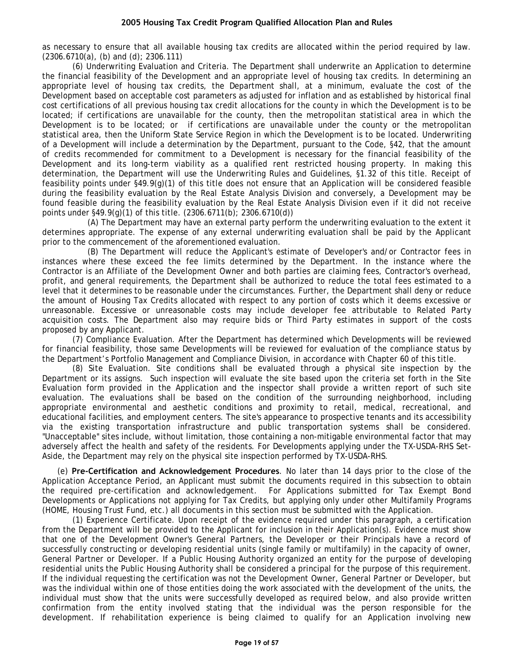as necessary to ensure that all available housing tax credits are allocated within the period required by law. (2306.6710(a), (b) and (d); 2306.111)

(6) Underwriting Evaluation and Criteria. The Department shall underwrite an Application to determine the financial feasibility of the Development and an appropriate level of housing tax credits. In determining an appropriate level of housing tax credits, the Department shall, at a minimum, evaluate the cost of the Development based on acceptable cost parameters as adjusted for inflation and as established by historical final cost certifications of all previous housing tax credit allocations for the county in which the Development is to be located; if certifications are unavailable for the county, then the metropolitan statistical area in which the Development is to be located; or if certifications are unavailable under the county or the metropolitan statistical area, then the Uniform State Service Region in which the Development is to be located. Underwriting of a Development will include a determination by the Department, pursuant to the Code, §42, that the amount of credits recommended for commitment to a Development is necessary for the financial feasibility of the Development and its long-term viability as a qualified rent restricted housing property. In making this determination, the Department will use the Underwriting Rules and Guidelines, §1.32 of this title. Receipt of feasibility points under §49.9(g)(1) of this title does not ensure that an Application will be considered feasible during the feasibility evaluation by the Real Estate Analysis Division and conversely, a Development may be found feasible during the feasibility evaluation by the Real Estate Analysis Division even if it did not receive points under §49.9(g)(1) of this title. (2306.6711(b); 2306.6710(d))

(A) The Department may have an external party perform the underwriting evaluation to the extent it determines appropriate. The expense of any external underwriting evaluation shall be paid by the Applicant prior to the commencement of the aforementioned evaluation.

(B) The Department will reduce the Applicant's estimate of Developer's and/or Contractor fees in instances where these exceed the fee limits determined by the Department. In the instance where the Contractor is an Affiliate of the Development Owner and both parties are claiming fees, Contractor's overhead, profit, and general requirements, the Department shall be authorized to reduce the total fees estimated to a level that it determines to be reasonable under the circumstances. Further, the Department shall deny or reduce the amount of Housing Tax Credits allocated with respect to any portion of costs which it deems excessive or unreasonable. Excessive or unreasonable costs may include developer fee attributable to Related Party acquisition costs. The Department also may require bids or Third Party estimates in support of the costs proposed by any Applicant.

(7) Compliance Evaluation. After the Department has determined which Developments will be reviewed for financial feasibility, those same Developments will be reviewed for evaluation of the compliance status by the Department's Portfolio Management and Compliance Division, in accordance with Chapter 60 of this title.

(8) Site Evaluation. Site conditions shall be evaluated through a physical site inspection by the Department or its assigns. Such inspection will evaluate the site based upon the criteria set forth in the Site Evaluation form provided in the Application and the inspector shall provide a written report of such site evaluation. The evaluations shall be based on the condition of the surrounding neighborhood, including appropriate environmental and aesthetic conditions and proximity to retail, medical, recreational, and educational facilities, and employment centers. The site's appearance to prospective tenants and its accessibility via the existing transportation infrastructure and public transportation systems shall be considered. "Unacceptable" sites include, without limitation, those containing a non-mitigable environmental factor that may adversely affect the health and safety of the residents. For Developments applying under the TX-USDA-RHS Set-Aside, the Department may rely on the physical site inspection performed by TX-USDA-RHS.

(e) **Pre-Certification and Acknowledgement Procedures**. No later than 14 days prior to the close of the Application Acceptance Period, an Applicant must submit the documents required in this subsection to obtain the required pre-certification and acknowledgement. For Applications submitted for Tax Exempt Bond Developments or Applications not applying for Tax Credits, but applying only under other Multifamily Programs (HOME, Housing Trust Fund, etc.) all documents in this section must be submitted with the Application.

(1) Experience Certificate. Upon receipt of the evidence required under this paragraph, a certification from the Department will be provided to the Applicant for inclusion in their Application(s). Evidence must show that one of the Development Owner's General Partners, the Developer or their Principals have a record of successfully constructing or developing residential units (single family or multifamily) in the capacity of owner, General Partner or Developer. If a Public Housing Authority organized an entity for the purpose of developing residential units the Public Housing Authority shall be considered a principal for the purpose of this requirement. If the individual requesting the certification was not the Development Owner, General Partner or Developer, but was the individual within one of those entities doing the work associated with the development of the units, the individual must show that the units were successfully developed as required below, and also provide written confirmation from the entity involved stating that the individual was the person responsible for the development. If rehabilitation experience is being claimed to qualify for an Application involving new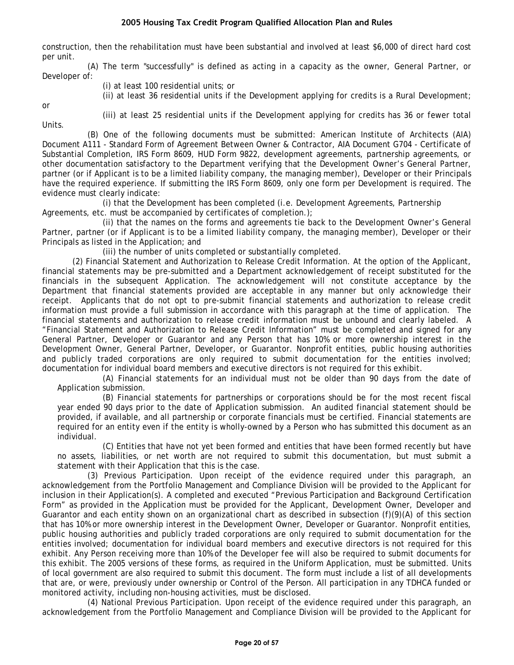construction, then the rehabilitation must have been substantial and involved at least \$6,000 of direct hard cost per unit.

(A) The term "successfully" is defined as acting in a capacity as the owner, General Partner, or Developer of:

(i) at least 100 residential units; or

(ii) at least 36 residential units if the Development applying for credits is a Rural Development;

or

(iii) at least 25 residential units if the Development applying for credits has 36 or fewer total

Units.

(B) One of the following documents must be submitted: American Institute of Architects (AIA) Document A111 - Standard Form of Agreement Between Owner & Contractor, AIA Document G704 - Certificate of Substantial Completion, IRS Form 8609, HUD Form 9822, development agreements, partnership agreements, or other documentation satisfactory to the Department verifying that the Development Owner's General Partner, partner (or if Applicant is to be a limited liability company, the managing member), Developer or their Principals have the required experience. If submitting the IRS Form 8609, only one form per Development is required. The evidence must clearly indicate:

(i) that the Development has been completed (i.e. Development Agreements, Partnership Agreements, etc. must be accompanied by certificates of completion.);

(ii) that the names on the forms and agreements tie back to the Development Owner's General Partner, partner (or if Applicant is to be a limited liability company, the managing member), Developer or their Principals as listed in the Application; and

(iii) the number of units completed or substantially completed.

(2) Financial Statement and Authorization to Release Credit Information. At the option of the Applicant, financial statements may be pre-submitted and a Department acknowledgement of receipt substituted for the financials in the subsequent Application. The acknowledgement will not constitute acceptance by the Department that financial statements provided are acceptable in any manner but only acknowledge their receipt. Applicants that do not opt to pre-submit financial statements and authorization to release credit information must provide a full submission in accordance with this paragraph at the time of application. The financial statements and authorization to release credit information must be unbound and clearly labeled. A "Financial Statement and Authorization to Release Credit Information" must be completed and signed for any General Partner, Developer or Guarantor and any Person that has 10% or more ownership interest in the Development Owner, General Partner, Developer, or Guarantor. Nonprofit entities, public housing authorities and publicly traded corporations are only required to submit documentation for the entities involved; documentation for individual board members and executive directors is not required for this exhibit.

(A) Financial statements for an individual must not be older than 90 days from the date of Application submission.

(B) Financial statements for partnerships or corporations should be for the most recent fiscal year ended 90 days prior to the date of Application submission. An audited financial statement should be provided, if available, and all partnership or corporate financials must be certified. Financial statements are required for an entity even if the entity is wholly-owned by a Person who has submitted this document as an individual.

(C) Entities that have not yet been formed and entities that have been formed recently but have no assets, liabilities, or net worth are not required to submit this documentation, but must submit a statement with their Application that this is the case.

(3) Previous Participation. Upon receipt of the evidence required under this paragraph, an acknowledgement from the Portfolio Management and Compliance Division will be provided to the Applicant for inclusion in their Application(s). A completed and executed "Previous Participation and Background Certification Form" as provided in the Application must be provided for the Applicant, Development Owner, Developer and Guarantor and each entity shown on an organizational chart as described in subsection (f)(9)(A) of this section that has 10% or more ownership interest in the Development Owner, Developer or Guarantor. Nonprofit entities, public housing authorities and publicly traded corporations are only required to submit documentation for the entities involved; documentation for individual board members and executive directors is not required for this exhibit. Any Person receiving more than 10% of the Developer fee will also be required to submit documents for this exhibit. The 2005 versions of these forms, as required in the Uniform Application, must be submitted. Units of local government are also required to submit this document. The form must include a list of all developments that are, or were, previously under ownership or Control of the Person. All participation in any TDHCA funded or monitored activity, including non-housing activities, must be disclosed.

(4) National Previous Participation. Upon receipt of the evidence required under this paragraph, an acknowledgement from the Portfolio Management and Compliance Division will be provided to the Applicant for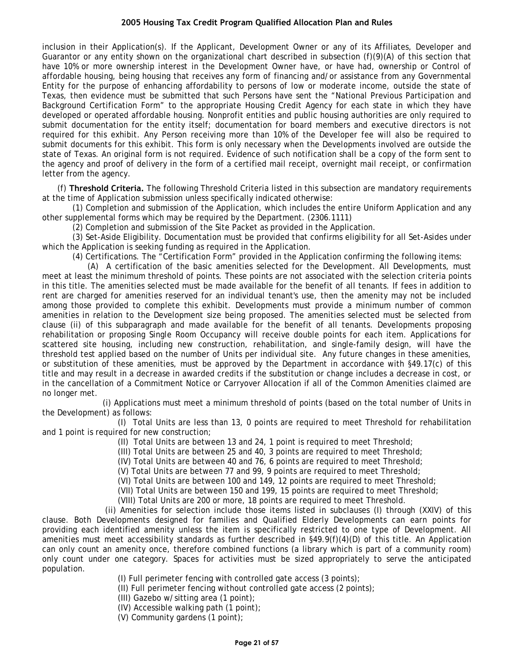inclusion in their Application(s). If the Applicant, Development Owner or any of its Affiliates, Developer and Guarantor or any entity shown on the organizational chart described in subsection (f)(9)(A) of this section that have 10% or more ownership interest in the Development Owner have, or have had, ownership or Control of affordable housing, being housing that receives any form of financing and/or assistance from any Governmental Entity for the purpose of enhancing affordability to persons of low or moderate income, outside the state of Texas, then evidence must be submitted that such Persons have sent the "National Previous Participation and Background Certification Form" to the appropriate Housing Credit Agency for each state in which they have developed or operated affordable housing. Nonprofit entities and public housing authorities are only required to submit documentation for the entity itself; documentation for board members and executive directors is not required for this exhibit. Any Person receiving more than 10% of the Developer fee will also be required to submit documents for this exhibit. This form is only necessary when the Developments involved are outside the state of Texas. An original form is not required. Evidence of such notification shall be a copy of the form sent to the agency and proof of delivery in the form of a certified mail receipt, overnight mail receipt, or confirmation letter from the agency.

(f) **Threshold Criteria.** The following Threshold Criteria listed in this subsection are mandatory requirements at the time of Application submission unless specifically indicated otherwise:

(1) Completion and submission of the Application, which includes the entire Uniform Application and any other supplemental forms which may be required by the Department. (2306.1111)

(2) Completion and submission of the Site Packet as provided in the Application.

(3) Set-Aside Eligibility. Documentation must be provided that confirms eligibility for all Set-Asides under which the Application is seeking funding as required in the Application.

(4) Certifications. The "Certification Form" provided in the Application confirming the following items:

(A) A certification of the basic amenities selected for the Development. All Developments, must meet at least the minimum threshold of points. These points are not associated with the selection criteria points in this title. The amenities selected must be made available for the benefit of all tenants. If fees in addition to rent are charged for amenities reserved for an individual tenant's use, then the amenity may not be included among those provided to complete this exhibit. Developments must provide a minimum number of common amenities in relation to the Development size being proposed. The amenities selected must be selected from clause (ii) of this subparagraph and made available for the benefit of all tenants. Developments proposing rehabilitation or proposing Single Room Occupancy will receive double points for each item. Applications for scattered site housing, including new construction, rehabilitation, and single-family design, will have the threshold test applied based on the number of Units per individual site. Any future changes in these amenities, or substitution of these amenities, must be approved by the Department in accordance with §49.17(c) of this title and may result in a decrease in awarded credits if the substitution or change includes a decrease in cost, or in the cancellation of a Commitment Notice or Carryover Allocation if all of the Common Amenities claimed are no longer met.

(i) Applications must meet a minimum threshold of points (based on the total number of Units in the Development) as follows:

(I) Total Units are less than 13, 0 points are required to meet Threshold for rehabilitation and 1 point is required for new construction;

(II) Total Units are between 13 and 24, 1 point is required to meet Threshold;

(III) Total Units are between 25 and 40, 3 points are required to meet Threshold;

(IV) Total Units are between 40 and 76, 6 points are required to meet Threshold;

(V) Total Units are between 77 and 99, 9 points are required to meet Threshold;

(VI) Total Units are between 100 and 149, 12 points are required to meet Threshold;

(VII) Total Units are between 150 and 199, 15 points are required to meet Threshold;

(VIII) Total Units are 200 or more, 18 points are required to meet Threshold.

(ii) Amenities for selection include those items listed in subclauses (I) through (XXIV) of this clause. Both Developments designed for families and Qualified Elderly Developments can earn points for providing each identified amenity unless the item is specifically restricted to one type of Development. All amenities must meet accessibility standards as further described in §49.9(f)(4)(D) of this title. An Application can only count an amenity once, therefore combined functions (a library which is part of a community room) only count under one category. Spaces for activities must be sized appropriately to serve the anticipated population.

(I) Full perimeter fencing with controlled gate access (3 points);

(II) Full perimeter fencing without controlled gate access (2 points);

(III) Gazebo w/sitting area (1 point);

(IV) Accessible walking path (1 point);

(V) Community gardens (1 point);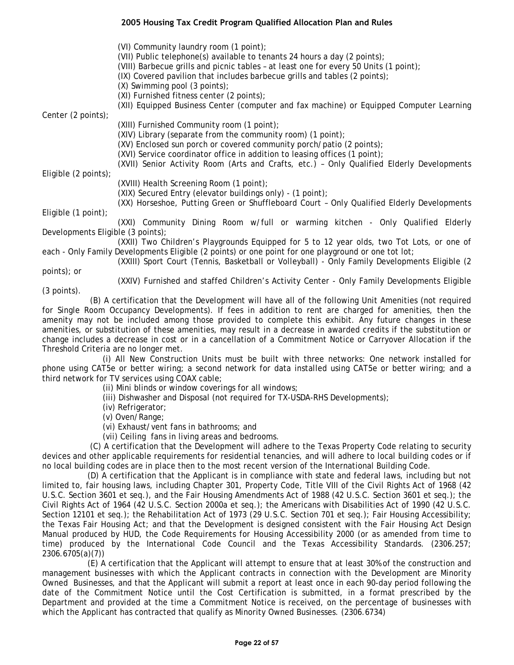(VI) Community laundry room (1 point); (VII) Public telephone(s) available to tenants 24 hours a day (2 points); (VIII) Barbecue grills and picnic tables – at least one for every 50 Units (1 point); (IX) Covered pavilion that includes barbecue grills and tables (2 points); (X) Swimming pool (3 points); (XI) Furnished fitness center (2 points); (XII) Equipped Business Center (computer and fax machine) or Equipped Computer Learning Center (2 points); (XIII) Furnished Community room (1 point); (XIV) Library (separate from the community room) (1 point); (XV) Enclosed sun porch or covered community porch/patio (2 points); (XVI) Service coordinator office in addition to leasing offices (1 point); (XVII) Senior Activity Room (Arts and Crafts, etc.) – Only Qualified Elderly Developments Eligible (2 points); (XVIII) Health Screening Room (1 point); (XIX) Secured Entry (elevator buildings only) - (1 point); (XX) Horseshoe, Putting Green or Shuffleboard Court – Only Qualified Elderly Developments

Eligible (1 point);

(XXI) Community Dining Room w/full or warming kitchen - Only Qualified Elderly Developments Eligible (3 points);

(XXII) Two Children's Playgrounds Equipped for 5 to 12 year olds, two Tot Lots, or one of each - Only Family Developments Eligible (2 points) or one point for one playground or one tot lot;

(XXIII) Sport Court (Tennis, Basketball or Volleyball) - Only Family Developments Eligible (2 points); or

(3 points).

(XXIV) Furnished and staffed Children's Activity Center - Only Family Developments Eligible

(B) A certification that the Development will have all of the following Unit Amenities (not required for Single Room Occupancy Developments). If fees in addition to rent are charged for amenities, then the amenity may not be included among those provided to complete this exhibit. Any future changes in these amenities, or substitution of these amenities, may result in a decrease in awarded credits if the substitution or change includes a decrease in cost or in a cancellation of a Commitment Notice or Carryover Allocation if the Threshold Criteria are no longer met.

(i) All New Construction Units must be built with three networks: One network installed for phone using CAT5e or better wiring; a second network for data installed using CAT5e or better wiring; and a third network for TV services using COAX cable;

(ii) Mini blinds or window coverings for all windows;

(iii) Dishwasher and Disposal (not required for TX-USDA-RHS Developments);

(iv) Refrigerator;

(v) Oven/Range;

(vi) Exhaust/vent fans in bathrooms; and

(vii) Ceiling fans in living areas and bedrooms.

(C) A certification that the Development will adhere to the Texas Property Code relating to security devices and other applicable requirements for residential tenancies, and will adhere to local building codes or if no local building codes are in place then to the most recent version of the International Building Code.

(D) A certification that the Applicant is in compliance with state and federal laws, including but not limited to, fair housing laws, including Chapter 301, Property Code, Title VIII of the Civil Rights Act of 1968 (42 U.S.C. Section 3601 et seq.), and the Fair Housing Amendments Act of 1988 (42 U.S.C. Section 3601 et seq.); the Civil Rights Act of 1964 (42 U.S.C. Section 2000a et seq.); the Americans with Disabilities Act of 1990 (42 U.S.C. Section 12101 et seq.); the Rehabilitation Act of 1973 (29 U.S.C. Section 701 et seq.); Fair Housing Accessibility; the Texas Fair Housing Act; and that the Development is designed consistent with the Fair Housing Act Design Manual produced by HUD, the Code Requirements for Housing Accessibility 2000 (or as amended from time to time) produced by the International Code Council and the Texas Accessibility Standards. (2306.257; 2306.6705(a)(7))

(E) A certification that the Applicant will attempt to ensure that at least 30% of the construction and management businesses with which the Applicant contracts in connection with the Development are Minority Owned Businesses, and that the Applicant will submit a report at least once in each 90-day period following the date of the Commitment Notice until the Cost Certification is submitted, in a format prescribed by the Department and provided at the time a Commitment Notice is received, on the percentage of businesses with which the Applicant has contracted that qualify as Minority Owned Businesses. (2306.6734)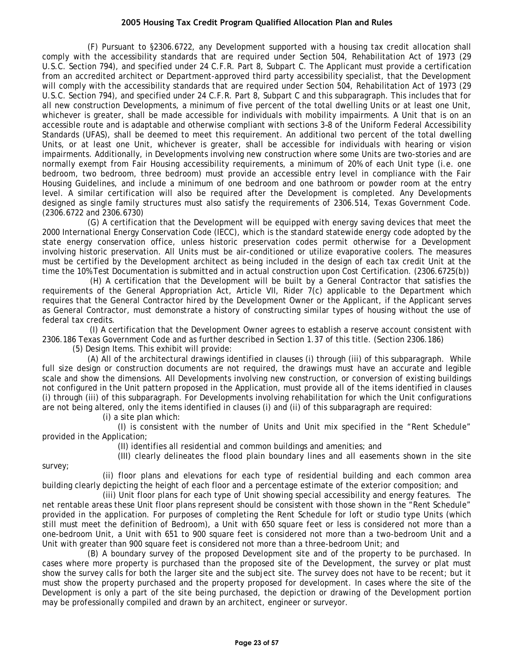(F) Pursuant to §2306.6722, any Development supported with a housing tax credit allocation shall comply with the accessibility standards that are required under Section 504, Rehabilitation Act of 1973 (29 U.S.C. Section 794), and specified under 24 C.F.R. Part 8, Subpart C. The Applicant must provide a certification from an accredited architect or Department-approved third party accessibility specialist, that the Development will comply with the accessibility standards that are required under Section 504, Rehabilitation Act of 1973 (29 U.S.C. Section 794), and specified under 24 C.F.R. Part 8, Subpart C and this subparagraph. This includes that for all new construction Developments, a minimum of five percent of the total dwelling Units or at least one Unit, whichever is greater, shall be made accessible for individuals with mobility impairments. A Unit that is on an accessible route and is adaptable and otherwise compliant with sections 3–8 of the Uniform Federal Accessibility Standards (UFAS), shall be deemed to meet this requirement. An additional two percent of the total dwelling Units, or at least one Unit, whichever is greater, shall be accessible for individuals with hearing or vision impairments. Additionally, in Developments involving new construction where some Units are two-stories and are normally exempt from Fair Housing accessibility requirements, a minimum of 20% of each Unit type (i.e. one bedroom, two bedroom, three bedroom) must provide an accessible entry level in compliance with the Fair Housing Guidelines, and include a minimum of one bedroom and one bathroom or powder room at the entry level. A similar certification will also be required after the Development is completed. Any Developments designed as single family structures must also satisfy the requirements of 2306.514, Texas Government Code. (2306.6722 and 2306.6730)

(G) A certification that the Development will be equipped with energy saving devices that meet the 2000 International Energy Conservation Code (IECC), which is the standard statewide energy code adopted by the state energy conservation office, unless historic preservation codes permit otherwise for a Development involving historic preservation. All Units must be air-conditioned or utilize evaporative coolers. The measures must be certified by the Development architect as being included in the design of each tax credit Unit at the time the 10% Test Documentation is submitted and in actual construction upon Cost Certification. (2306.6725(b))

(H) A certification that the Development will be built by a General Contractor that satisfies the requirements of the General Appropriation Act, Article VII, Rider 7(c) applicable to the Department which requires that the General Contractor hired by the Development Owner or the Applicant, if the Applicant serves as General Contractor, must demonstrate a history of constructing similar types of housing without the use of federal tax credits.

(I) A certification that the Development Owner agrees to establish a reserve account consistent with 2306.186 Texas Government Code and as further described in Section 1.37 of this title. (Section 2306.186)

(5) Design Items. This exhibit will provide:

(A) All of the architectural drawings identified in clauses (i) through (iii) of this subparagraph. While full size design or construction documents are not required, the drawings must have an accurate and legible scale and show the dimensions. All Developments involving new construction, or conversion of existing buildings not configured in the Unit pattern proposed in the Application, must provide all of the items identified in clauses (i) through (iii) of this subparagraph. For Developments involving rehabilitation for which the Unit configurations are not being altered, only the items identified in clauses (i) and (ii) of this subparagraph are required:

(i) a site plan which:

survey;

(I) is consistent with the number of Units and Unit mix specified in the "Rent Schedule" provided in the Application;

(II) identifies all residential and common buildings and amenities; and

(III) clearly delineates the flood plain boundary lines and all easements shown in the site

(ii) floor plans and elevations for each type of residential building and each common area building clearly depicting the height of each floor and a percentage estimate of the exterior composition; and

(iii) Unit floor plans for each type of Unit showing special accessibility and energy features. The net rentable areas these Unit floor plans represent should be consistent with those shown in the "Rent Schedule" provided in the application. For purposes of completing the Rent Schedule for loft or studio type Units (which still must meet the definition of Bedroom), a Unit with 650 square feet or less is considered not more than a one-bedroom Unit, a Unit with 651 to 900 square feet is considered not more than a two-bedroom Unit and a Unit with greater than 900 square feet is considered not more than a three-bedroom Unit; and

(B) A boundary survey of the proposed Development site and of the property to be purchased. In cases where more property is purchased than the proposed site of the Development, the survey or plat must show the survey calls for both the larger site and the subject site. The survey does not have to be recent; but it must show the property purchased and the property proposed for development. In cases where the site of the Development is only a part of the site being purchased, the depiction or drawing of the Development portion may be professionally compiled and drawn by an architect, engineer or surveyor.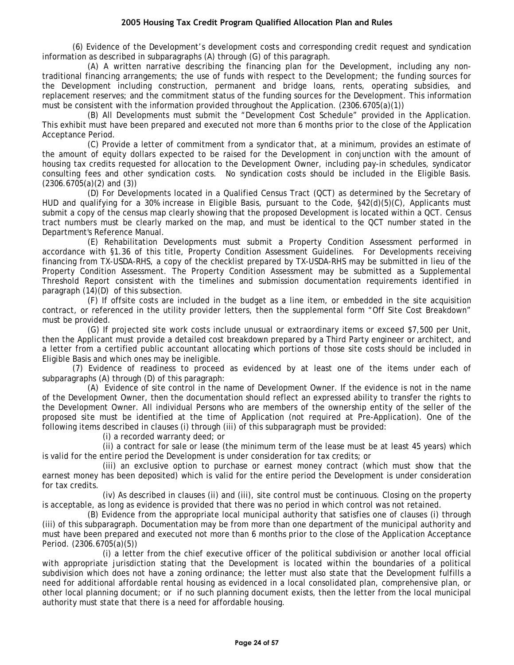(6) Evidence of the Development's development costs and corresponding credit request and syndication information as described in subparagraphs (A) through (G) of this paragraph.

(A) A written narrative describing the financing plan for the Development, including any nontraditional financing arrangements; the use of funds with respect to the Development; the funding sources for the Development including construction, permanent and bridge loans, rents, operating subsidies, and replacement reserves; and the commitment status of the funding sources for the Development. This information must be consistent with the information provided throughout the Application. (2306.6705(a)(1))

(B) All Developments must submit the "Development Cost Schedule" provided in the Application. This exhibit must have been prepared and executed not more than 6 months prior to the close of the Application Acceptance Period.

(C) Provide a letter of commitment from a syndicator that, at a minimum, provides an estimate of the amount of equity dollars expected to be raised for the Development in conjunction with the amount of housing tax credits requested for allocation to the Development Owner, including pay-in schedules, syndicator consulting fees and other syndication costs. No syndication costs should be included in the Eligible Basis. (2306.6705(a)(2) and (3))

(D) For Developments located in a Qualified Census Tract (QCT) as determined by the Secretary of HUD and qualifying for a 30% increase in Eligible Basis, pursuant to the Code, §42(d)(5)(C), Applicants must submit a copy of the census map clearly showing that the proposed Development is located within a QCT. Census tract numbers must be clearly marked on the map, and must be identical to the QCT number stated in the Department's Reference Manual.

(E) Rehabilitation Developments must submit a Property Condition Assessment performed in accordance with §1.36 of this title, Property Condition Assessment Guidelines. For Developments receiving financing from TX-USDA-RHS, a copy of the checklist prepared by TX-USDA-RHS may be submitted in lieu of the Property Condition Assessment. The Property Condition Assessment may be submitted as a Supplemental Threshold Report consistent with the timelines and submission documentation requirements identified in paragraph (14)(D) of this subsection.

(F) If offsite costs are included in the budget as a line item, or embedded in the site acquisition contract, or referenced in the utility provider letters, then the supplemental form "Off Site Cost Breakdown" must be provided.

(G) If projected site work costs include unusual or extraordinary items or exceed \$7,500 per Unit, then the Applicant must provide a detailed cost breakdown prepared by a Third Party engineer or architect, and a letter from a certified public accountant allocating which portions of those site costs should be included in Eligible Basis and which ones may be ineligible.

(7) Evidence of readiness to proceed as evidenced by at least one of the items under each of subparagraphs (A) through (D) of this paragraph:

(A) Evidence of site control in the name of Development Owner. If the evidence is not in the name of the Development Owner, then the documentation should reflect an expressed ability to transfer the rights to the Development Owner. All individual Persons who are members of the ownership entity of the seller of the proposed site must be identified at the time of Application (not required at Pre-Application). One of the following items described in clauses (i) through (iii) of this subparagraph must be provided:

(i) a recorded warranty deed; or

(ii) a contract for sale or lease (the minimum term of the lease must be at least 45 years) which is valid for the entire period the Development is under consideration for tax credits; or

(iii) an exclusive option to purchase or earnest money contract (which must show that the earnest money has been deposited) which is valid for the entire period the Development is under consideration for tax credits.

(iv) As described in clauses (ii) and (iii), site control must be continuous. Closing on the property is acceptable, as long as evidence is provided that there was no period in which control was not retained.

(B) Evidence from the appropriate local municipal authority that satisfies one of clauses (i) through (iii) of this subparagraph. Documentation may be from more than one department of the municipal authority and must have been prepared and executed not more than 6 months prior to the close of the Application Acceptance Period. (2306.6705(a)(5))

(i) a letter from the chief executive officer of the political subdivision or another local official with appropriate jurisdiction stating that the Development is located within the boundaries of a political subdivision which does not have a zoning ordinance; the letter must also state that the Development fulfills a need for additional affordable rental housing as evidenced in a local consolidated plan, comprehensive plan, or other local planning document; or if no such planning document exists, then the letter from the local municipal authority must state that there is a need for affordable housing.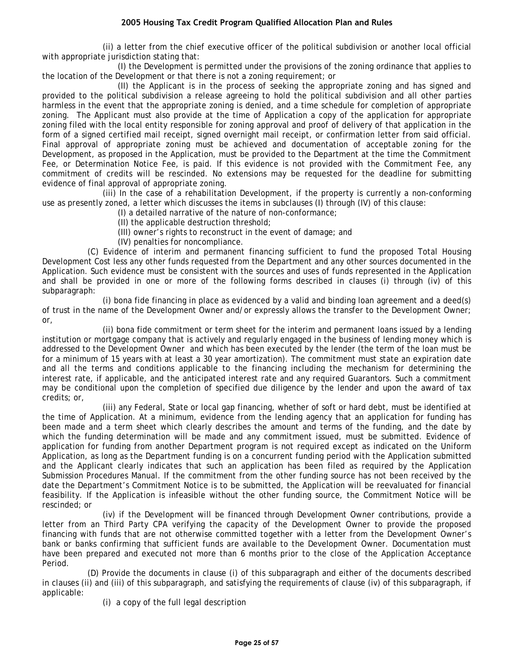(ii) a letter from the chief executive officer of the political subdivision or another local official with appropriate jurisdiction stating that:

(I) the Development is permitted under the provisions of the zoning ordinance that applies to the location of the Development or that there is not a zoning requirement; or

(II) the Applicant is in the process of seeking the appropriate zoning and has signed and provided to the political subdivision a release agreeing to hold the political subdivision and all other parties harmless in the event that the appropriate zoning is denied, and a time schedule for completion of appropriate zoning. The Applicant must also provide at the time of Application a copy of the application for appropriate zoning filed with the local entity responsible for zoning approval and proof of delivery of that application in the form of a signed certified mail receipt, signed overnight mail receipt, or confirmation letter from said official. Final approval of appropriate zoning must be achieved and documentation of acceptable zoning for the Development, as proposed in the Application, must be provided to the Department at the time the Commitment Fee, or Determination Notice Fee, is paid. If this evidence is not provided with the Commitment Fee, any commitment of credits will be rescinded. No extensions may be requested for the deadline for submitting evidence of final approval of appropriate zoning.

(iii) In the case of a rehabilitation Development, if the property is currently a non-conforming use as presently zoned, a letter which discusses the items in subclauses (I) through (IV) of this clause:

(I) a detailed narrative of the nature of non-conformance;

- (II) the applicable destruction threshold;
- (III) owner's rights to reconstruct in the event of damage; and
- (IV) penalties for noncompliance.

(C) Evidence of interim and permanent financing sufficient to fund the proposed Total Housing Development Cost less any other funds requested from the Department and any other sources documented in the Application. Such evidence must be consistent with the sources and uses of funds represented in the Application and shall be provided in one or more of the following forms described in clauses (i) through (iv) of this subparagraph:

(i) bona fide financing in place as evidenced by a valid and binding loan agreement and a deed(s) of trust in the name of the Development Owner and/or expressly allows the transfer to the Development Owner; or,

(ii) bona fide commitment or term sheet for the interim and permanent loans issued by a lending institution or mortgage company that is actively and regularly engaged in the business of lending money which is addressed to the Development Owner and which has been executed by the lender (the term of the loan must be for a minimum of 15 years with at least a 30 year amortization). The commitment must state an expiration date and all the terms and conditions applicable to the financing including the mechanism for determining the interest rate, if applicable, and the anticipated interest rate and any required Guarantors. Such a commitment may be conditional upon the completion of specified due diligence by the lender and upon the award of tax credits; or,

(iii) any Federal, State or local gap financing, whether of soft or hard debt, must be identified at the time of Application. At a minimum, evidence from the lending agency that an application for funding has been made and a term sheet which clearly describes the amount and terms of the funding, and the date by which the funding determination will be made and any commitment issued, must be submitted. Evidence of application for funding from another Department program is not required except as indicated on the Uniform Application, as long as the Department funding is on a concurrent funding period with the Application submitted and the Applicant clearly indicates that such an application has been filed as required by the Application Submission Procedures Manual. If the commitment from the other funding source has not been received by the date the Department's Commitment Notice is to be submitted, the Application will be reevaluated for financial feasibility. If the Application is infeasible without the other funding source, the Commitment Notice will be rescinded; or

(iv) if the Development will be financed through Development Owner contributions, provide a letter from an Third Party CPA verifying the capacity of the Development Owner to provide the proposed financing with funds that are not otherwise committed together with a letter from the Development Owner's bank or banks confirming that sufficient funds are available to the Development Owner. Documentation must have been prepared and executed not more than 6 months prior to the close of the Application Acceptance Period.

(D) Provide the documents in clause (i) of this subparagraph and either of the documents described in clauses (ii) and (iii) of this subparagraph, and satisfying the requirements of clause (iv) of this subparagraph, if applicable:

(i) a copy of the full legal description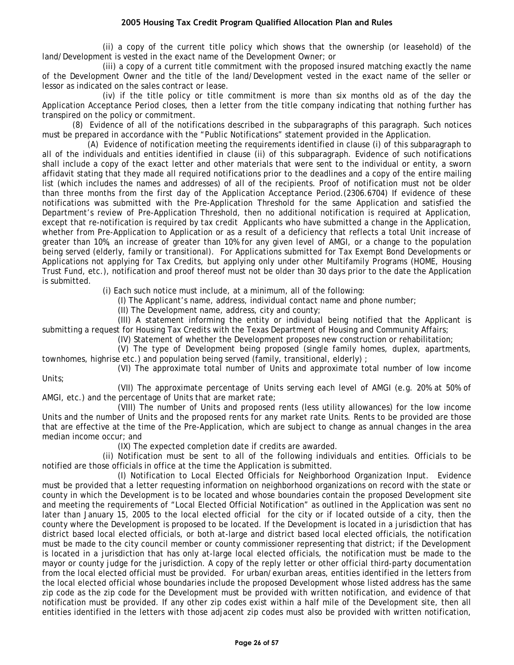(ii) a copy of the current title policy which shows that the ownership (or leasehold) of the land/Development is vested in the exact name of the Development Owner; or

(iii) a copy of a current title commitment with the proposed insured matching exactly the name of the Development Owner and the title of the land/Development vested in the exact name of the seller or lessor as indicated on the sales contract or lease.

(iv) if the title policy or title commitment is more than six months old as of the day the Application Acceptance Period closes, then a letter from the title company indicating that nothing further has transpired on the policy or commitment.

(8) Evidence of all of the notifications described in the subparagraphs of this paragraph. Such notices must be prepared in accordance with the "Public Notifications" statement provided in the Application.

(A) Evidence of notification meeting the requirements identified in clause (i) of this subparagraph to all of the individuals and entities identified in clause (ii) of this subparagraph. Evidence of such notifications shall include a copy of the exact letter and other materials that were sent to the individual or entity, a sworn affidavit stating that they made all required notifications prior to the deadlines and a copy of the entire mailing list (which includes the names and addresses) of all of the recipients. Proof of notification must not be older than three months from the first day of the Application Acceptance Period.(2306.6704) If evidence of these notifications was submitted with the Pre-Application Threshold for the same Application and satisfied the Department's review of Pre-Application Threshold, then no additional notification is required at Application, except that re-notification is required by tax credit Applicants who have submitted a change in the Application, whether from Pre-Application to Application or as a result of a deficiency that reflects a total Unit increase of greater than 10%, an increase of greater than 10% for any given level of AMGI, or a change to the population being served (elderly, family or transitional). For Applications submitted for Tax Exempt Bond Developments or Applications not applying for Tax Credits, but applying only under other Multifamily Programs (HOME, Housing Trust Fund, etc.), notification and proof thereof must not be older than 30 days prior to the date the Application is submitted.

(i) Each such notice must include, at a minimum, all of the following:

(I) The Applicant's name, address, individual contact name and phone number;

(II) The Development name, address, city and county;

(III) A statement informing the entity or individual being notified that the Applicant is submitting a request for Housing Tax Credits with the Texas Department of Housing and Community Affairs;

(IV) Statement of whether the Development proposes new construction or rehabilitation;

(V) The type of Development being proposed (single family homes, duplex, apartments, townhomes, highrise etc.) and population being served (family, transitional, elderly) ;

(VI) The approximate total number of Units and approximate total number of low income Units;

(VII) The approximate percentage of Units serving each level of AMGI (e.g. 20% at 50% of AMGI, etc.) and the percentage of Units that are market rate;

(VIII) The number of Units and proposed rents (less utility allowances) for the low income Units and the number of Units and the proposed rents for any market rate Units. Rents to be provided are those that are effective at the time of the Pre-Application, which are subject to change as annual changes in the area median income occur; and

(IX) The expected completion date if credits are awarded.

(ii) Notification must be sent to all of the following individuals and entities. Officials to be notified are those officials in office at the time the Application is submitted.

(I) Notification to Local Elected Officials for Neighborhood Organization Input. Evidence must be provided that a letter requesting information on neighborhood organizations on record with the state or county in which the Development is to be located and whose boundaries contain the proposed Development site and meeting the requirements of "Local Elected Official Notification" as outlined in the Application was sent no later than January 15, 2005 to the local elected official for the city or if located outside of a city, then the county where the Development is proposed to be located. If the Development is located in a jurisdiction that has district based local elected officials, or both at-large and district based local elected officials, the notification must be made to the city council member or county commissioner representing that district; if the Development is located in a jurisdiction that has only at-large local elected officials, the notification must be made to the mayor or county judge for the jurisdiction. A copy of the reply letter or other official third-party documentation from the local elected official must be provided. For urban/exurban areas, entities identified in the letters from the local elected official whose boundaries include the proposed Development whose listed address has the same zip code as the zip code for the Development must be provided with written notification, and evidence of that notification must be provided. If any other zip codes exist within a half mile of the Development site, then all entities identified in the letters with those adjacent zip codes must also be provided with written notification,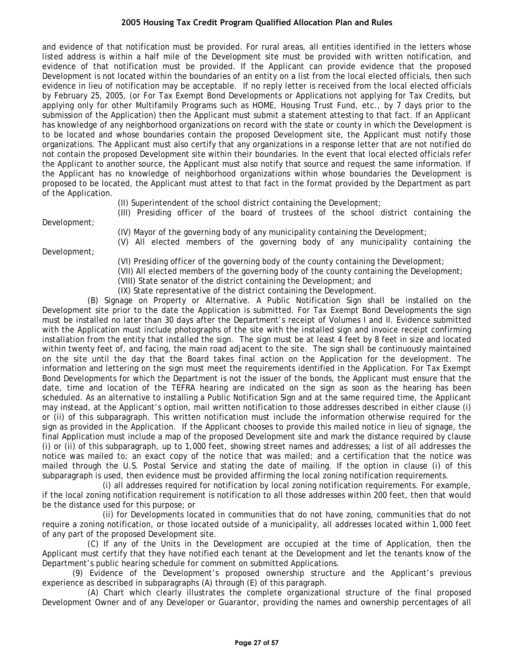and evidence of that notification must be provided. For rural areas, all entities identified in the letters whose listed address is within a half mile of the Development site must be provided with written notification, and evidence of that notification must be provided. If the Applicant can provide evidence that the proposed Development is not located within the boundaries of an entity on a list from the local elected officials, then such evidence in lieu of notification may be acceptable. If no reply letter is received from the local elected officials by February 25, 2005, (or For Tax Exempt Bond Developments or Applications not applying for Tax Credits, but applying only for other Multifamily Programs such as HOME, Housing Trust Fund, etc., by 7 days prior to the submission of the Application) then the Applicant must submit a statement attesting to that fact. If an Applicant has knowledge of any neighborhood organizations on record with the state or county in which the Development is to be located and whose boundaries contain the proposed Development site, the Applicant must notify those organizations. The Applicant must also certify that any organizations in a response letter that are not notified do not contain the proposed Development site within their boundaries. In the event that local elected officials refer the Applicant to another source, the Applicant must also notify that source and request the same information. If the Applicant has no knowledge of neighborhood organizations within whose boundaries the Development is proposed to be located, the Applicant must attest to that fact in the format provided by the Department as part of the Application.

(II) Superintendent of the school district containing the Development;

(III) Presiding officer of the board of trustees of the school district containing the

(V) All elected members of the governing body of any municipality containing the

Development;

(IV) Mayor of the governing body of any municipality containing the Development;

Development;

- (VI) Presiding officer of the governing body of the county containing the Development;
- (VII) All elected members of the governing body of the county containing the Development;
- (VIII) State senator of the district containing the Development; and
- (IX) State representative of the district containing the Development.

(B) Signage on Property or Alternative. A Public Notification Sign shall be installed on the Development site prior to the date the Application is submitted. For Tax Exempt Bond Developments the sign must be installed no later than 30 days after the Department's receipt of Volumes I and II. Evidence submitted with the Application must include photographs of the site with the installed sign and invoice receipt confirming installation from the entity that installed the sign. The sign must be at least 4 feet by 8 feet in size and located within twenty feet of, and facing, the main road adjacent to the site. The sign shall be continuously maintained on the site until the day that the Board takes final action on the Application for the development. The information and lettering on the sign must meet the requirements identified in the Application. For Tax Exempt Bond Developments for which the Department is not the issuer of the bonds, the Applicant must ensure that the date, time and location of the TEFRA hearing are indicated on the sign as soon as the hearing has been scheduled. As an alternative to installing a Public Notification Sign and at the same required time, the Applicant may instead, at the Applicant's option, mail written notification to those addresses described in either clause (i) or (ii) of this subparagraph. This written notification must include the information otherwise required for the sign as provided in the Application. If the Applicant chooses to provide this mailed notice in lieu of signage, the final Application must include a map of the proposed Development site and mark the distance required by clause (i) or (ii) of this subparagraph, up to 1,000 feet, showing street names and addresses; a list of all addresses the notice was mailed to; an exact copy of the notice that was mailed; and a certification that the notice was mailed through the U.S. Postal Service and stating the date of mailing. If the option in clause (i) of this subparagraph is used, then evidence must be provided affirming the local zoning notification requirements.

(i) all addresses required for notification by local zoning notification requirements. For example, if the local zoning notification requirement is notification to all those addresses within 200 feet, then that would be the distance used for this purpose; or

(ii) for Developments located in communities that do not have zoning, communities that do not require a zoning notification, or those located outside of a municipality, all addresses located within 1,000 feet of any part of the proposed Development site.

(C) If any of the Units in the Development are occupied at the time of Application, then the Applicant must certify that they have notified each tenant at the Development and let the tenants know of the Department's public hearing schedule for comment on submitted Applications.

(9) Evidence of the Development's proposed ownership structure and the Applicant's previous experience as described in subparagraphs (A) through (E) of this paragraph.

(A) Chart which clearly illustrates the complete organizational structure of the final proposed Development Owner and of any Developer or Guarantor, providing the names and ownership percentages of all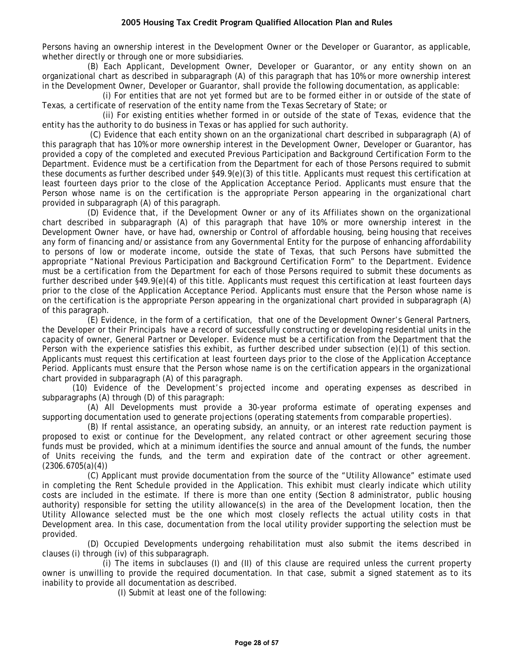Persons having an ownership interest in the Development Owner or the Developer or Guarantor, as applicable, whether directly or through one or more subsidiaries.

(B) Each Applicant, Development Owner, Developer or Guarantor, or any entity shown on an organizational chart as described in subparagraph (A) of this paragraph that has 10% or more ownership interest in the Development Owner, Developer or Guarantor, shall provide the following documentation, as applicable:

(i) For entities that are not yet formed but are to be formed either in or outside of the state of Texas, a certificate of reservation of the entity name from the Texas Secretary of State; or

(ii) For existing entities whether formed in or outside of the state of Texas, evidence that the entity has the authority to do business in Texas or has applied for such authority.

(C) Evidence that each entity shown on an the organizational chart described in subparagraph (A) of this paragraph that has 10% or more ownership interest in the Development Owner, Developer or Guarantor, has provided a copy of the completed and executed Previous Participation and Background Certification Form to the Department. Evidence must be a certification from the Department for each of those Persons required to submit these documents as further described under §49.9(e)(3) of this title. Applicants must request this certification at least fourteen days prior to the close of the Application Acceptance Period. Applicants must ensure that the Person whose name is on the certification is the appropriate Person appearing in the organizational chart provided in subparagraph (A) of this paragraph.

(D) Evidence that, if the Development Owner or any of its Affiliates shown on the organizational chart described in subparagraph (A) of this paragraph that have 10% or more ownership interest in the Development Owner have, or have had, ownership or Control of affordable housing, being housing that receives any form of financing and/or assistance from any Governmental Entity for the purpose of enhancing affordability to persons of low or moderate income, outside the state of Texas, that such Persons have submitted the appropriate "National Previous Participation and Background Certification Form" to the Department. Evidence must be a certification from the Department for each of those Persons required to submit these documents as further described under §49.9(e)(4) of this title. Applicants must request this certification at least fourteen days prior to the close of the Application Acceptance Period. Applicants must ensure that the Person whose name is on the certification is the appropriate Person appearing in the organizational chart provided in subparagraph (A) of this paragraph.

(E) Evidence, in the form of a certification, that one of the Development Owner's General Partners, the Developer or their Principals have a record of successfully constructing or developing residential units in the capacity of owner, General Partner or Developer. Evidence must be a certification from the Department that the Person with the experience satisfies this exhibit, as further described under subsection (e)(1) of this section. Applicants must request this certification at least fourteen days prior to the close of the Application Acceptance Period. Applicants must ensure that the Person whose name is on the certification appears in the organizational chart provided in subparagraph (A) of this paragraph.

(10) Evidence of the Development's projected income and operating expenses as described in subparagraphs (A) through (D) of this paragraph:

(A) All Developments must provide a 30-year proforma estimate of operating expenses and supporting documentation used to generate projections (operating statements from comparable properties).

(B) If rental assistance, an operating subsidy, an annuity, or an interest rate reduction payment is proposed to exist or continue for the Development, any related contract or other agreement securing those funds must be provided, which at a minimum identifies the source and annual amount of the funds, the number of Units receiving the funds, and the term and expiration date of the contract or other agreement.  $(2306.6705(a)(4))$ 

(C) Applicant must provide documentation from the source of the "Utility Allowance" estimate used in completing the Rent Schedule provided in the Application. This exhibit must clearly indicate which utility costs are included in the estimate. If there is more than one entity (Section 8 administrator, public housing authority) responsible for setting the utility allowance(s) in the area of the Development location, then the Utility Allowance selected must be the one which most closely reflects the actual utility costs in that Development area. In this case, documentation from the local utility provider supporting the selection must be provided.

(D) Occupied Developments undergoing rehabilitation must also submit the items described in clauses (i) through (iv) of this subparagraph.

(i) The items in subclauses (I) and (II) of this clause are required unless the current property owner is unwilling to provide the required documentation. In that case, submit a signed statement as to its inability to provide all documentation as described.

(I) Submit at least one of the following: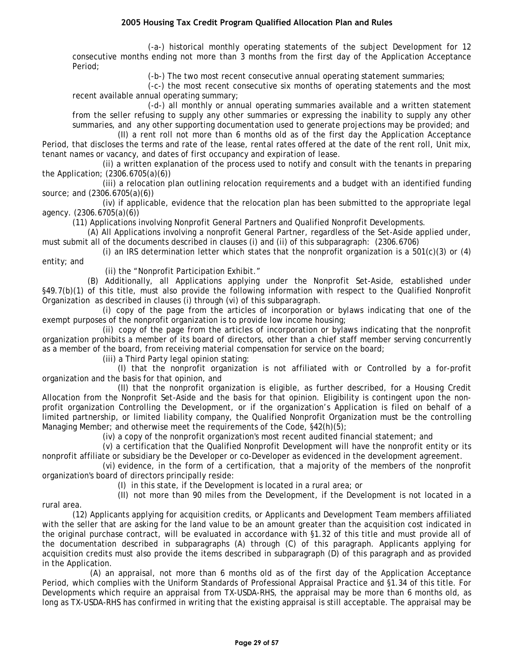(-a-) historical monthly operating statements of the subject Development for 12 consecutive months ending not more than 3 months from the first day of the Application Acceptance Period;

(-b-) The two most recent consecutive annual operating statement summaries;

(-c-) the most recent consecutive six months of operating statements and the most recent available annual operating summary;

(-d-) all monthly or annual operating summaries available and a written statement from the seller refusing to supply any other summaries or expressing the inability to supply any other summaries, and any other supporting documentation used to generate projections may be provided; and

(II) a rent roll not more than 6 months old as of the first day the Application Acceptance Period, that discloses the terms and rate of the lease, rental rates offered at the date of the rent roll, Unit mix, tenant names or vacancy, and dates of first occupancy and expiration of lease.

(ii) a written explanation of the process used to notify and consult with the tenants in preparing the Application; (2306.6705(a)(6))

(iii) a relocation plan outlining relocation requirements and a budget with an identified funding source; and (2306.6705(a)(6))

(iv) if applicable, evidence that the relocation plan has been submitted to the appropriate legal agency. (2306.6705(a)(6))

(11) Applications involving Nonprofit General Partners and Qualified Nonprofit Developments.

(A) All Applications involving a nonprofit General Partner, regardless of the Set-Aside applied under, must submit all of the documents described in clauses (i) and (ii) of this subparagraph: (2306.6706)

(i) an IRS determination letter which states that the nonprofit organization is a 501(c)(3) or (4) entity; and

(ii) the "Nonprofit Participation Exhibit."

(B) Additionally, all Applications applying under the Nonprofit Set-Aside, established under §49.7(b)(1) of this title, must also provide the following information with respect to the Qualified Nonprofit Organization as described in clauses (i) through (vi) of this subparagraph.

(i) copy of the page from the articles of incorporation or bylaws indicating that one of the exempt purposes of the nonprofit organization is to provide low income housing;

(ii) copy of the page from the articles of incorporation or bylaws indicating that the nonprofit organization prohibits a member of its board of directors, other than a chief staff member serving concurrently as a member of the board, from receiving material compensation for service on the board;

(iii) a Third Party legal opinion stating:

(I) that the nonprofit organization is not affiliated with or Controlled by a for-profit organization and the basis for that opinion, and

(II) that the nonprofit organization is eligible, as further described, for a Housing Credit Allocation from the Nonprofit Set-Aside and the basis for that opinion. Eligibility is contingent upon the nonprofit organization Controlling the Development, or if the organization's Application is filed on behalf of a limited partnership, or limited liability company, the Qualified Nonprofit Organization must be the controlling Managing Member; and otherwise meet the requirements of the Code, §42(h)(5);

(iv) a copy of the nonprofit organization's most recent audited financial statement; and

(v) a certification that the Qualified Nonprofit Development will have the nonprofit entity or its nonprofit affiliate or subsidiary be the Developer or co-Developer as evidenced in the development agreement.

(vi) evidence, in the form of a certification, that a majority of the members of the nonprofit organization's board of directors principally reside:

(I) in this state, if the Development is located in a rural area; or

(II) not more than 90 miles from the Development, if the Development is not located in a

rural area.

(12) Applicants applying for acquisition credits, or Applicants and Development Team members affiliated with the seller that are asking for the land value to be an amount greater than the acquisition cost indicated in the original purchase contract, will be evaluated in accordance with §1.32 of this title and must provide all of the documentation described in subparagraphs (A) through (C) of this paragraph. Applicants applying for acquisition credits must also provide the items described in subparagraph (D) of this paragraph and as provided in the Application.

(A) an appraisal, not more than 6 months old as of the first day of the Application Acceptance Period, which complies with the Uniform Standards of Professional Appraisal Practice and §1.34 of this title. For Developments which require an appraisal from TX-USDA-RHS, the appraisal may be more than 6 months old, as long as TX-USDA-RHS has confirmed in writing that the existing appraisal is still acceptable. The appraisal may be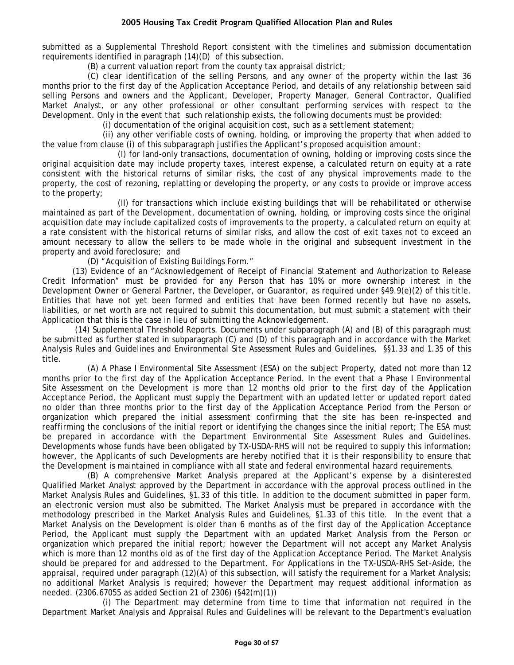submitted as a Supplemental Threshold Report consistent with the timelines and submission documentation requirements identified in paragraph (14)(D) of this subsection.

(B) a current valuation report from the county tax appraisal district;

(C) clear identification of the selling Persons, and any owner of the property within the last 36 months prior to the first day of the Application Acceptance Period, and details of any relationship between said selling Persons and owners and the Applicant, Developer, Property Manager, General Contractor, Qualified Market Analyst, or any other professional or other consultant performing services with respect to the Development. Only in the event that such relationship exists, the following documents must be provided:

(i) documentation of the original acquisition cost, such as a settlement statement;

(ii) any other verifiable costs of owning, holding, or improving the property that when added to the value from clause (i) of this subparagraph justifies the Applicant's proposed acquisition amount:

(I) for land-only transactions, documentation of owning, holding or improving costs since the original acquisition date may include property taxes, interest expense, a calculated return on equity at a rate consistent with the historical returns of similar risks, the cost of any physical improvements made to the property, the cost of rezoning, replatting or developing the property, or any costs to provide or improve access to the property;

(II) for transactions which include existing buildings that will be rehabilitated or otherwise maintained as part of the Development, documentation of owning, holding, or improving costs since the original acquisition date may include capitalized costs of improvements to the property, a calculated return on equity at a rate consistent with the historical returns of similar risks, and allow the cost of exit taxes not to exceed an amount necessary to allow the sellers to be made whole in the original and subsequent investment in the property and avoid foreclosure; and

(D) "Acquisition of Existing Buildings Form."

(13) Evidence of an "Acknowledgement of Receipt of Financial Statement and Authorization to Release Credit Information" must be provided for any Person that has 10% or more ownership interest in the Development Owner or General Partner, the Developer, or Guarantor, as required under §49.9(e)(2) of this title. Entities that have not yet been formed and entities that have been formed recently but have no assets, liabilities, or net worth are not required to submit this documentation, but must submit a statement with their Application that this is the case in lieu of submitting the Acknowledgement.

(14) Supplemental Threshold Reports. Documents under subparagraph (A) and (B) of this paragraph must be submitted as further stated in subparagraph (C) and (D) of this paragraph and in accordance with the Market Analysis Rules and Guidelines and Environmental Site Assessment Rules and Guidelines, §§1.33 and 1.35 of this title.

(A) A Phase I Environmental Site Assessment (ESA) on the subject Property, dated not more than 12 months prior to the first day of the Application Acceptance Period. In the event that a Phase I Environmental Site Assessment on the Development is more than 12 months old prior to the first day of the Application Acceptance Period, the Applicant must supply the Department with an updated letter or updated report dated no older than three months prior to the first day of the Application Acceptance Period from the Person or organization which prepared the initial assessment confirming that the site has been re-inspected and reaffirming the conclusions of the initial report or identifying the changes since the initial report; The ESA must be prepared in accordance with the Department Environmental Site Assessment Rules and Guidelines. Developments whose funds have been obligated by TX-USDA-RHS will not be required to supply this information; however, the Applicants of such Developments are hereby notified that it is their responsibility to ensure that the Development is maintained in compliance with all state and federal environmental hazard requirements.

(B) A comprehensive Market Analysis prepared at the Applicant's expense by a disinterested Qualified Market Analyst approved by the Department in accordance with the approval process outlined in the Market Analysis Rules and Guidelines, §1.33 of this title. In addition to the document submitted in paper form, an electronic version must also be submitted. The Market Analysis must be prepared in accordance with the methodology prescribed in the Market Analysis Rules and Guidelines, §1.33 of this title. In the event that a Market Analysis on the Development is older than 6 months as of the first day of the Application Acceptance Period, the Applicant must supply the Department with an updated Market Analysis from the Person or organization which prepared the initial report; however the Department will not accept any Market Analysis which is more than 12 months old as of the first day of the Application Acceptance Period. The Market Analysis should be prepared for and addressed to the Department. For Applications in the TX-USDA-RHS Set-Aside, the appraisal, required under paragraph (12)(A) of this subsection, will satisfy the requirement for a Market Analysis; no additional Market Analysis is required; however the Department may request additional information as needed. (2306.67055 as added Section 21 of 2306) (§42(m)(1))

(i) The Department may determine from time to time that information not required in the Department Market Analysis and Appraisal Rules and Guidelines will be relevant to the Department's evaluation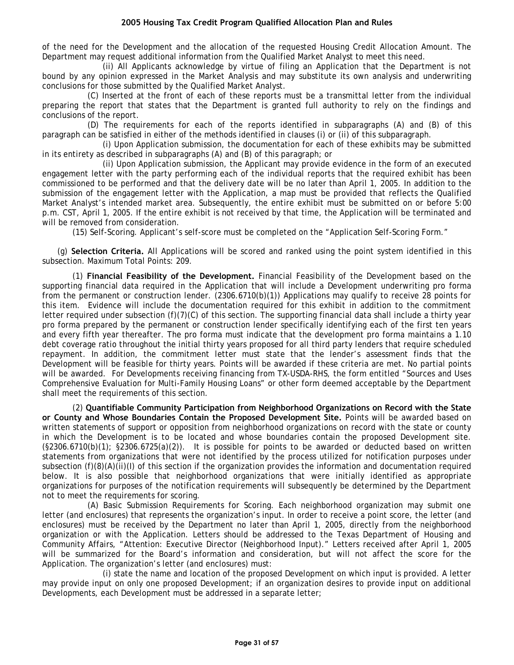of the need for the Development and the allocation of the requested Housing Credit Allocation Amount. The Department may request additional information from the Qualified Market Analyst to meet this need.

(ii) All Applicants acknowledge by virtue of filing an Application that the Department is not bound by any opinion expressed in the Market Analysis and may substitute its own analysis and underwriting conclusions for those submitted by the Qualified Market Analyst.

(C) Inserted at the front of each of these reports must be a transmittal letter from the individual preparing the report that states that the Department is granted full authority to rely on the findings and conclusions of the report.

(D) The requirements for each of the reports identified in subparagraphs (A) and (B) of this paragraph can be satisfied in either of the methods identified in clauses (i) or (ii) of this subparagraph.

(i) Upon Application submission, the documentation for each of these exhibits may be submitted in its entirety as described in subparagraphs (A) and (B) of this paragraph; or

(ii) Upon Application submission, the Applicant may provide evidence in the form of an executed engagement letter with the party performing each of the individual reports that the required exhibit has been commissioned to be performed and that the delivery date will be no later than April 1, 2005. In addition to the submission of the engagement letter with the Application, a map must be provided that reflects the Qualified Market Analyst's intended market area. Subsequently, the entire exhibit must be submitted on or before 5:00 p.m. CST, April 1, 2005. If the entire exhibit is not received by that time, the Application will be terminated and will be removed from consideration.

(15) Self-Scoring. Applicant's self-score must be completed on the "Application Self-Scoring Form."

(g) **Selection Criteria.** All Applications will be scored and ranked using the point system identified in this subsection. Maximum Total Points: 209.

(1) **Financial Feasibility of the Development.** Financial Feasibility of the Development based on the supporting financial data required in the Application that will include a Development underwriting pro forma from the permanent or construction lender. (2306.6710(b)(1)) Applications may qualify to receive 28 points for this item. Evidence will include the documentation required for this exhibit in addition to the commitment letter required under subsection  $(f)(7)(C)$  of this section. The supporting financial data shall include a thirty year pro forma prepared by the permanent or construction lender specifically identifying each of the first ten years and every fifth year thereafter. The pro forma must indicate that the development pro forma maintains a 1.10 debt coverage ratio throughout the initial thirty years proposed for all third party lenders that require scheduled repayment. In addition, the commitment letter must state that the lender's assessment finds that the Development will be feasible for thirty years. Points will be awarded if these criteria are met. No partial points will be awarded. For Developments receiving financing from TX-USDA-RHS, the form entitled "Sources and Uses Comprehensive Evaluation for Multi-Family Housing Loans" or other form deemed acceptable by the Department shall meet the requirements of this section.

(2) **Quantifiable Community Participation from Neighborhood Organizations on Record with the State or County and Whose Boundaries Contain the Proposed Development Site.** Points will be awarded based on written statements of support or opposition from neighborhood organizations on record with the state or county in which the Development is to be located and whose boundaries contain the proposed Development site.  $(S2306.6710(b)(1); S2306.6725(a)(2))$ . It is possible for points to be awarded or deducted based on written statements from organizations that were not identified by the process utilized for notification purposes under subsection (f)(8)(A)(ii)(I) of this section if the organization provides the information and documentation required below. It is also possible that neighborhood organizations that were initially identified as appropriate organizations for purposes of the notification requirements will subsequently be determined by the Department not to meet the requirements for scoring.

(A) Basic Submission Requirements for Scoring. Each neighborhood organization may submit one letter (and enclosures) that represents the organization's input. In order to receive a point score, the letter (and enclosures) must be received by the Department no later than April 1, 2005, directly from the neighborhood organization or with the Application. Letters should be addressed to the Texas Department of Housing and Community Affairs, "Attention: Executive Director (Neighborhood Input)." Letters received after April 1, 2005 will be summarized for the Board's information and consideration, but will not affect the score for the Application. The organization's letter (and enclosures) must:

(i) state the name and location of the proposed Development on which input is provided. A letter may provide input on only one proposed Development; if an organization desires to provide input on additional Developments, each Development must be addressed in a separate letter;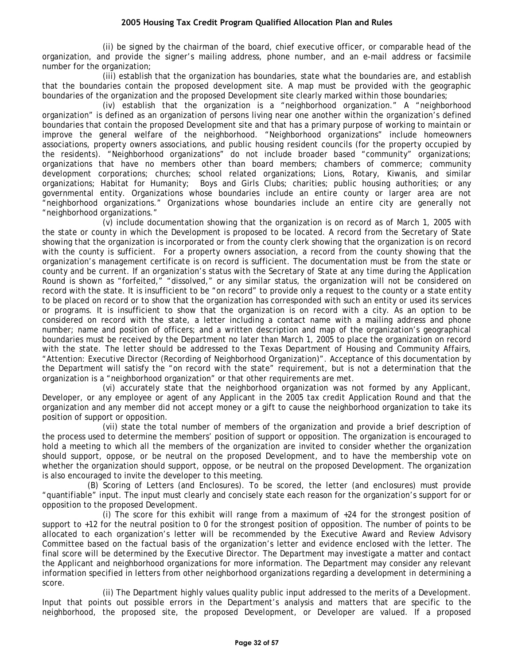(ii) be signed by the chairman of the board, chief executive officer, or comparable head of the organization, and provide the signer's mailing address, phone number, and an e-mail address or facsimile number for the organization;

(iii) establish that the organization has boundaries, state what the boundaries are, and establish that the boundaries contain the proposed development site. A map must be provided with the geographic boundaries of the organization and the proposed Development site clearly marked within those boundaries;

(iv) establish that the organization is a "neighborhood organization." A "neighborhood organization" is defined as an organization of persons living near one another within the organization's defined boundaries that contain the proposed Development site and that has a primary purpose of working to maintain or improve the general welfare of the neighborhood. "Neighborhood organizations" include homeowners associations, property owners associations, and public housing resident councils (for the property occupied by the residents). "Neighborhood organizations" do not include broader based "community" organizations; organizations that have no members other than board members; chambers of commerce; community development corporations; churches; school related organizations; Lions, Rotary, Kiwanis, and similar organizations; Habitat for Humanity; Boys and Girls Clubs; charities; public housing authorities; or any governmental entity. Organizations whose boundaries include an entire county or larger area are not "neighborhood organizations." Organizations whose boundaries include an entire city are generally not "neighborhood organizations."

(v) include documentation showing that the organization is on record as of March 1, 2005 with the state or county in which the Development is proposed to be located. A record from the Secretary of State showing that the organization is incorporated or from the county clerk showing that the organization is on record with the county is sufficient. For a property owners association, a record from the county showing that the organization's management certificate is on record is sufficient. The documentation must be from the state or county and be current. If an organization's status with the Secretary of State at any time during the Application Round is shown as "forfeited," "dissolved," or any similar status, the organization will not be considered on record with the state. It is insufficient to be "on record" to provide only a request to the county or a state entity to be placed on record or to show that the organization has corresponded with such an entity or used its services or programs. It is insufficient to show that the organization is on record with a city. As an option to be considered on record with the state, a letter including a contact name with a mailing address and phone number; name and position of officers; and a written description and map of the organization's geographical boundaries must be received by the Department no later than March 1, 2005 to place the organization on record with the state. The letter should be addressed to the Texas Department of Housing and Community Affairs, "Attention: Executive Director (Recording of Neighborhood Organization)". Acceptance of this documentation by the Department will satisfy the "on record with the state" requirement, but is not a determination that the organization is a "neighborhood organization" or that other requirements are met.

(vi) accurately state that the neighborhood organization was not formed by any Applicant, Developer, or any employee or agent of any Applicant in the 2005 tax credit Application Round and that the organization and any member did not accept money or a gift to cause the neighborhood organization to take its position of support or opposition.

(vii) state the total number of members of the organization and provide a brief description of the process used to determine the members' position of support or opposition. The organization is encouraged to hold a meeting to which all the members of the organization are invited to consider whether the organization should support, oppose, or be neutral on the proposed Development, and to have the membership vote on whether the organization should support, oppose, or be neutral on the proposed Development. The organization is also encouraged to invite the developer to this meeting.

(B) Scoring of Letters (and Enclosures). To be scored, the letter (and enclosures) must provide "quantifiable" input. The input must clearly and concisely state each reason for the organization's support for or opposition to the proposed Development.

(i) The score for this exhibit will range from a maximum of +24 for the strongest position of support to +12 for the neutral position to 0 for the strongest position of opposition. The number of points to be allocated to each organization's letter will be recommended by the Executive Award and Review Advisory Committee based on the factual basis of the organization's letter and evidence enclosed with the letter. The final score will be determined by the Executive Director. The Department may investigate a matter and contact the Applicant and neighborhood organizations for more information. The Department may consider any relevant information specified in letters from other neighborhood organizations regarding a development in determining a score.

(ii) The Department highly values quality public input addressed to the merits of a Development. Input that points out possible errors in the Department's analysis and matters that are specific to the neighborhood, the proposed site, the proposed Development, or Developer are valued. If a proposed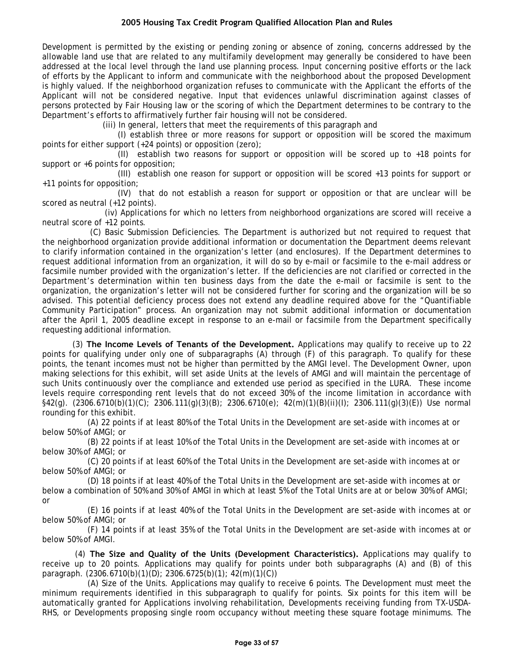Development is permitted by the existing or pending zoning or absence of zoning, concerns addressed by the allowable land use that are related to any multifamily development may generally be considered to have been addressed at the local level through the land use planning process. Input concerning positive efforts or the lack of efforts by the Applicant to inform and communicate with the neighborhood about the proposed Development is highly valued. If the neighborhood organization refuses to communicate with the Applicant the efforts of the Applicant will not be considered negative. Input that evidences unlawful discrimination against classes of persons protected by Fair Housing law or the scoring of which the Department determines to be contrary to the Department's efforts to affirmatively further fair housing will not be considered.

(iii) In general, letters that meet the requirements of this paragraph and

(I) establish three or more reasons for support or opposition will be scored the maximum points for either support (+24 points) or opposition (zero);

(II) establish two reasons for support or opposition will be scored up to  $+18$  points for support or +6 points for opposition;

(III) establish one reason for support or opposition will be scored +13 points for support or +11 points for opposition;

(IV) that do not establish a reason for support or opposition or that are unclear will be scored as neutral (+12 points).

(iv) Applications for which no letters from neighborhood organizations are scored will receive a neutral score of +12 points.

(C) Basic Submission Deficiencies. The Department is authorized but not required to request that the neighborhood organization provide additional information or documentation the Department deems relevant to clarify information contained in the organization's letter (and enclosures). If the Department determines to request additional information from an organization, it will do so by e-mail or facsimile to the e-mail address or facsimile number provided with the organization's letter. If the deficiencies are not clarified or corrected in the Department's determination within ten business days from the date the e-mail or facsimile is sent to the organization, the organization's letter will not be considered further for scoring and the organization will be so advised. This potential deficiency process does not extend any deadline required above for the "Quantifiable Community Participation" process. An organization may not submit additional information or documentation after the April 1, 2005 deadline except in response to an e-mail or facsimile from the Department specifically requesting additional information.

(3) **The Income Levels of Tenants of the Development.** Applications may qualify to receive up to 22 points for qualifying under only one of subparagraphs (A) through (F) of this paragraph. To qualify for these points, the tenant incomes must not be higher than permitted by the AMGI level. The Development Owner, upon making selections for this exhibit, will set aside Units at the levels of AMGI and will maintain the percentage of such Units continuously over the compliance and extended use period as specified in the LURA. These income levels require corresponding rent levels that do not exceed 30% of the income limitation in accordance with §42(g). (2306.6710(b)(1)(C); 2306.111(g)(3)(B); 2306.6710(e); 42(m)(1)(B)(ii)(I); 2306.111(g)(3)(E)) Use normal rounding for this exhibit.

(A) 22 points if at least 80% of the Total Units in the Development are set-aside with incomes at or below 50% of AMGI; or

(B) 22 points if at least 10% of the Total Units in the Development are set-aside with incomes at or below 30% of AMGI; or

(C) 20 points if at least 60% of the Total Units in the Development are set-aside with incomes at or below 50% of AMGI; or

(D) 18 points if at least 40% of the Total Units in the Development are set-aside with incomes at or below a combination of 50% and 30% of AMGI in which at least 5% of the Total Units are at or below 30% of AMGI; or

(E) 16 points if at least 40% of the Total Units in the Development are set-aside with incomes at or below 50% of AMGI; or

(F) 14 points if at least 35% of the Total Units in the Development are set-aside with incomes at or below 50% of AMGI.

 (4) **The Size and Quality of the Units (Development Characteristics).** Applications may qualify to receive up to 20 points. Applications may qualify for points under both subparagraphs (A) and (B) of this paragraph. (2306.6710(b)(1)(D); 2306.6725(b)(1); 42(m)(1)(C))

(A) Size of the Units. Applications may qualify to receive 6 points. The Development must meet the minimum requirements identified in this subparagraph to qualify for points. Six points for this item will be automatically granted for Applications involving rehabilitation, Developments receiving funding from TX-USDA-RHS, or Developments proposing single room occupancy without meeting these square footage minimums. The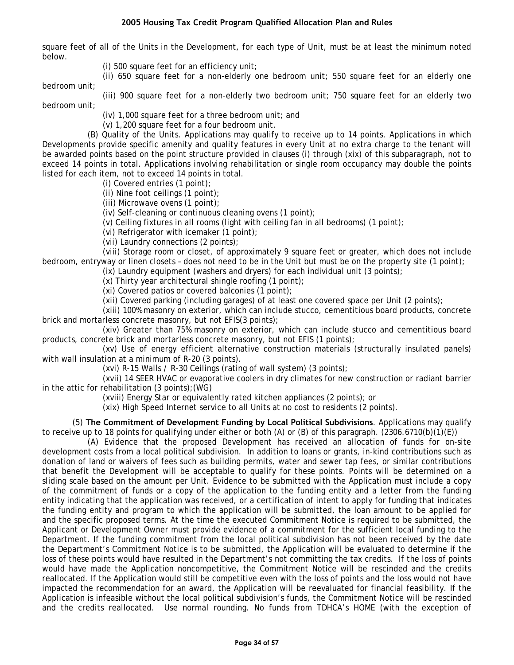square feet of all of the Units in the Development, for each type of Unit, must be at least the minimum noted below.

- (i) 500 square feet for an efficiency unit;
- (ii) 650 square feet for a non-elderly one bedroom unit; 550 square feet for an elderly one

bedroom unit;

(iii) 900 square feet for a non-elderly two bedroom unit; 750 square feet for an elderly two

bedroom unit; (iv) 1,000 square feet for a three bedroom unit; and

(v) 1,200 square feet for a four bedroom unit.

(B) Quality of the Units. Applications may qualify to receive up to 14 points. Applications in which Developments provide specific amenity and quality features in every Unit at no extra charge to the tenant will be awarded points based on the point structure provided in clauses (i) through (xix) of this subparagraph, not to exceed 14 points in total. Applications involving rehabilitation or single room occupancy may double the points listed for each item, not to exceed 14 points in total.

(i) Covered entries (1 point);

(ii) Nine foot ceilings (1 point);

(iii) Microwave ovens (1 point);

(iv) Self-cleaning or continuous cleaning ovens (1 point);

(v) Ceiling fixtures in all rooms (light with ceiling fan in all bedrooms) (1 point);

(vi) Refrigerator with icemaker (1 point);

(vii) Laundry connections (2 points);

(viii) Storage room or closet, of approximately 9 square feet or greater, which does not include bedroom, entryway or linen closets – does not need to be in the Unit but must be on the property site (1 point);

(ix) Laundry equipment (washers and dryers) for each individual unit (3 points);

(x) Thirty year architectural shingle roofing (1 point);

(xi) Covered patios or covered balconies (1 point);

(xii) Covered parking (including garages) of at least one covered space per Unit (2 points);

(xiii) 100% masonry on exterior, which can include stucco, cementitious board products, concrete brick and mortarless concrete masonry, but not EFIS(3 points);

(xiv) Greater than 75% masonry on exterior, which can include stucco and cementitious board products, concrete brick and mortarless concrete masonry, but not EFIS (1 points);

(xv) Use of energy efficient alternative construction materials (structurally insulated panels) with wall insulation at a minimum of R-20 (3 points).

(xvi) R-15 Walls / R-30 Ceilings (rating of wall system) (3 points);

(xvii) 14 SEER HVAC or evaporative coolers in dry climates for new construction or radiant barrier in the attic for rehabilitation (3 points);(WG)

(xviii) Energy Star or equivalently rated kitchen appliances (2 points); or

(xix) High Speed Internet service to all Units at no cost to residents (2 points).

(5) **The Commitment of Development Funding by Local Political Subdivisions**. Applications may qualify to receive up to 18 points for qualifying under either or both (A) or (B) of this paragraph. (2306.6710(b)(1)(E))

(A) Evidence that the proposed Development has received an allocation of funds for on-site development costs from a local political subdivision. In addition to loans or grants, in-kind contributions such as donation of land or waivers of fees such as building permits, water and sewer tap fees, or similar contributions that benefit the Development will be acceptable to qualify for these points. Points will be determined on a sliding scale based on the amount per Unit. Evidence to be submitted with the Application must include a copy of the commitment of funds or a copy of the application to the funding entity and a letter from the funding entity indicating that the application was received, or a certification of intent to apply for funding that indicates the funding entity and program to which the application will be submitted, the loan amount to be applied for and the specific proposed terms. At the time the executed Commitment Notice is required to be submitted, the Applicant or Development Owner must provide evidence of a commitment for the sufficient local funding to the Department. If the funding commitment from the local political subdivision has not been received by the date the Department's Commitment Notice is to be submitted, the Application will be evaluated to determine if the loss of these points would have resulted in the Department's not committing the tax credits. If the loss of points would have made the Application noncompetitive, the Commitment Notice will be rescinded and the credits reallocated. If the Application would still be competitive even with the loss of points and the loss would not have impacted the recommendation for an award, the Application will be reevaluated for financial feasibility. If the Application is infeasible without the local political subdivision's funds, the Commitment Notice will be rescinded and the credits reallocated. Use normal rounding. No funds from TDHCA's HOME (with the exception of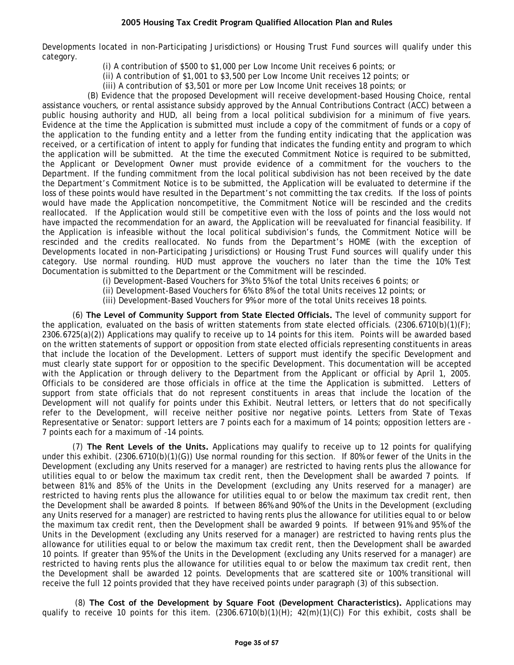Developments located in non-Participating Jurisdictions) or Housing Trust Fund sources will qualify under this category.

(i) A contribution of \$500 to \$1,000 per Low Income Unit receives 6 points; or

(ii) A contribution of \$1,001 to \$3,500 per Low Income Unit receives 12 points; or

(iii) A contribution of \$3,501 or more per Low Income Unit receives 18 points; or

(B) Evidence that the proposed Development will receive development-based Housing Choice, rental assistance vouchers, or rental assistance subsidy approved by the Annual Contributions Contract (ACC) between a public housing authority and HUD, all being from a local political subdivision for a minimum of five years. Evidence at the time the Application is submitted must include a copy of the commitment of funds or a copy of the application to the funding entity and a letter from the funding entity indicating that the application was received, or a certification of intent to apply for funding that indicates the funding entity and program to which the application will be submitted. At the time the executed Commitment Notice is required to be submitted, the Applicant or Development Owner must provide evidence of a commitment for the vouchers to the Department. If the funding commitment from the local political subdivision has not been received by the date the Department's Commitment Notice is to be submitted, the Application will be evaluated to determine if the loss of these points would have resulted in the Department's not committing the tax credits. If the loss of points would have made the Application noncompetitive, the Commitment Notice will be rescinded and the credits reallocated. If the Application would still be competitive even with the loss of points and the loss would not have impacted the recommendation for an award, the Application will be reevaluated for financial feasibility. If the Application is infeasible without the local political subdivision's funds, the Commitment Notice will be rescinded and the credits reallocated. No funds from the Department's HOME (with the exception of Developments located in non-Participating Jurisdictions) or Housing Trust Fund sources will qualify under this category. Use normal rounding. HUD must approve the vouchers no later than the time the 10% Test Documentation is submitted to the Department or the Commitment will be rescinded.

(i) Development-Based Vouchers for 3% to 5% of the total Units receives 6 points; or

(ii) Development-Based Vouchers for 6% to 8% of the total Units receives 12 points; or

(iii) Development-Based Vouchers for 9% or more of the total Units receives 18 points.

(6) **The Level of Community Support from State Elected Officials.** The level of community support for the application, evaluated on the basis of written statements from state elected officials.  $(2306.6710(b)(1)(F);$ 2306.6725(a)(2)) Applications may qualify to receive up to 14 points for this item. Points will be awarded based on the written statements of support or opposition from state elected officials representing constituents in areas that include the location of the Development. Letters of support must identify the specific Development and must clearly state support for or opposition to the specific Development. This documentation will be accepted with the Application or through delivery to the Department from the Applicant or official by April 1, 2005. Officials to be considered are those officials in office at the time the Application is submitted. Letters of support from state officials that do not represent constituents in areas that include the location of the Development will not qualify for points under this Exhibit. Neutral letters, or letters that do not specifically refer to the Development, will receive neither positive nor negative points. Letters from State of Texas Representative or Senator: support letters are 7 points each for a maximum of 14 points; opposition letters are - 7 points each for a maximum of -14 points.

(7) **The Rent Levels of the Units.** Applications may qualify to receive up to 12 points for qualifying under this exhibit. (2306.6710(b)(1)(G)) Use normal rounding for this section. If 80% or fewer of the Units in the Development (excluding any Units reserved for a manager) are restricted to having rents plus the allowance for utilities equal to or below the maximum tax credit rent, then the Development shall be awarded 7 points. If between 81% and 85% of the Units in the Development (excluding any Units reserved for a manager) are restricted to having rents plus the allowance for utilities equal to or below the maximum tax credit rent, then the Development shall be awarded 8 points. If between 86% and 90% of the Units in the Development (excluding any Units reserved for a manager) are restricted to having rents plus the allowance for utilities equal to or below the maximum tax credit rent, then the Development shall be awarded 9 points. If between 91% and 95% of the Units in the Development (excluding any Units reserved for a manager) are restricted to having rents plus the allowance for utilities equal to or below the maximum tax credit rent, then the Development shall be awarded 10 points. If greater than 95% of the Units in the Development (excluding any Units reserved for a manager) are restricted to having rents plus the allowance for utilities equal to or below the maximum tax credit rent, then the Development shall be awarded 12 points. Developments that are scattered site or 100% transitional will receive the full 12 points provided that they have received points under paragraph (3) of this subsection.

 (8) **The Cost of the Development by Square Foot (Development Characteristics).** Applications may qualify to receive 10 points for this item.  $(2306.6710(b)(1)(H); 42(m)(1)(C))$  For this exhibit, costs shall be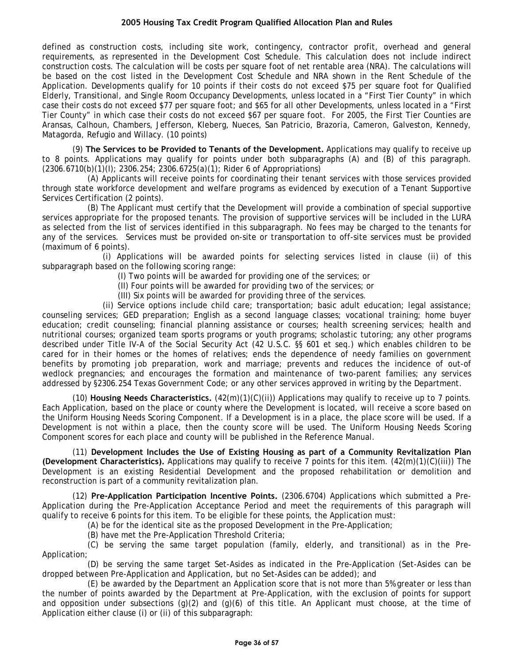defined as construction costs, including site work, contingency, contractor profit, overhead and general requirements, as represented in the Development Cost Schedule. This calculation does not include indirect construction costs. The calculation will be costs per square foot of net rentable area (NRA). The calculations will be based on the cost listed in the Development Cost Schedule and NRA shown in the Rent Schedule of the Application. Developments qualify for 10 points if their costs do not exceed \$75 per square foot for Qualified Elderly, Transitional, and Single Room Occupancy Developments, unless located in a "First Tier County" in which case their costs do not exceed \$77 per square foot; and \$65 for all other Developments, unless located in a "First Tier County" in which case their costs do not exceed \$67 per square foot. For 2005, the First Tier Counties are Aransas, Calhoun, Chambers, Jefferson, Kleberg, Nueces, San Patricio, Brazoria, Cameron, Galveston, Kennedy, Matagorda, Refugio and Willacy. (10 points)

(9) **The Services to be Provided to Tenants of the Development.** Applications may qualify to receive up to 8 points. Applications may qualify for points under both subparagraphs (A) and (B) of this paragraph.  $(2306.6710(b)(1)(l); 2306.254; 2306.6725(a)(1);$  Rider 6 of Appropriations)

(A) Applicants will receive points for coordinating their tenant services with those services provided through state workforce development and welfare programs as evidenced by execution of a Tenant Supportive Services Certification (2 points).

(B) The Applicant must certify that the Development will provide a combination of special supportive services appropriate for the proposed tenants. The provision of supportive services will be included in the LURA as selected from the list of services identified in this subparagraph. No fees may be charged to the tenants for any of the services. Services must be provided on-site or transportation to off-site services must be provided (maximum of 6 points).

(i) Applications will be awarded points for selecting services listed in clause (ii) of this subparagraph based on the following scoring range:

- (I) Two points will be awarded for providing one of the services; or
- (II) Four points will be awarded for providing two of the services; or
- (III) Six points will be awarded for providing three of the services.

(ii) Service options include child care; transportation; basic adult education; legal assistance; counseling services; GED preparation; English as a second language classes; vocational training; home buyer education; credit counseling; financial planning assistance or courses; health screening services; health and nutritional courses; organized team sports programs or youth programs; scholastic tutoring; any other programs described under Title IV-A of the Social Security Act (42 U.S.C. §§ 601 et seq.) which enables children to be cared for in their homes or the homes of relatives; ends the dependence of needy families on government benefits by promoting job preparation, work and marriage; prevents and reduces the incidence of out-of wedlock pregnancies; and encourages the formation and maintenance of two-parent families; any services addressed by §2306.254 Texas Government Code; or any other services approved in writing by the Department.

(10) **Housing Needs Characteristics.** (42(m)(1)(C)(ii)) Applications may qualify to receive up to 7 points. Each Application, based on the place or county where the Development is located, will receive a score based on the Uniform Housing Needs Scoring Component. If a Development is in a place, the place score will be used. If a Development is not within a place, then the county score will be used. The Uniform Housing Needs Scoring Component scores for each place and county will be published in the Reference Manual.

(11) **Development Includes the Use of Existing Housing as part of a Community Revitalization Plan (Development Characteristics).** Applications may qualify to receive 7 points for this item. (42(m)(1)(C)(iii)) The Development is an existing Residential Development and the proposed rehabilitation or demolition and reconstruction is part of a community revitalization plan.

(12) **Pre-Application Participation Incentive Points.** (2306.6704) Applications which submitted a Pre-Application during the Pre-Application Acceptance Period and meet the requirements of this paragraph will qualify to receive 6 points for this item. To be eligible for these points, the Application must:

(A) be for the identical site as the proposed Development in the Pre-Application;

(B) have met the Pre-Application Threshold Criteria;

(C) be serving the same target population (family, elderly, and transitional) as in the Pre-Application;

(D) be serving the same target Set-Asides as indicated in the Pre-Application (Set-Asides can be dropped between Pre-Application and Application, but no Set-Asides can be added); and

(E) be awarded by the Department an Application score that is not more than 5% greater or less than the number of points awarded by the Department at Pre-Application, with the exclusion of points for support and opposition under subsections (g)(2) and (g)(6) of this title. An Applicant must choose, at the time of Application either clause (i) or (ii) of this subparagraph: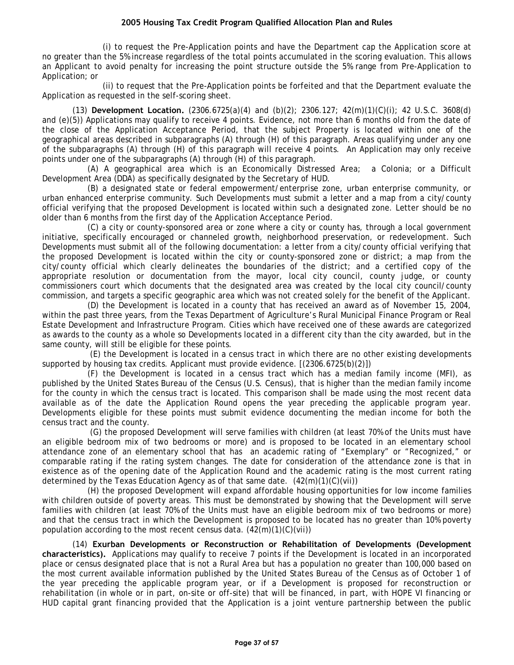(i) to request the Pre-Application points and have the Department cap the Application score at no greater than the 5% increase regardless of the total points accumulated in the scoring evaluation. This allows an Applicant to avoid penalty for increasing the point structure outside the 5% range from Pre-Application to Application; or

(ii) to request that the Pre-Application points be forfeited and that the Department evaluate the Application as requested in the self-scoring sheet.

(13) **Development Location.** (2306.6725(a)(4) and (b)(2); 2306.127; 42(m)(1)(C)(i); 42 U.S.C. 3608(d) and (e)(5)) Applications may qualify to receive 4 points. Evidence, not more than 6 months old from the date of the close of the Application Acceptance Period, that the subject Property is located within one of the geographical areas described in subparagraphs (A) through (H) of this paragraph. Areas qualifying under any one of the subparagraphs (A) through (H) of this paragraph will receive 4 points. An Application may only receive points under one of the subparagraphs (A) through (H) of this paragraph.

(A) A geographical area which is an Economically Distressed Area; a Colonia; or a Difficult Development Area (DDA) as specifically designated by the Secretary of HUD.

(B) a designated state or federal empowerment/enterprise zone, urban enterprise community, or urban enhanced enterprise community. Such Developments must submit a letter and a map from a city/county official verifying that the proposed Development is located within such a designated zone. Letter should be no older than 6 months from the first day of the Application Acceptance Period.

(C) a city or county-sponsored area or zone where a city or county has, through a local government initiative, specifically encouraged or channeled growth, neighborhood preservation, or redevelopment. Such Developments must submit all of the following documentation: a letter from a city/county official verifying that the proposed Development is located within the city or county-sponsored zone or district; a map from the city/county official which clearly delineates the boundaries of the district; and a certified copy of the appropriate resolution or documentation from the mayor, local city council, county judge, or county commissioners court which documents that the designated area was created by the local city council/county commission, and targets a specific geographic area which was not created solely for the benefit of the Applicant.

(D) the Development is located in a county that has received an award as of November 15, 2004, within the past three years, from the Texas Department of Agriculture's Rural Municipal Finance Program or Real Estate Development and Infrastructure Program. Cities which have received one of these awards are categorized as awards to the county as a whole so Developments located in a different city than the city awarded, but in the same county, will still be eligible for these points.

(E) the Development is located in a census tract in which there are no other existing developments supported by housing tax credits. Applicant must provide evidence. [(2306.6725(b)(2)])

(F) the Development is located in a census tract which has a median family income (MFI), as published by the United States Bureau of the Census (U.S. Census), that is higher than the median family income for the county in which the census tract is located. This comparison shall be made using the most recent data available as of the date the Application Round opens the year preceding the applicable program year. Developments eligible for these points must submit evidence documenting the median income for both the census tract and the county.

(G) the proposed Development will serve families with children (at least 70% of the Units must have an eligible bedroom mix of two bedrooms or more) and is proposed to be located in an elementary school attendance zone of an elementary school that has an academic rating of "Exemplary" or "Recognized," or comparable rating if the rating system changes. The date for consideration of the attendance zone is that in existence as of the opening date of the Application Round and the academic rating is the most current rating determined by the Texas Education Agency as of that same date.  $(42(m)(1)(C)(vi))$ 

(H) the proposed Development will expand affordable housing opportunities for low income families with children outside of poverty areas. This must be demonstrated by showing that the Development will serve families with children (at least 70% of the Units must have an eligible bedroom mix of two bedrooms or more) and that the census tract in which the Development is proposed to be located has no greater than 10% poverty population according to the most recent census data.  $(42(m)(1)(C)(vi))$ 

(14) **Exurban Developments or Reconstruction or Rehabilitation of Developments (Development characteristics).** Applications may qualify to receive 7 points if the Development is located in an incorporated place or census designated place that is not a Rural Area but has a population no greater than 100,000 based on the most current available information published by the United States Bureau of the Census as of October 1 of the year preceding the applicable program year, or if a Development is proposed for reconstruction or rehabilitation (in whole or in part, on-site or off-site) that will be financed, in part, with HOPE VI financing or HUD capital grant financing provided that the Application is a joint venture partnership between the public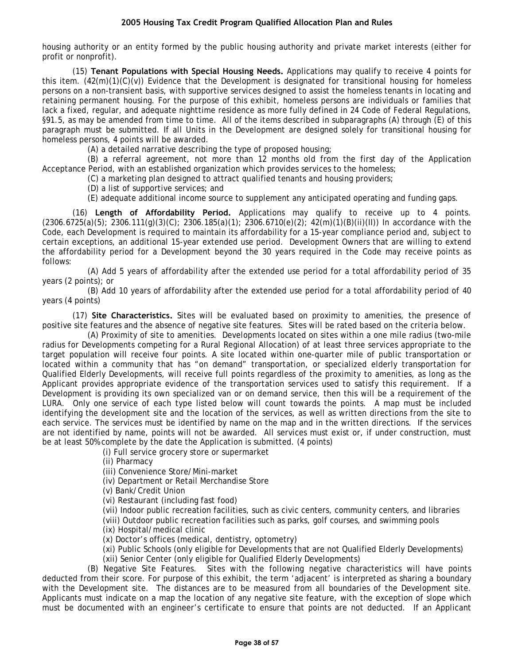housing authority or an entity formed by the public housing authority and private market interests (either for profit or nonprofit).

(15) **Tenant Populations with Special Housing Needs.** Applications may qualify to receive 4 points for this item. (42(m)(1)(C)(v)) Evidence that the Development is designated for transitional housing for homeless persons on a non-transient basis, with supportive services designed to assist the homeless tenants in locating and retaining permanent housing. For the purpose of this exhibit, homeless persons are individuals or families that lack a fixed, regular, and adequate nighttime residence as more fully defined in 24 Code of Federal Regulations, §91.5, as may be amended from time to time. All of the items described in subparagraphs (A) through (E) of this paragraph must be submitted. If all Units in the Development are designed solely for transitional housing for homeless persons, 4 points will be awarded.

(A) a detailed narrative describing the type of proposed housing;

(B) a referral agreement, not more than 12 months old from the first day of the Application Acceptance Period, with an established organization which provides services to the homeless;

(C) a marketing plan designed to attract qualified tenants and housing providers;

(D) a list of supportive services; and

(E) adequate additional income source to supplement any anticipated operating and funding gaps.

(16) **Length of Affordability Period.** Applications may qualify to receive up to 4 points.  $(2306.6725(a)(5); 2306.111(g)(3)(C); 2306.185(a)(1); 2306.6710(e)(2); 42(m)(1)(B)(ii)(II))$  In accordance with the Code, each Development is required to maintain its affordability for a 15-year compliance period and, subject to certain exceptions, an additional 15-year extended use period. Development Owners that are willing to extend the affordability period for a Development beyond the 30 years required in the Code may receive points as follows:

(A) Add 5 years of affordability after the extended use period for a total affordability period of 35 years (2 points); or

(B) Add 10 years of affordability after the extended use period for a total affordability period of 40 years (4 points)

(17) **Site Characteristics.** Sites will be evaluated based on proximity to amenities, the presence of positive site features and the absence of negative site features. Sites will be rated based on the criteria below.

(A) Proximity of site to amenities. Developments located on sites within a one mile radius (two-mile radius for Developments competing for a Rural Regional Allocation) of at least three services appropriate to the target population will receive four points. A site located within one-quarter mile of public transportation or located within a community that has "on demand" transportation, or specialized elderly transportation for Qualified Elderly Developments, will receive full points regardless of the proximity to amenities, as long as the Applicant provides appropriate evidence of the transportation services used to satisfy this requirement. If a Development is providing its own specialized van or on demand service, then this will be a requirement of the LURA. Only one service of each type listed below will count towards the points. A map must be included identifying the development site and the location of the services, as well as written directions from the site to each service. The services must be identified by name on the map and in the written directions. If the services are not identified by name, points will not be awarded. All services must exist or, if under construction, must be at least 50% complete by the date the Application is submitted. (4 points)

(i) Full service grocery store or supermarket

(ii) Pharmacy

(iii) Convenience Store/Mini-market

(iv) Department or Retail Merchandise Store

(v) Bank/Credit Union

(vi) Restaurant (including fast food)

(vii) Indoor public recreation facilities, such as civic centers, community centers, and libraries

(viii) Outdoor public recreation facilities such as parks, golf courses, and swimming pools

(ix) Hospital/medical clinic

(x) Doctor's offices (medical, dentistry, optometry)

(xi) Public Schools (only eligible for Developments that are not Qualified Elderly Developments) (xii) Senior Center (only eligible for Qualified Elderly Developments)

(B) Negative Site Features. Sites with the following negative characteristics will have points deducted from their score. For purpose of this exhibit, the term 'adjacent' is interpreted as sharing a boundary with the Development site. The distances are to be measured from all boundaries of the Development site. Applicants must indicate on a map the location of any negative site feature, with the exception of slope which must be documented with an engineer's certificate to ensure that points are not deducted. If an Applicant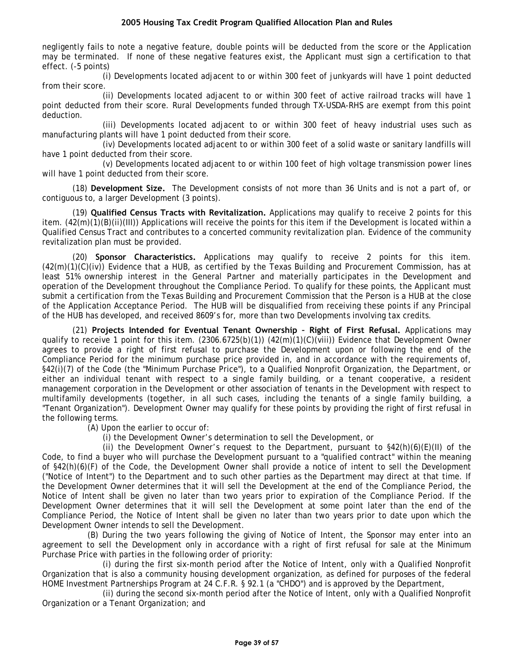negligently fails to note a negative feature, double points will be deducted from the score or the Application may be terminated. If none of these negative features exist, the Applicant must sign a certification to that effect. (-5 points)

(i) Developments located adjacent to or within 300 feet of junkyards will have 1 point deducted from their score.

(ii) Developments located adjacent to or within 300 feet of active railroad tracks will have 1 point deducted from their score. Rural Developments funded through TX-USDA-RHS are exempt from this point deduction.

(iii) Developments located adjacent to or within 300 feet of heavy industrial uses such as manufacturing plants will have 1 point deducted from their score.

(iv) Developments located adjacent to or within 300 feet of a solid waste or sanitary landfills will have 1 point deducted from their score.

(v) Developments located adjacent to or within 100 feet of high voltage transmission power lines will have 1 point deducted from their score.

(18) **Development Size.** The Development consists of not more than 36 Units and is not a part of, or contiguous to, a larger Development (3 points).

(19) **Qualified Census Tracts with Revitalization.** Applications may qualify to receive 2 points for this item. (42(m)(1)(B)(ii)(III)) Applications will receive the points for this item if the Development is located within a Qualified Census Tract and contributes to a concerted community revitalization plan. Evidence of the community revitalization plan must be provided.

(20) **Sponsor Characteristics.** Applications may qualify to receive 2 points for this item. (42(m)(1)(C)(iv)) Evidence that a HUB, as certified by the Texas Building and Procurement Commission, has at least 51% ownership interest in the General Partner and materially participates in the Development and operation of the Development throughout the Compliance Period. To qualify for these points, the Applicant must submit a certification from the Texas Building and Procurement Commission that the Person is a HUB at the close of the Application Acceptance Period. The HUB will be disqualified from receiving these points if any Principal of the HUB has developed, and received 8609's for, more than two Developments involving tax credits.

(21) **Projects Intended for Eventual Tenant Ownership – Right of First Refusal.** Applications may qualify to receive 1 point for this item. (2306.6725(b)(1)) (42(m)(1)(C)(viii)) Evidence that Development Owner agrees to provide a right of first refusal to purchase the Development upon or following the end of the Compliance Period for the minimum purchase price provided in, and in accordance with the requirements of, §42(i)(7) of the Code (the "Minimum Purchase Price"), to a Qualified Nonprofit Organization, the Department, or either an individual tenant with respect to a single family building, or a tenant cooperative, a resident management corporation in the Development or other association of tenants in the Development with respect to multifamily developments (together, in all such cases, including the tenants of a single family building, a "Tenant Organization"). Development Owner may qualify for these points by providing the right of first refusal in the following terms.

(A) Upon the earlier to occur of:

(i) the Development Owner's determination to sell the Development, or

(ii) the Development Owner's request to the Department, pursuant to  $\S42(h)(6)(E)(II)$  of the Code, to find a buyer who will purchase the Development pursuant to a "qualified contract" within the meaning of §42(h)(6)(F) of the Code, the Development Owner shall provide a notice of intent to sell the Development ("Notice of Intent") to the Department and to such other parties as the Department may direct at that time. If the Development Owner determines that it will sell the Development at the end of the Compliance Period, the Notice of Intent shall be given no later than two years prior to expiration of the Compliance Period. If the Development Owner determines that it will sell the Development at some point later than the end of the Compliance Period, the Notice of Intent shall be given no later than two years prior to date upon which the Development Owner intends to sell the Development.

(B) During the two years following the giving of Notice of Intent, the Sponsor may enter into an agreement to sell the Development only in accordance with a right of first refusal for sale at the Minimum Purchase Price with parties in the following order of priority:

(i) during the first six-month period after the Notice of Intent, only with a Qualified Nonprofit Organization that is also a community housing development organization, as defined for purposes of the federal HOME Investment Partnerships Program at 24 C.F.R. § 92.1 (a "CHDO") and is approved by the Department,

(ii) during the second six-month period after the Notice of Intent, only with a Qualified Nonprofit Organization or a Tenant Organization; and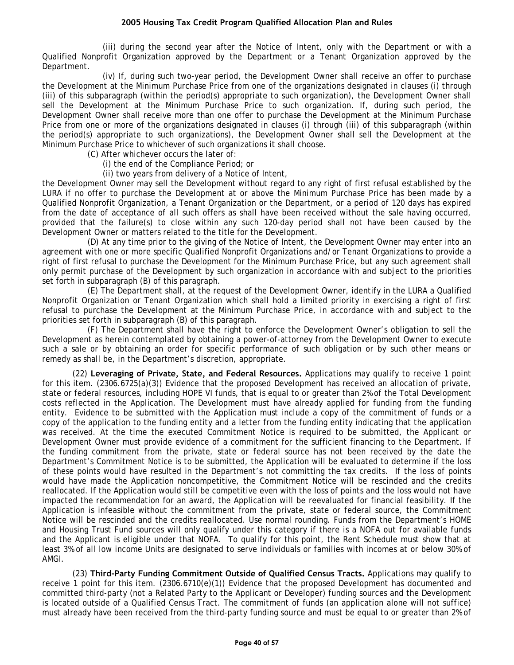(iii) during the second year after the Notice of Intent, only with the Department or with a Qualified Nonprofit Organization approved by the Department or a Tenant Organization approved by the Department.

(iv) If, during such two-year period, the Development Owner shall receive an offer to purchase the Development at the Minimum Purchase Price from one of the organizations designated in clauses (i) through (iii) of this subparagraph (within the period(s) appropriate to such organization), the Development Owner shall sell the Development at the Minimum Purchase Price to such organization. If, during such period, the Development Owner shall receive more than one offer to purchase the Development at the Minimum Purchase Price from one or more of the organizations designated in clauses (i) through (iii) of this subparagraph (within the period(s) appropriate to such organizations), the Development Owner shall sell the Development at the Minimum Purchase Price to whichever of such organizations it shall choose.

(C) After whichever occurs the later of:

(i) the end of the Compliance Period; or

(ii) two years from delivery of a Notice of Intent,

the Development Owner may sell the Development without regard to any right of first refusal established by the LURA if no offer to purchase the Development at or above the Minimum Purchase Price has been made by a Qualified Nonprofit Organization, a Tenant Organization or the Department, or a period of 120 days has expired from the date of acceptance of all such offers as shall have been received without the sale having occurred, provided that the failure(s) to close within any such 120-day period shall not have been caused by the Development Owner or matters related to the title for the Development.

(D) At any time prior to the giving of the Notice of Intent, the Development Owner may enter into an agreement with one or more specific Qualified Nonprofit Organizations and/or Tenant Organizations to provide a right of first refusal to purchase the Development for the Minimum Purchase Price, but any such agreement shall only permit purchase of the Development by such organization in accordance with and subject to the priorities set forth in subparagraph (B) of this paragraph.

(E) The Department shall, at the request of the Development Owner, identify in the LURA a Qualified Nonprofit Organization or Tenant Organization which shall hold a limited priority in exercising a right of first refusal to purchase the Development at the Minimum Purchase Price, in accordance with and subject to the priorities set forth in subparagraph (B) of this paragraph.

(F) The Department shall have the right to enforce the Development Owner's obligation to sell the Development as herein contemplated by obtaining a power-of-attorney from the Development Owner to execute such a sale or by obtaining an order for specific performance of such obligation or by such other means or remedy as shall be, in the Department's discretion, appropriate.

(22) **Leveraging of Private, State, and Federal Resources.** Applications may qualify to receive 1 point for this item. (2306.6725(a)(3)) Evidence that the proposed Development has received an allocation of private, state or federal resources, including HOPE VI funds, that is equal to or greater than 2% of the Total Development costs reflected in the Application. The Development must have already applied for funding from the funding entity. Evidence to be submitted with the Application must include a copy of the commitment of funds or a copy of the application to the funding entity and a letter from the funding entity indicating that the application was received. At the time the executed Commitment Notice is required to be submitted, the Applicant or Development Owner must provide evidence of a commitment for the sufficient financing to the Department. If the funding commitment from the private, state or federal source has not been received by the date the Department's Commitment Notice is to be submitted, the Application will be evaluated to determine if the loss of these points would have resulted in the Department's not committing the tax credits. If the loss of points would have made the Application noncompetitive, the Commitment Notice will be rescinded and the credits reallocated. If the Application would still be competitive even with the loss of points and the loss would not have impacted the recommendation for an award, the Application will be reevaluated for financial feasibility. If the Application is infeasible without the commitment from the private, state or federal source, the Commitment Notice will be rescinded and the credits reallocated. Use normal rounding. Funds from the Department's HOME and Housing Trust Fund sources will only qualify under this category if there is a NOFA out for available funds and the Applicant is eligible under that NOFA. To qualify for this point, the Rent Schedule must show that at least 3% of all low income Units are designated to serve individuals or families with incomes at or below 30% of AMGI.

(23) **Third-Party Funding Commitment Outside of Qualified Census Tracts.** Applications may qualify to receive 1 point for this item. (2306.6710(e)(1)) Evidence that the proposed Development has documented and committed third-party (not a Related Party to the Applicant or Developer) funding sources and the Development is located outside of a Qualified Census Tract. The commitment of funds (an application alone will not suffice) must already have been received from the third-party funding source and must be equal to or greater than 2% of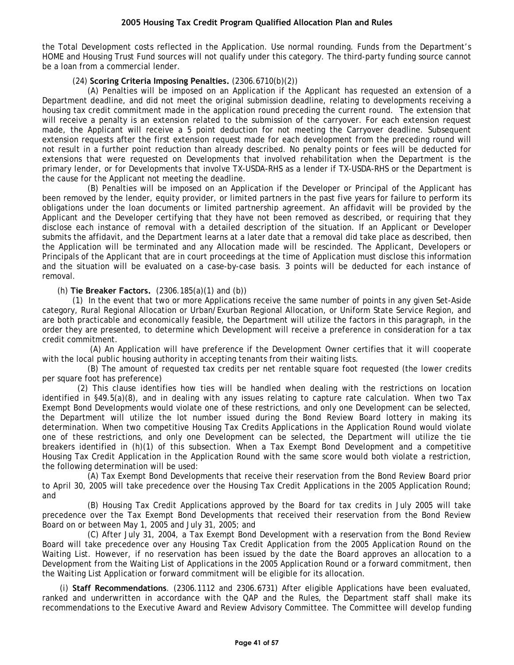the Total Development costs reflected in the Application. Use normal rounding. Funds from the Department's HOME and Housing Trust Fund sources will not qualify under this category. The third-party funding source cannot be a loan from a commercial lender.

#### (24) **Scoring Criteria Imposing Penalties.** (2306.6710(b)(2))

(A) Penalties will be imposed on an Application if the Applicant has requested an extension of a Department deadline, and did not meet the original submission deadline, relating to developments receiving a housing tax credit commitment made in the application round preceding the current round. The extension that will receive a penalty is an extension related to the submission of the carryover. For each extension request made, the Applicant will receive a 5 point deduction for not meeting the Carryover deadline. Subsequent extension requests after the first extension request made for each development from the preceding round will not result in a further point reduction than already described. No penalty points or fees will be deducted for extensions that were requested on Developments that involved rehabilitation when the Department is the primary lender, or for Developments that involve TX-USDA-RHS as a lender if TX-USDA-RHS or the Department is the cause for the Applicant not meeting the deadline.

(B) Penalties will be imposed on an Application if the Developer or Principal of the Applicant has been removed by the lender, equity provider, or limited partners in the past five years for failure to perform its obligations under the loan documents or limited partnership agreement. An affidavit will be provided by the Applicant and the Developer certifying that they have not been removed as described, or requiring that they disclose each instance of removal with a detailed description of the situation. If an Applicant or Developer submits the affidavit, and the Department learns at a later date that a removal did take place as described, then the Application will be terminated and any Allocation made will be rescinded. The Applicant, Developers or Principals of the Applicant that are in court proceedings at the time of Application must disclose this information and the situation will be evaluated on a case-by-case basis. 3 points will be deducted for each instance of removal.

#### (h) **Tie Breaker Factors.** (2306.185(a)(1) and (b))

(1) In the event that two or more Applications receive the same number of points in any given Set-Aside category, Rural Regional Allocation or Urban/Exurban Regional Allocation, or Uniform State Service Region, and are both practicable and economically feasible, the Department will utilize the factors in this paragraph, in the order they are presented, to determine which Development will receive a preference in consideration for a tax credit commitment.

(A) An Application will have preference if the Development Owner certifies that it will cooperate with the local public housing authority in accepting tenants from their waiting lists.

(B) The amount of requested tax credits per net rentable square foot requested (the lower credits per square foot has preference)

(2) This clause identifies how ties will be handled when dealing with the restrictions on location identified in §49.5(a)(8), and in dealing with any issues relating to capture rate calculation. When two Tax Exempt Bond Developments would violate one of these restrictions, and only one Development can be selected, the Department will utilize the lot number issued during the Bond Review Board lottery in making its determination. When two competitive Housing Tax Credits Applications in the Application Round would violate one of these restrictions, and only one Development can be selected, the Department will utilize the tie breakers identified in (h)(1) of this subsection. When a Tax Exempt Bond Development and a competitive Housing Tax Credit Application in the Application Round with the same score would both violate a restriction, the following determination will be used:

(A) Tax Exempt Bond Developments that receive their reservation from the Bond Review Board prior to April 30, 2005 will take precedence over the Housing Tax Credit Applications in the 2005 Application Round; and

(B) Housing Tax Credit Applications approved by the Board for tax credits in July 2005 will take precedence over the Tax Exempt Bond Developments that received their reservation from the Bond Review Board on or between May 1, 2005 and July 31, 2005; and

(C) After July 31, 2004, a Tax Exempt Bond Development with a reservation from the Bond Review Board will take precedence over any Housing Tax Credit Application from the 2005 Application Round on the Waiting List. However, if no reservation has been issued by the date the Board approves an allocation to a Development from the Waiting List of Applications in the 2005 Application Round or a forward commitment, then the Waiting List Application or forward commitment will be eligible for its allocation.

 (i) **Staff Recommendations**. (2306.1112 and 2306.6731) After eligible Applications have been evaluated, ranked and underwritten in accordance with the QAP and the Rules, the Department staff shall make its recommendations to the Executive Award and Review Advisory Committee. The Committee will develop funding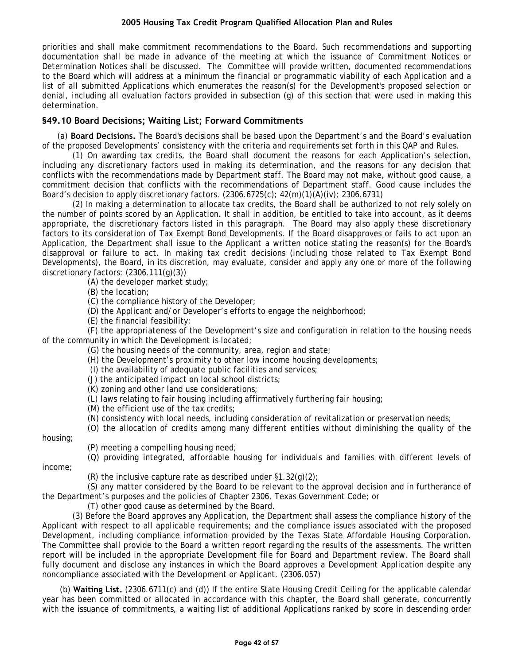<span id="page-41-0"></span>priorities and shall make commitment recommendations to the Board. Such recommendations and supporting documentation shall be made in advance of the meeting at which the issuance of Commitment Notices or Determination Notices shall be discussed. The Committee will provide written, documented recommendations to the Board which will address at a minimum the financial or programmatic viability of each Application and a list of all submitted Applications which enumerates the reason(s) for the Development's proposed selection or denial, including all evaluation factors provided in subsection (g) of this section that were used in making this determination.

# **§49.10 Board Decisions; Waiting List; Forward Commitments**

(a) **Board Decisions.** The Board's decisions shall be based upon the Department's and the Board's evaluation of the proposed Developments' consistency with the criteria and requirements set forth in this QAP and Rules.

(1) On awarding tax credits, the Board shall document the reasons for each Application's selection, including any discretionary factors used in making its determination, and the reasons for any decision that conflicts with the recommendations made by Department staff. The Board may not make, without good cause, a commitment decision that conflicts with the recommendations of Department staff. Good cause includes the Board's decision to apply discretionary factors.  $(2306.6725(c); 42(m)(1)(A)(iv); 2306.6731)$ 

(2) In making a determination to allocate tax credits, the Board shall be authorized to not rely solely on the number of points scored by an Application. It shall in addition, be entitled to take into account, as it deems appropriate, the discretionary factors listed in this paragraph. The Board may also apply these discretionary factors to its consideration of Tax Exempt Bond Developments. If the Board disapproves or fails to act upon an Application, the Department shall issue to the Applicant a written notice stating the reason(s) for the Board's disapproval or failure to act. In making tax credit decisions (including those related to Tax Exempt Bond Developments), the Board, in its discretion, may evaluate, consider and apply any one or more of the following discretionary factors: (2306.111(g)(3))

(A) the developer market study;

(B) the location;

(C) the compliance history of the Developer;

(D) the Applicant and/or Developer's efforts to engage the neighborhood;

(E) the financial feasibility;

(F) the appropriateness of the Development's size and configuration in relation to the housing needs of the community in which the Development is located;

(G) the housing needs of the community, area, region and state;

(H) the Development's proximity to other low income housing developments;

(I) the availability of adequate public facilities and services;

(J) the anticipated impact on local school districts;

(K) zoning and other land use considerations;

(L) laws relating to fair housing including affirmatively furthering fair housing;

(M) the efficient use of the tax credits;

(N) consistency with local needs, including consideration of revitalization or preservation needs;

(O) the allocation of credits among many different entities without diminishing the quality of the

housing;

(P) meeting a compelling housing need;

(Q) providing integrated, affordable housing for individuals and families with different levels of

income;

(R) the inclusive capture rate as described under  $\S1.32(q)(2)$ ;

(S) any matter considered by the Board to be relevant to the approval decision and in furtherance of the Department's purposes and the policies of Chapter 2306, Texas Government Code; or

(T) other good cause as determined by the Board.

(3) Before the Board approves any Application, the Department shall assess the compliance history of the Applicant with respect to all applicable requirements; and the compliance issues associated with the proposed Development, including compliance information provided by the Texas State Affordable Housing Corporation. The Committee shall provide to the Board a written report regarding the results of the assessments. The written report will be included in the appropriate Development file for Board and Department review. The Board shall fully document and disclose any instances in which the Board approves a Development Application despite any noncompliance associated with the Development or Applicant. (2306.057)

 (b) **Waiting List.** (2306.6711(c) and (d)) If the entire State Housing Credit Ceiling for the applicable calendar year has been committed or allocated in accordance with this chapter, the Board shall generate, concurrently with the issuance of commitments, a waiting list of additional Applications ranked by score in descending order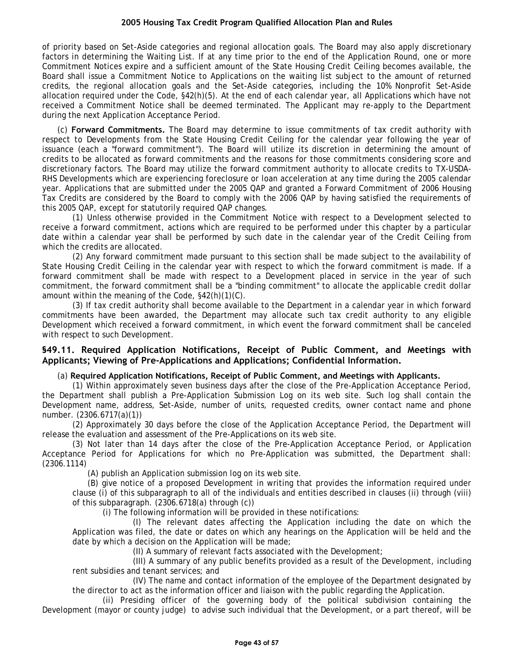<span id="page-42-0"></span>of priority based on Set-Aside categories and regional allocation goals. The Board may also apply discretionary factors in determining the Waiting List. If at any time prior to the end of the Application Round, one or more Commitment Notices expire and a sufficient amount of the State Housing Credit Ceiling becomes available, the Board shall issue a Commitment Notice to Applications on the waiting list subject to the amount of returned credits, the regional allocation goals and the Set-Aside categories, including the 10% Nonprofit Set-Aside allocation required under the Code, §42(h)(5). At the end of each calendar year, all Applications which have not received a Commitment Notice shall be deemed terminated. The Applicant may re-apply to the Department during the next Application Acceptance Period.

(c) **Forward Commitments.** The Board may determine to issue commitments of tax credit authority with respect to Developments from the State Housing Credit Ceiling for the calendar year following the year of issuance (each a "forward commitment"). The Board will utilize its discretion in determining the amount of credits to be allocated as forward commitments and the reasons for those commitments considering score and discretionary factors. The Board may utilize the forward commitment authority to allocate credits to TX-USDA-RHS Developments which are experiencing foreclosure or loan acceleration at any time during the 2005 calendar year. Applications that are submitted under the 2005 QAP and granted a Forward Commitment of 2006 Housing Tax Credits are considered by the Board to comply with the 2006 QAP by having satisfied the requirements of this 2005 QAP, except for statutorily required QAP changes.

(1) Unless otherwise provided in the Commitment Notice with respect to a Development selected to receive a forward commitment, actions which are required to be performed under this chapter by a particular date within a calendar year shall be performed by such date in the calendar year of the Credit Ceiling from which the credits are allocated.

(2) Any forward commitment made pursuant to this section shall be made subject to the availability of State Housing Credit Ceiling in the calendar year with respect to which the forward commitment is made. If a forward commitment shall be made with respect to a Development placed in service in the year of such commitment, the forward commitment shall be a "binding commitment" to allocate the applicable credit dollar amount within the meaning of the Code, §42(h)(1)(C).

(3) If tax credit authority shall become available to the Department in a calendar year in which forward commitments have been awarded, the Department may allocate such tax credit authority to any eligible Development which received a forward commitment, in which event the forward commitment shall be canceled with respect to such Development.

## **§49.11. Required Application Notifications, Receipt of Public Comment, and Meetings with Applicants; Viewing of Pre-Applications and Applications; Confidential Information.**

## (a) **Required Application Notifications, Receipt of Public Comment, and Meetings with Applicants.**

(1) Within approximately seven business days after the close of the Pre-Application Acceptance Period, the Department shall publish a Pre-Application Submission Log on its web site. Such log shall contain the Development name, address, Set-Aside, number of units, requested credits, owner contact name and phone number. (2306.6717(a)(1))

(2) Approximately 30 days before the close of the Application Acceptance Period, the Department will release the evaluation and assessment of the Pre-Applications on its web site.

(3) Not later than 14 days after the close of the Pre-Application Acceptance Period, or Application Acceptance Period for Applications for which no Pre-Application was submitted, the Department shall: (2306.1114)

(A) publish an Application submission log on its web site.

(B) give notice of a proposed Development in writing that provides the information required under clause (i) of this subparagraph to all of the individuals and entities described in clauses (ii) through (viii) of this subparagraph. (2306.6718(a) through (c))

(i) The following information will be provided in these notifications:

(I) The relevant dates affecting the Application including the date on which the Application was filed, the date or dates on which any hearings on the Application will be held and the date by which a decision on the Application will be made;

(II) A summary of relevant facts associated with the Development;

(III) A summary of any public benefits provided as a result of the Development, including rent subsidies and tenant services; and

(IV) The name and contact information of the employee of the Department designated by the director to act as the information officer and liaison with the public regarding the Application.

(ii) Presiding officer of the governing body of the political subdivision containing the Development (mayor or county judge) to advise such individual that the Development, or a part thereof, will be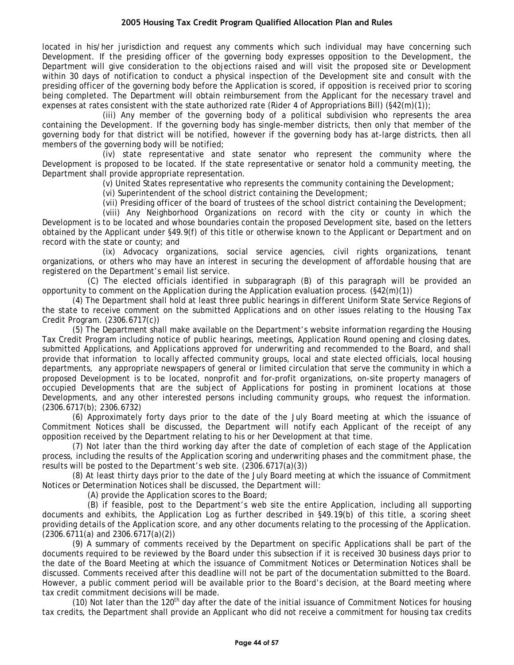located in his/her jurisdiction and request any comments which such individual may have concerning such Development. If the presiding officer of the governing body expresses opposition to the Development, the Department will give consideration to the objections raised and will visit the proposed site or Development within 30 days of notification to conduct a physical inspection of the Development site and consult with the presiding officer of the governing body before the Application is scored, if opposition is received prior to scoring being completed. The Department will obtain reimbursement from the Applicant for the necessary travel and expenses at rates consistent with the state authorized rate (Rider 4 of Appropriations Bill) (§42(m)(1));

(iii) Any member of the governing body of a political subdivision who represents the area containing the Development. If the governing body has single-member districts, then only that member of the governing body for that district will be notified, however if the governing body has at-large districts, then all members of the governing body will be notified;

(iv) state representative and state senator who represent the community where the Development is proposed to be located. If the state representative or senator hold a community meeting, the Department shall provide appropriate representation.

(v) United States representative who represents the community containing the Development;

(vi) Superintendent of the school district containing the Development;

(vii) Presiding officer of the board of trustees of the school district containing the Development;

(viii) Any Neighborhood Organizations on record with the city or county in which the Development is to be located and whose boundaries contain the proposed Development site, based on the letters obtained by the Applicant under §49.9(f) of this title or otherwise known to the Applicant or Department and on record with the state or county; and

(ix) Advocacy organizations, social service agencies, civil rights organizations, tenant organizations, or others who may have an interest in securing the development of affordable housing that are registered on the Department's email list service.

(C) The elected officials identified in subparagraph (B) of this paragraph will be provided an opportunity to comment on the Application during the Application evaluation process. (§42(m)(1))

(4) The Department shall hold at least three public hearings in different Uniform State Service Regions of the state to receive comment on the submitted Applications and on other issues relating to the Housing Tax Credit Program. (2306.6717(c))

(5) The Department shall make available on the Department's website information regarding the Housing Tax Credit Program including notice of public hearings, meetings, Application Round opening and closing dates, submitted Applications, and Applications approved for underwriting and recommended to the Board, and shall provide that information to locally affected community groups, local and state elected officials, local housing departments, any appropriate newspapers of general or limited circulation that serve the community in which a proposed Development is to be located, nonprofit and for-profit organizations, on-site property managers of occupied Developments that are the subject of Applications for posting in prominent locations at those Developments, and any other interested persons including community groups, who request the information. (2306.6717(b); 2306.6732)

(6) Approximately forty days prior to the date of the July Board meeting at which the issuance of Commitment Notices shall be discussed, the Department will notify each Applicant of the receipt of any opposition received by the Department relating to his or her Development at that time.

(7) Not later than the third working day after the date of completion of each stage of the Application process, including the results of the Application scoring and underwriting phases and the commitment phase, the results will be posted to the Department's web site. (2306.6717(a)(3))

(8) At least thirty days prior to the date of the July Board meeting at which the issuance of Commitment Notices or Determination Notices shall be discussed, the Department will:

(A) provide the Application scores to the Board;

(B) if feasible, post to the Department's web site the entire Application, including all supporting documents and exhibits, the Application Log as further described in §49.19(b) of this title, a scoring sheet providing details of the Application score, and any other documents relating to the processing of the Application. (2306.6711(a) and 2306.6717(a)(2))

(9) A summary of comments received by the Department on specific Applications shall be part of the documents required to be reviewed by the Board under this subsection if it is received 30 business days prior to the date of the Board Meeting at which the issuance of Commitment Notices or Determination Notices shall be discussed. Comments received after this deadline will not be part of the documentation submitted to the Board. However, a public comment period will be available prior to the Board's decision, at the Board meeting where tax credit commitment decisions will be made.

(10) Not later than the 120<sup>th</sup> day after the date of the initial issuance of Commitment Notices for housing tax credits, the Department shall provide an Applicant who did not receive a commitment for housing tax credits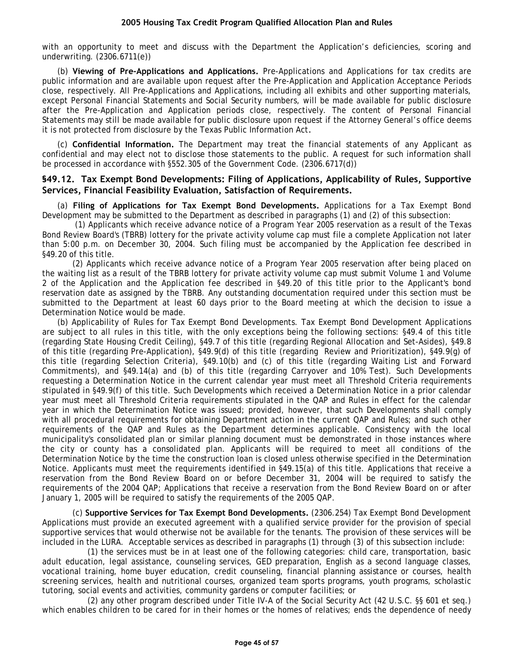<span id="page-44-0"></span>with an opportunity to meet and discuss with the Department the Application's deficiencies, scoring and underwriting. (2306.6711(e))

(b) **Viewing of Pre-Applications and Applications.** Pre-Applications and Applications for tax credits are public information and are available upon request after the Pre-Application and Application Acceptance Periods close, respectively. All Pre-Applications and Applications, including all exhibits and other supporting materials, except Personal Financial Statements and Social Security numbers, will be made available for public disclosure after the Pre-Application and Application periods close, respectively. The content of Personal Financial Statements may still be made available for public disclosure upon request if the Attorney General's office deems it is not protected from disclosure by the Texas Public Information Act*.*

(c) **Confidential Information.** The Department may treat the financial statements of any Applicant as confidential and may elect not to disclose those statements to the public. A request for such information shall be processed in accordance with §552.305 of the Government Code. (2306.6717(d))

## **§49.12. Tax Exempt Bond Developments: Filing of Applications, Applicability of Rules, Supportive Services, Financial Feasibility Evaluation, Satisfaction of Requirements.**

(a) **Filing of Applications for Tax Exempt Bond Developments.** Applications for a Tax Exempt Bond Development may be submitted to the Department as described in paragraphs (1) and (2) of this subsection:

(1) Applicants which receive advance notice of a Program Year 2005 reservation as a result of the Texas Bond Review Board's (TBRB) lottery for the private activity volume cap must file a complete Application not later than 5:00 p.m. on December 30, 2004. Such filing must be accompanied by the Application fee described in §49.20 of this title.

(2) Applicants which receive advance notice of a Program Year 2005 reservation after being placed on the waiting list as a result of the TBRB lottery for private activity volume cap must submit Volume 1 and Volume 2 of the Application and the Application fee described in §49.20 of this title prior to the Applicant's bond reservation date as assigned by the TBRB. Any outstanding documentation required under this section must be submitted to the Department at least 60 days prior to the Board meeting at which the decision to issue a Determination Notice would be made.

(b) Applicability of Rules for Tax Exempt Bond Developments. Tax Exempt Bond Development Applications are subject to all rules in this title, with the only exceptions being the following sections: §49.4 of this title (regarding State Housing Credit Ceiling), §49.7 of this title (regarding Regional Allocation and Set-Asides), §49.8 of this title (regarding Pre-Application), §49.9(d) of this title (regarding Review and Prioritization), §49.9(g) of this title (regarding Selection Criteria), §49.10(b) and (c) of this title (regarding Waiting List and Forward Commitments), and §49.14(a) and (b) of this title (regarding Carryover and 10% Test). Such Developments requesting a Determination Notice in the current calendar year must meet all Threshold Criteria requirements stipulated in §49.9(f) of this title. Such Developments which received a Determination Notice in a prior calendar year must meet all Threshold Criteria requirements stipulated in the QAP and Rules in effect for the calendar year in which the Determination Notice was issued; provided, however, that such Developments shall comply with all procedural requirements for obtaining Department action in the current QAP and Rules; and such other requirements of the QAP and Rules as the Department determines applicable. Consistency with the local municipality's consolidated plan or similar planning document must be demonstrated in those instances where the city or county has a consolidated plan. Applicants will be required to meet all conditions of the Determination Notice by the time the construction loan is closed unless otherwise specified in the Determination Notice. Applicants must meet the requirements identified in §49.15(a) of this title. Applications that receive a reservation from the Bond Review Board on or before December 31, 2004 will be required to satisfy the requirements of the 2004 QAP; Applications that receive a reservation from the Bond Review Board on or after January 1, 2005 will be required to satisfy the requirements of the 2005 QAP.

(c) **Supportive Services for Tax Exempt Bond Developments.** (2306.254) Tax Exempt Bond Development Applications must provide an executed agreement with a qualified service provider for the provision of special supportive services that would otherwise not be available for the tenants. The provision of these services will be included in the LURA. Acceptable services as described in paragraphs (1) through (3) of this subsection include:

(1) the services must be in at least one of the following categories: child care, transportation, basic adult education, legal assistance, counseling services, GED preparation, English as a second language classes, vocational training, home buyer education, credit counseling, financial planning assistance or courses, health screening services, health and nutritional courses, organized team sports programs, youth programs, scholastic tutoring, social events and activities, community gardens or computer facilities; or

(2) any other program described under Title IV-A of the Social Security Act (42 U.S.C. §§ 601 et seq.) which enables children to be cared for in their homes or the homes of relatives; ends the dependence of needy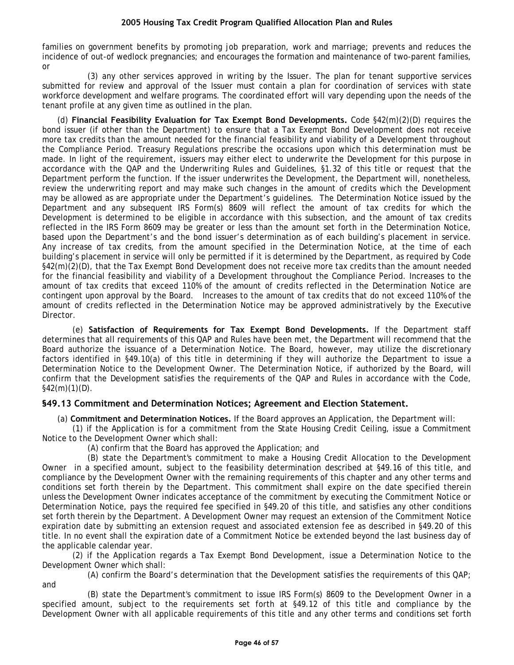<span id="page-45-0"></span>families on government benefits by promoting job preparation, work and marriage; prevents and reduces the incidence of out-of wedlock pregnancies; and encourages the formation and maintenance of two-parent families, or

(3) any other services approved in writing by the Issuer. The plan for tenant supportive services submitted for review and approval of the Issuer must contain a plan for coordination of services with state workforce development and welfare programs. The coordinated effort will vary depending upon the needs of the tenant profile at any given time as outlined in the plan.

(d) **Financial Feasibility Evaluation for Tax Exempt Bond Developments.** Code §42(m)(2)(D) requires the bond issuer (if other than the Department) to ensure that a Tax Exempt Bond Development does not receive more tax credits than the amount needed for the financial feasibility and viability of a Development throughout the Compliance Period. Treasury Regulations prescribe the occasions upon which this determination must be made. In light of the requirement, issuers may either elect to underwrite the Development for this purpose in accordance with the QAP and the Underwriting Rules and Guidelines, §1.32 of this title or request that the Department perform the function. If the issuer underwrites the Development, the Department will, nonetheless, review the underwriting report and may make such changes in the amount of credits which the Development may be allowed as are appropriate under the Department's guidelines. The Determination Notice issued by the Department and any subsequent IRS Form(s) 8609 will reflect the amount of tax credits for which the Development is determined to be eligible in accordance with this subsection, and the amount of tax credits reflected in the IRS Form 8609 may be greater or less than the amount set forth in the Determination Notice, based upon the Department's and the bond issuer's determination as of each building's placement in service. Any increase of tax credits, from the amount specified in the Determination Notice, at the time of each building's placement in service will only be permitted if it is determined by the Department, as required by Code §42(m)(2)(D), that the Tax Exempt Bond Development does not receive more tax credits than the amount needed for the financial feasibility and viability of a Development throughout the Compliance Period. Increases to the amount of tax credits that exceed 110% of the amount of credits reflected in the Determination Notice are contingent upon approval by the Board. Increases to the amount of tax credits that do not exceed 110% of the amount of credits reflected in the Determination Notice may be approved administratively by the Executive Director.

(e) **Satisfaction of Requirements for Tax Exempt Bond Developments.** If the Department staff determines that all requirements of this QAP and Rules have been met, the Department will recommend that the Board authorize the issuance of a Determination Notice. The Board, however, may utilize the discretionary factors identified in §49.10(a) of this title in determining if they will authorize the Department to issue a Determination Notice to the Development Owner. The Determination Notice, if authorized by the Board, will confirm that the Development satisfies the requirements of the QAP and Rules in accordance with the Code,  $§42(m)(1)(D)$ .

# **§49.13 Commitment and Determination Notices; Agreement and Election Statement.**

(a) **Commitment and Determination Notices.** If the Board approves an Application, the Department will:

(1) if the Application is for a commitment from the State Housing Credit Ceiling, issue a Commitment Notice to the Development Owner which shall:

(A) confirm that the Board has approved the Application; and

and

(B) state the Department's commitment to make a Housing Credit Allocation to the Development Owner in a specified amount, subject to the feasibility determination described at §49.16 of this title, and compliance by the Development Owner with the remaining requirements of this chapter and any other terms and conditions set forth therein by the Department. This commitment shall expire on the date specified therein unless the Development Owner indicates acceptance of the commitment by executing the Commitment Notice or Determination Notice, pays the required fee specified in §49.20 of this title, and satisfies any other conditions set forth therein by the Department. A Development Owner may request an extension of the Commitment Notice expiration date by submitting an extension request and associated extension fee as described in §49.20 of this title. In no event shall the expiration date of a Commitment Notice be extended beyond the last business day of the applicable calendar year.

(2) if the Application regards a Tax Exempt Bond Development, issue a Determination Notice to the Development Owner which shall:

(A) confirm the Board's determination that the Development satisfies the requirements of this QAP;

(B) state the Department's commitment to issue IRS Form(s) 8609 to the Development Owner in a specified amount, subject to the requirements set forth at §49.12 of this title and compliance by the Development Owner with all applicable requirements of this title and any other terms and conditions set forth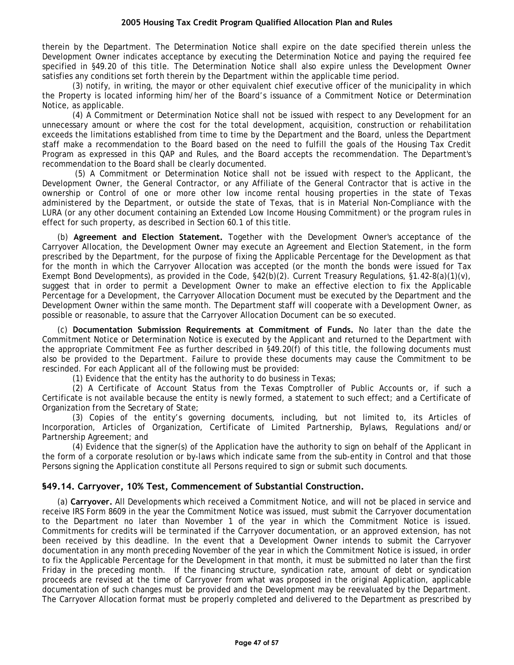<span id="page-46-0"></span>therein by the Department. The Determination Notice shall expire on the date specified therein unless the Development Owner indicates acceptance by executing the Determination Notice and paying the required fee specified in §49.20 of this title. The Determination Notice shall also expire unless the Development Owner satisfies any conditions set forth therein by the Department within the applicable time period.

(3) notify, in writing, the mayor or other equivalent chief executive officer of the municipality in which the Property is located informing him/her of the Board's issuance of a Commitment Notice or Determination Notice, as applicable.

(4) A Commitment or Determination Notice shall not be issued with respect to any Development for an unnecessary amount or where the cost for the total development, acquisition, construction or rehabilitation exceeds the limitations established from time to time by the Department and the Board, unless the Department staff make a recommendation to the Board based on the need to fulfill the goals of the Housing Tax Credit Program as expressed in this QAP and Rules, and the Board accepts the recommendation. The Department's recommendation to the Board shall be clearly documented.

(5) A Commitment or Determination Notice shall not be issued with respect to the Applicant, the Development Owner, the General Contractor, or any Affiliate of the General Contractor that is active in the ownership or Control of one or more other low income rental housing properties in the state of Texas administered by the Department, or outside the state of Texas, that is in Material Non-Compliance with the LURA (or any other document containing an Extended Low Income Housing Commitment) or the program rules in effect for such property, as described in Section 60.1 of this title.

(b) **Agreement and Election Statement.** Together with the Development Owner's acceptance of the Carryover Allocation, the Development Owner may execute an Agreement and Election Statement, in the form prescribed by the Department, for the purpose of fixing the Applicable Percentage for the Development as that for the month in which the Carryover Allocation was accepted (or the month the bonds were issued for Tax Exempt Bond Developments), as provided in the Code, §42(b)(2). Current Treasury Regulations, §1.42-8(a)(1)(v), suggest that in order to permit a Development Owner to make an effective election to fix the Applicable Percentage for a Development, the Carryover Allocation Document must be executed by the Department and the Development Owner within the same month. The Department staff will cooperate with a Development Owner, as possible or reasonable, to assure that the Carryover Allocation Document can be so executed.

(c) **Documentation Submission Requirements at Commitment of Funds.** No later than the date the Commitment Notice or Determination Notice is executed by the Applicant and returned to the Department with the appropriate Commitment Fee as further described in §49.20(f) of this title, the following documents must also be provided to the Department. Failure to provide these documents may cause the Commitment to be rescinded. For each Applicant all of the following must be provided:

(1) Evidence that the entity has the authority to do business in Texas;

(2) A Certificate of Account Status from the Texas Comptroller of Public Accounts or, if such a Certificate is not available because the entity is newly formed, a statement to such effect; and a Certificate of Organization from the Secretary of State;

(3) Copies of the entity's governing documents, including, but not limited to, its Articles of Incorporation, Articles of Organization, Certificate of Limited Partnership, Bylaws, Regulations and/or Partnership Agreement; and

(4) Evidence that the signer(s) of the Application have the authority to sign on behalf of the Applicant in the form of a corporate resolution or by-laws which indicate same from the sub-entity in Control and that those Persons signing the Application constitute all Persons required to sign or submit such documents.

## **§49.14. Carryover, 10% Test, Commencement of Substantial Construction.**

(a) **Carryover.** All Developments which received a Commitment Notice, and will not be placed in service and receive IRS Form 8609 in the year the Commitment Notice was issued, must submit the Carryover documentation to the Department no later than November 1 of the year in which the Commitment Notice is issued. Commitments for credits will be terminated if the Carryover documentation, or an approved extension, has not been received by this deadline. In the event that a Development Owner intends to submit the Carryover documentation in any month preceding November of the year in which the Commitment Notice is issued, in order to fix the Applicable Percentage for the Development in that month, it must be submitted no later than the first Friday in the preceding month. If the financing structure, syndication rate, amount of debt or syndication proceeds are revised at the time of Carryover from what was proposed in the original Application, applicable documentation of such changes must be provided and the Development may be reevaluated by the Department. The Carryover Allocation format must be properly completed and delivered to the Department as prescribed by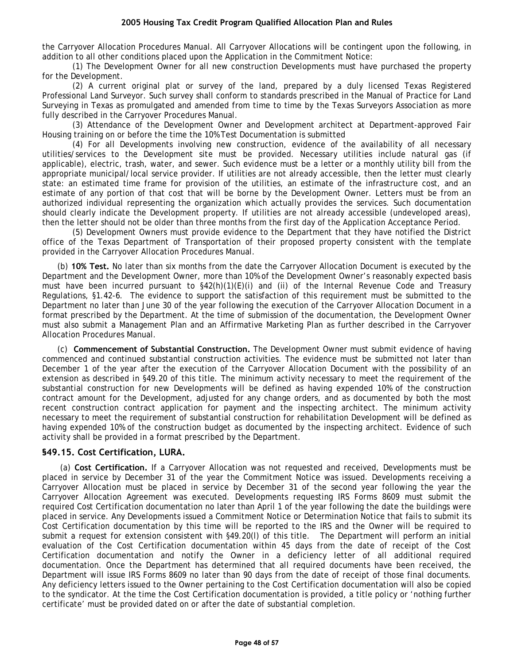<span id="page-47-0"></span>the Carryover Allocation Procedures Manual. All Carryover Allocations will be contingent upon the following, in addition to all other conditions placed upon the Application in the Commitment Notice:

(1) The Development Owner for all new construction Developments must have purchased the property for the Development.

(2) A current original plat or survey of the land, prepared by a duly licensed Texas Registered Professional Land Surveyor. Such survey shall conform to standards prescribed in the Manual of Practice for Land Surveying in Texas as promulgated and amended from time to time by the Texas Surveyors Association as more fully described in the Carryover Procedures Manual.

(3) Attendance of the Development Owner and Development architect at Department-approved Fair Housing training on or before the time the 10% Test Documentation is submitted

(4) For all Developments involving new construction, evidence of the availability of all necessary utilities/services to the Development site must be provided. Necessary utilities include natural gas (if applicable), electric, trash, water, and sewer. Such evidence must be a letter or a monthly utility bill from the appropriate municipal/local service provider. If utilities are not already accessible, then the letter must clearly state: an estimated time frame for provision of the utilities, an estimate of the infrastructure cost, and an estimate of any portion of that cost that will be borne by the Development Owner. Letters must be from an authorized individual representing the organization which actually provides the services. Such documentation should clearly indicate the Development property. If utilities are not already accessible (undeveloped areas), then the letter should not be older than three months from the first day of the Application Acceptance Period.

(5) Development Owners must provide evidence to the Department that they have notified the District office of the Texas Department of Transportation of their proposed property consistent with the template provided in the Carryover Allocation Procedures Manual.

(b) **10% Test.** No later than six months from the date the Carryover Allocation Document is executed by the Department and the Development Owner, more than 10% of the Development Owner's reasonably expected basis must have been incurred pursuant to §42(h)(1)(E)(i) and (ii) of the Internal Revenue Code and Treasury Regulations, §1.42-6. The evidence to support the satisfaction of this requirement must be submitted to the Department no later than June 30 of the year following the execution of the Carryover Allocation Document in a format prescribed by the Department. At the time of submission of the documentation, the Development Owner must also submit a Management Plan and an Affirmative Marketing Plan as further described in the Carryover Allocation Procedures Manual.

(c) **Commencement of Substantial Construction.** The Development Owner must submit evidence of having commenced and continued substantial construction activities. The evidence must be submitted not later than December 1 of the year after the execution of the Carryover Allocation Document with the possibility of an extension as described in §49.20 of this title. The minimum activity necessary to meet the requirement of the substantial construction for new Developments will be defined as having expended 10% of the construction contract amount for the Development, adjusted for any change orders, and as documented by both the most recent construction contract application for payment and the inspecting architect. The minimum activity necessary to meet the requirement of substantial construction for rehabilitation Development will be defined as having expended 10% of the construction budget as documented by the inspecting architect. Evidence of such activity shall be provided in a format prescribed by the Department.

## **§49.15. Cost Certification, LURA.**

(a) **Cost Certification.** If a Carryover Allocation was not requested and received, Developments must be placed in service by December 31 of the year the Commitment Notice was issued. Developments receiving a Carryover Allocation must be placed in service by December 31 of the second year following the year the Carryover Allocation Agreement was executed. Developments requesting IRS Forms 8609 must submit the required Cost Certification documentation no later than April 1 of the year following the date the buildings were placed in service. Any Developments issued a Commitment Notice or Determination Notice that fails to submit its Cost Certification documentation by this time will be reported to the IRS and the Owner will be required to submit a request for extension consistent with §49.20(l) of this title. The Department will perform an initial evaluation of the Cost Certification documentation within 45 days from the date of receipt of the Cost Certification documentation and notify the Owner in a deficiency letter of all additional required documentation. Once the Department has determined that all required documents have been received, the Department will issue IRS Forms 8609 no later than 90 days from the date of receipt of those final documents. Any deficiency letters issued to the Owner pertaining to the Cost Certification documentation will also be copied to the syndicator. At the time the Cost Certification documentation is provided, a title policy or 'nothing further certificate' must be provided dated on or after the date of substantial completion.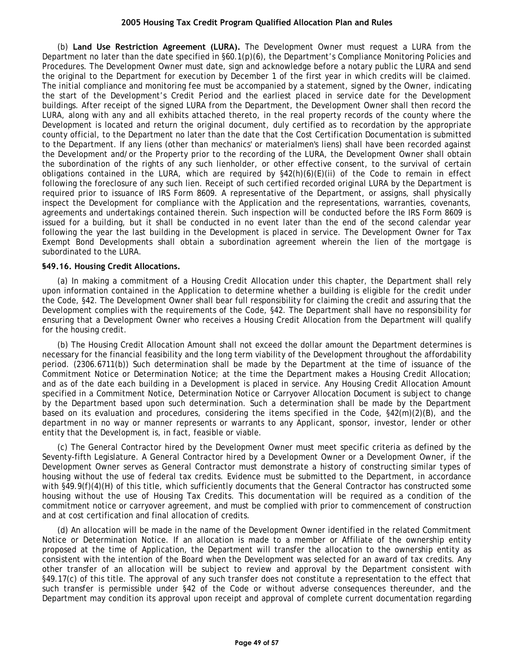<span id="page-48-0"></span>(b) **Land Use Restriction Agreement (LURA).** The Development Owner must request a LURA from the Department no later than the date specified in §60.1(p)(6), the Department's Compliance Monitoring Policies and Procedures. The Development Owner must date, sign and acknowledge before a notary public the LURA and send the original to the Department for execution by December 1 of the first year in which credits will be claimed. The initial compliance and monitoring fee must be accompanied by a statement, signed by the Owner, indicating the start of the Development's Credit Period and the earliest placed in service date for the Development buildings. After receipt of the signed LURA from the Department, the Development Owner shall then record the LURA, along with any and all exhibits attached thereto, in the real property records of the county where the Development is located and return the original document, duly certified as to recordation by the appropriate county official, to the Department no later than the date that the Cost Certification Documentation is submitted to the Department. If any liens (other than mechanics' or materialmen's liens) shall have been recorded against the Development and/or the Property prior to the recording of the LURA, the Development Owner shall obtain the subordination of the rights of any such lienholder, or other effective consent, to the survival of certain obligations contained in the LURA, which are required by  $$42(h)(6)(E)(ii)$  of the Code to remain in effect following the foreclosure of any such lien. Receipt of such certified recorded original LURA by the Department is required prior to issuance of IRS Form 8609. A representative of the Department, or assigns, shall physically inspect the Development for compliance with the Application and the representations, warranties, covenants, agreements and undertakings contained therein. Such inspection will be conducted before the IRS Form 8609 is issued for a building, but it shall be conducted in no event later than the end of the second calendar year following the year the last building in the Development is placed in service. The Development Owner for Tax Exempt Bond Developments shall obtain a subordination agreement wherein the lien of the mortgage is subordinated to the LURA.

#### **§49.16. Housing Credit Allocations.**

(a) In making a commitment of a Housing Credit Allocation under this chapter, the Department shall rely upon information contained in the Application to determine whether a building is eligible for the credit under the Code, §42. The Development Owner shall bear full responsibility for claiming the credit and assuring that the Development complies with the requirements of the Code, §42. The Department shall have no responsibility for ensuring that a Development Owner who receives a Housing Credit Allocation from the Department will qualify for the housing credit.

(b) The Housing Credit Allocation Amount shall not exceed the dollar amount the Department determines is necessary for the financial feasibility and the long term viability of the Development throughout the affordability period. (2306.6711(b)) Such determination shall be made by the Department at the time of issuance of the Commitment Notice or Determination Notice; at the time the Department makes a Housing Credit Allocation; and as of the date each building in a Development is placed in service. Any Housing Credit Allocation Amount specified in a Commitment Notice, Determination Notice or Carryover Allocation Document is subject to change by the Department based upon such determination. Such a determination shall be made by the Department based on its evaluation and procedures, considering the items specified in the Code, §42(m)(2)(B), and the department in no way or manner represents or warrants to any Applicant, sponsor, investor, lender or other entity that the Development is, in fact, feasible or viable.

(c) The General Contractor hired by the Development Owner must meet specific criteria as defined by the Seventy-fifth Legislature. A General Contractor hired by a Development Owner or a Development Owner, if the Development Owner serves as General Contractor must demonstrate a history of constructing similar types of housing without the use of federal tax credits. Evidence must be submitted to the Department, in accordance with §49.9(f)(4)(H) of this title, which sufficiently documents that the General Contractor has constructed some housing without the use of Housing Tax Credits. This documentation will be required as a condition of the commitment notice or carryover agreement, and must be complied with prior to commencement of construction and at cost certification and final allocation of credits.

(d) An allocation will be made in the name of the Development Owner identified in the related Commitment Notice or Determination Notice. If an allocation is made to a member or Affiliate of the ownership entity proposed at the time of Application, the Department will transfer the allocation to the ownership entity as consistent with the intention of the Board when the Development was selected for an award of tax credits. Any other transfer of an allocation will be subject to review and approval by the Department consistent with §49.17(c) of this title. The approval of any such transfer does not constitute a representation to the effect that such transfer is permissible under §42 of the Code or without adverse consequences thereunder, and the Department may condition its approval upon receipt and approval of complete current documentation regarding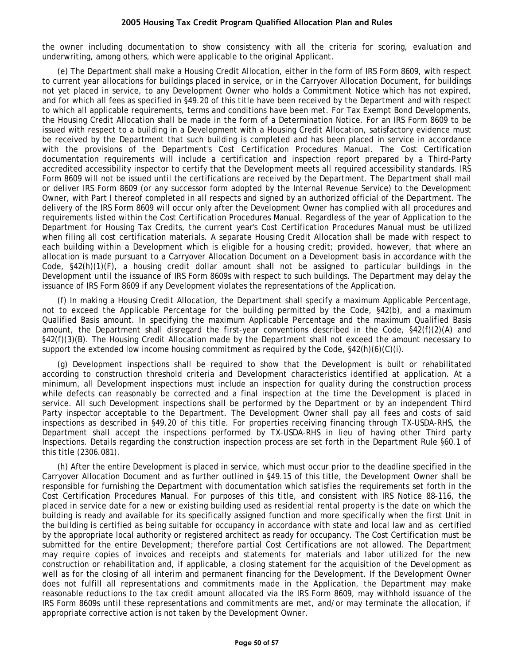the owner including documentation to show consistency with all the criteria for scoring, evaluation and underwriting, among others, which were applicable to the original Applicant.

(e) The Department shall make a Housing Credit Allocation, either in the form of IRS Form 8609, with respect to current year allocations for buildings placed in service, or in the Carryover Allocation Document, for buildings not yet placed in service, to any Development Owner who holds a Commitment Notice which has not expired, and for which all fees as specified in §49.20 of this title have been received by the Department and with respect to which all applicable requirements, terms and conditions have been met. For Tax Exempt Bond Developments, the Housing Credit Allocation shall be made in the form of a Determination Notice. For an IRS Form 8609 to be issued with respect to a building in a Development with a Housing Credit Allocation, satisfactory evidence must be received by the Department that such building is completed and has been placed in service in accordance with the provisions of the Department's Cost Certification Procedures Manual. The Cost Certification documentation requirements will include a certification and inspection report prepared by a Third-Party accredited accessibility inspector to certify that the Development meets all required accessibility standards. IRS Form 8609 will not be issued until the certifications are received by the Department. The Department shall mail or deliver IRS Form 8609 (or any successor form adopted by the Internal Revenue Service) to the Development Owner, with Part I thereof completed in all respects and signed by an authorized official of the Department. The delivery of the IRS Form 8609 will occur only after the Development Owner has complied with all procedures and requirements listed within the Cost Certification Procedures Manual. Regardless of the year of Application to the Department for Housing Tax Credits, the current year's Cost Certification Procedures Manual must be utilized when filing all cost certification materials. A separate Housing Credit Allocation shall be made with respect to each building within a Development which is eligible for a housing credit; provided, however, that where an allocation is made pursuant to a Carryover Allocation Document on a Development basis in accordance with the Code, §42(h)(1)(F), a housing credit dollar amount shall not be assigned to particular buildings in the Development until the issuance of IRS Form 8609s with respect to such buildings. The Department may delay the issuance of IRS Form 8609 if any Development violates the representations of the Application.

(f) In making a Housing Credit Allocation, the Department shall specify a maximum Applicable Percentage, not to exceed the Applicable Percentage for the building permitted by the Code, §42(b), and a maximum Qualified Basis amount. In specifying the maximum Applicable Percentage and the maximum Qualified Basis amount, the Department shall disregard the first-year conventions described in the Code, §42(f)(2)(A) and §42(f)(3)(B). The Housing Credit Allocation made by the Department shall not exceed the amount necessary to support the extended low income housing commitment as required by the Code,  $\S42(h)(6)(C)(i)$ .

(g) Development inspections shall be required to show that the Development is built or rehabilitated according to construction threshold criteria and Development characteristics identified at application. At a minimum, all Development inspections must include an inspection for quality during the construction process while defects can reasonably be corrected and a final inspection at the time the Development is placed in service. All such Development inspections shall be performed by the Department or by an independent Third Party inspector acceptable to the Department. The Development Owner shall pay all fees and costs of said inspections as described in §49.20 of this title. For properties receiving financing through TX-USDA-RHS, the Department shall accept the inspections performed by TX-USDA-RHS in lieu of having other Third party Inspections. Details regarding the construction inspection process are set forth in the Department Rule §60.1 of this title (2306.081).

(h) After the entire Development is placed in service, which must occur prior to the deadline specified in the Carryover Allocation Document and as further outlined in §49.15 of this title, the Development Owner shall be responsible for furnishing the Department with documentation which satisfies the requirements set forth in the Cost Certification Procedures Manual. For purposes of this title, and consistent with IRS Notice 88-116, the placed in service date for a new or existing building used as residential rental property is the date on which the building is ready and available for its specifically assigned function and more specifically when the first Unit in the building is certified as being suitable for occupancy in accordance with state and local law and as certified by the appropriate local authority or registered architect as ready for occupancy. The Cost Certification must be submitted for the entire Development; therefore partial Cost Certifications are not allowed. The Department may require copies of invoices and receipts and statements for materials and labor utilized for the new construction or rehabilitation and, if applicable, a closing statement for the acquisition of the Development as well as for the closing of all interim and permanent financing for the Development. If the Development Owner does not fulfill all representations and commitments made in the Application, the Department may make reasonable reductions to the tax credit amount allocated via the IRS Form 8609, may withhold issuance of the IRS Form 8609s until these representations and commitments are met, and/or may terminate the allocation, if appropriate corrective action is not taken by the Development Owner.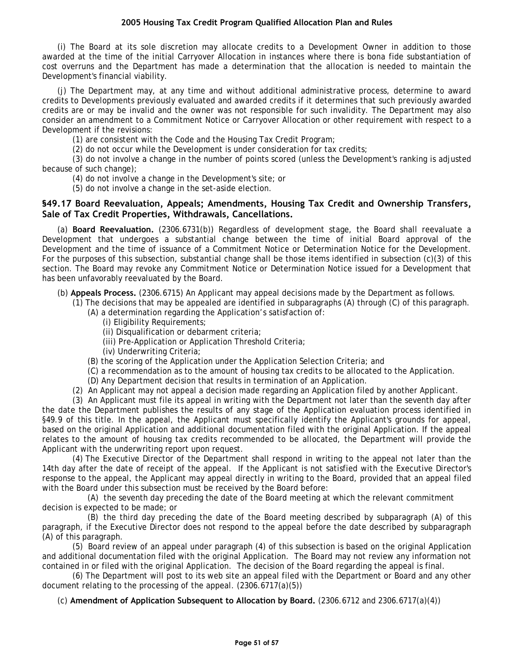<span id="page-50-0"></span>(i) The Board at its sole discretion may allocate credits to a Development Owner in addition to those awarded at the time of the initial Carryover Allocation in instances where there is bona fide substantiation of cost overruns and the Department has made a determination that the allocation is needed to maintain the Development's financial viability.

(j) The Department may, at any time and without additional administrative process, determine to award credits to Developments previously evaluated and awarded credits if it determines that such previously awarded credits are or may be invalid and the owner was not responsible for such invalidity. The Department may also consider an amendment to a Commitment Notice or Carryover Allocation or other requirement with respect to a Development if the revisions:

(1) are consistent with the Code and the Housing Tax Credit Program;

(2) do not occur while the Development is under consideration for tax credits;

(3) do not involve a change in the number of points scored (unless the Development's ranking is adjusted because of such change);

(4) do not involve a change in the Development's site; or

(5) do not involve a change in the set-aside election.

# **§49.17 Board Reevaluation, Appeals; Amendments, Housing Tax Credit and Ownership Transfers, Sale of Tax Credit Properties, Withdrawals, Cancellations.**

(a) **Board Reevaluation.** (2306.6731(b)) Regardless of development stage, the Board shall reevaluate a Development that undergoes a substantial change between the time of initial Board approval of the Development and the time of issuance of a Commitment Notice or Determination Notice for the Development. For the purposes of this subsection, substantial change shall be those items identified in subsection (c)(3) of this section. The Board may revoke any Commitment Notice or Determination Notice issued for a Development that has been unfavorably reevaluated by the Board.

(b) **Appeals Process.** (2306.6715) An Applicant may appeal decisions made by the Department as follows.

(1) The decisions that may be appealed are identified in subparagraphs (A) through (C) of this paragraph.

- (A) a determination regarding the Application's satisfaction of:
	- (i) Eligibility Requirements;
	- (ii) Disqualification or debarment criteria;
	- (iii) Pre-Application or Application Threshold Criteria;
	- (iv) Underwriting Criteria;
- (B) the scoring of the Application under the Application Selection Criteria; and
- (C) a recommendation as to the amount of housing tax credits to be allocated to the Application.
- (D) Any Department decision that results in termination of an Application.
- (2) An Applicant may not appeal a decision made regarding an Application filed by another Applicant.

(3) An Applicant must file its appeal in writing with the Department not later than the seventh day after the date the Department publishes the results of any stage of the Application evaluation process identified in §49.9 of this title. In the appeal, the Applicant must specifically identify the Applicant's grounds for appeal, based on the original Application and additional documentation filed with the original Application. If the appeal relates to the amount of housing tax credits recommended to be allocated, the Department will provide the Applicant with the underwriting report upon request.

(4) The Executive Director of the Department shall respond in writing to the appeal not later than the 14th day after the date of receipt of the appeal. If the Applicant is not satisfied with the Executive Director's response to the appeal, the Applicant may appeal directly in writing to the Board, provided that an appeal filed with the Board under this subsection must be received by the Board before:

(A) the seventh day preceding the date of the Board meeting at which the relevant commitment decision is expected to be made; or

(B) the third day preceding the date of the Board meeting described by subparagraph (A) of this paragraph, if the Executive Director does not respond to the appeal before the date described by subparagraph (A) of this paragraph.

(5) Board review of an appeal under paragraph (4) of this subsection is based on the original Application and additional documentation filed with the original Application. The Board may not review any information not contained in or filed with the original Application. The decision of the Board regarding the appeal is final.

(6) The Department will post to its web site an appeal filed with the Department or Board and any other document relating to the processing of the appeal. (2306.6717(a)(5))

(c) **Amendment of Application Subsequent to Allocation by Board.** (2306.6712 and 2306.6717(a)(4))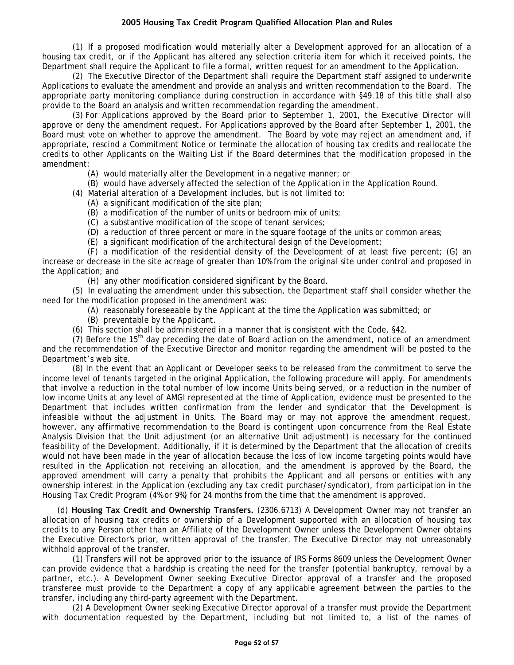(1) If a proposed modification would materially alter a Development approved for an allocation of a housing tax credit, or if the Applicant has altered any selection criteria item for which it received points, the Department shall require the Applicant to file a formal, written request for an amendment to the Application.

(2) The Executive Director of the Department shall require the Department staff assigned to underwrite Applications to evaluate the amendment and provide an analysis and written recommendation to the Board. The appropriate party monitoring compliance during construction in accordance with §49.18 of this title shall also provide to the Board an analysis and written recommendation regarding the amendment.

(3) For Applications approved by the Board prior to September 1, 2001, the Executive Director will approve or deny the amendment request. For Applications approved by the Board after September 1, 2001, the Board must vote on whether to approve the amendment. The Board by vote may reject an amendment and, if appropriate, rescind a Commitment Notice or terminate the allocation of housing tax credits and reallocate the credits to other Applicants on the Waiting List if the Board determines that the modification proposed in the amendment:

(A) would materially alter the Development in a negative manner; or

(B) would have adversely affected the selection of the Application in the Application Round.

(4) Material alteration of a Development includes, but is not limited to:

(A) a significant modification of the site plan;

(B) a modification of the number of units or bedroom mix of units;

(C) a substantive modification of the scope of tenant services;

(D) a reduction of three percent or more in the square footage of the units or common areas;

(E) a significant modification of the architectural design of the Development;

(F) a modification of the residential density of the Development of at least five percent; (G) an increase or decrease in the site acreage of greater than 10% from the original site under control and proposed in the Application; and

(H) any other modification considered significant by the Board.

(5) In evaluating the amendment under this subsection, the Department staff shall consider whether the need for the modification proposed in the amendment was:

(A) reasonably foreseeable by the Applicant at the time the Application was submitted; or

(B) preventable by the Applicant.

(6) This section shall be administered in a manner that is consistent with the Code, §42.

(7) Before the 15<sup>th</sup> day preceding the date of Board action on the amendment, notice of an amendment and the recommendation of the Executive Director and monitor regarding the amendment will be posted to the Department's web site.

(8) In the event that an Applicant or Developer seeks to be released from the commitment to serve the income level of tenants targeted in the original Application, the following procedure will apply. For amendments that involve a reduction in the total number of low income Units being served, or a reduction in the number of low income Units at any level of AMGI represented at the time of Application, evidence must be presented to the Department that includes written confirmation from the lender and syndicator that the Development is infeasible without the adjustment in Units. The Board may or may not approve the amendment request, however, any affirmative recommendation to the Board is contingent upon concurrence from the Real Estate Analysis Division that the Unit adjustment (or an alternative Unit adjustment) is necessary for the continued feasibility of the Development. Additionally, if it is determined by the Department that the allocation of credits would not have been made in the year of allocation because the loss of low income targeting points would have resulted in the Application not receiving an allocation, and the amendment is approved by the Board, the approved amendment will carry a penalty that prohibits the Applicant and all persons or entities with any ownership interest in the Application (excluding any tax credit purchaser/syndicator), from participation in the Housing Tax Credit Program (4% or 9%) for 24 months from the time that the amendment is approved.

(d) **Housing Tax Credit and Ownership Transfers.** (2306.6713) A Development Owner may not transfer an allocation of housing tax credits or ownership of a Development supported with an allocation of housing tax credits to any Person other than an Affiliate of the Development Owner unless the Development Owner obtains the Executive Director's prior, written approval of the transfer. The Executive Director may not unreasonably withhold approval of the transfer.

(1) Transfers will not be approved prior to the issuance of IRS Forms 8609 unless the Development Owner can provide evidence that a hardship is creating the need for the transfer (potential bankruptcy, removal by a partner, etc.). A Development Owner seeking Executive Director approval of a transfer and the proposed transferee must provide to the Department a copy of any applicable agreement between the parties to the transfer, including any third-party agreement with the Department.

(2) A Development Owner seeking Executive Director approval of a transfer must provide the Department with documentation requested by the Department, including but not limited to, a list of the names of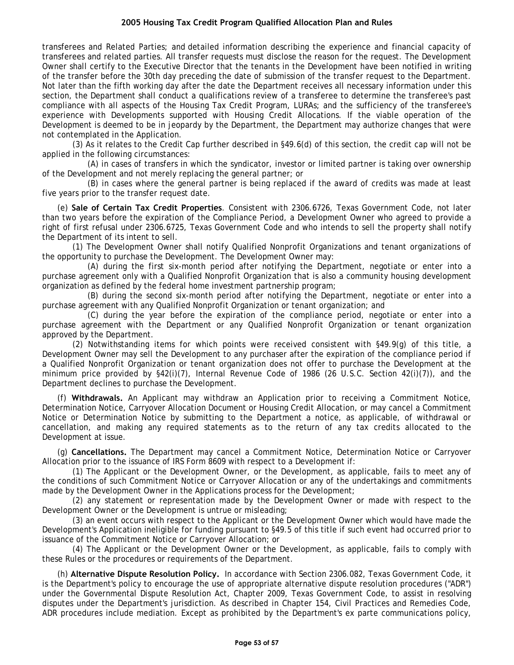transferees and Related Parties; and detailed information describing the experience and financial capacity of transferees and related parties. All transfer requests must disclose the reason for the request. The Development Owner shall certify to the Executive Director that the tenants in the Development have been notified in writing of the transfer before the 30th day preceding the date of submission of the transfer request to the Department. Not later than the fifth working day after the date the Department receives all necessary information under this section, the Department shall conduct a qualifications review of a transferee to determine the transferee's past compliance with all aspects of the Housing Tax Credit Program, LURAs; and the sufficiency of the transferee's experience with Developments supported with Housing Credit Allocations. If the viable operation of the Development is deemed to be in jeopardy by the Department, the Department may authorize changes that were not contemplated in the Application.

(3) As it relates to the Credit Cap further described in §49.6(d) of this section, the credit cap will not be applied in the following circumstances:

(A) in cases of transfers in which the syndicator, investor or limited partner is taking over ownership of the Development and not merely replacing the general partner; or

(B) in cases where the general partner is being replaced if the award of credits was made at least five years prior to the transfer request date.

(e) **Sale of Certain Tax Credit Properties**. Consistent with 2306.6726, Texas Government Code, not later than two years before the expiration of the Compliance Period, a Development Owner who agreed to provide a right of first refusal under 2306.6725, Texas Government Code and who intends to sell the property shall notify the Department of its intent to sell.

(1) The Development Owner shall notify Qualified Nonprofit Organizations and tenant organizations of the opportunity to purchase the Development. The Development Owner may:

(A) during the first six-month period after notifying the Department, negotiate or enter into a purchase agreement only with a Qualified Nonprofit Organization that is also a community housing development organization as defined by the federal home investment partnership program;

(B) during the second six-month period after notifying the Department, negotiate or enter into a purchase agreement with any Qualified Nonprofit Organization or tenant organization; and

(C) during the year before the expiration of the compliance period, negotiate or enter into a purchase agreement with the Department or any Qualified Nonprofit Organization or tenant organization approved by the Department.

(2) Notwithstanding items for which points were received consistent with §49.9(g) of this title, a Development Owner may sell the Development to any purchaser after the expiration of the compliance period if a Qualified Nonprofit Organization or tenant organization does not offer to purchase the Development at the minimum price provided by §42(i)(7), Internal Revenue Code of 1986 (26 U.S.C. Section 42(i)(7)), and the Department declines to purchase the Development.

(f) **Withdrawals.** An Applicant may withdraw an Application prior to receiving a Commitment Notice, Determination Notice, Carryover Allocation Document or Housing Credit Allocation, or may cancel a Commitment Notice or Determination Notice by submitting to the Department a notice, as applicable, of withdrawal or cancellation, and making any required statements as to the return of any tax credits allocated to the Development at issue.

(g) **Cancellations.** The Department may cancel a Commitment Notice, Determination Notice or Carryover Allocation prior to the issuance of IRS Form 8609 with respect to a Development if:

(1) The Applicant or the Development Owner, or the Development, as applicable, fails to meet any of the conditions of such Commitment Notice or Carryover Allocation or any of the undertakings and commitments made by the Development Owner in the Applications process for the Development;

(2) any statement or representation made by the Development Owner or made with respect to the Development Owner or the Development is untrue or misleading;

(3) an event occurs with respect to the Applicant or the Development Owner which would have made the Development's Application ineligible for funding pursuant to §49.5 of this title if such event had occurred prior to issuance of the Commitment Notice or Carryover Allocation; or

(4) The Applicant or the Development Owner or the Development, as applicable, fails to comply with these Rules or the procedures or requirements of the Department.

(h) **Alternative Dispute Resolution Policy.** In accordance with Section 2306.082, Texas Government Code, it is the Department's policy to encourage the use of appropriate alternative dispute resolution procedures ("ADR") under the Governmental Dispute Resolution Act, Chapter 2009, Texas Government Code, to assist in resolving disputes under the Department's jurisdiction. As described in Chapter 154, Civil Practices and Remedies Code, ADR procedures include mediation. Except as prohibited by the Department's ex parte communications policy,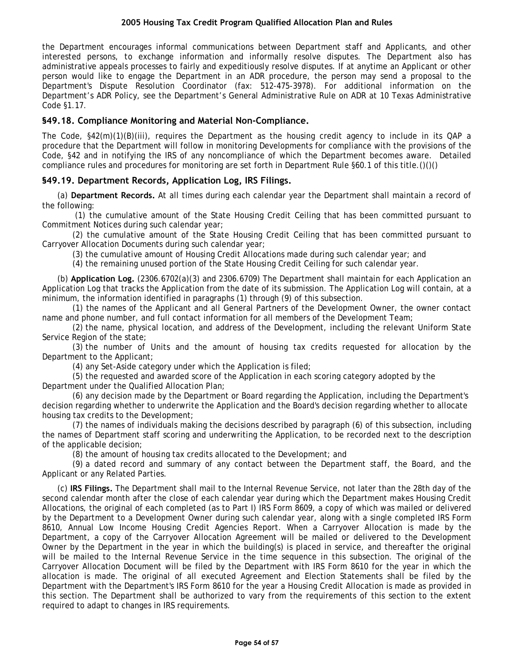<span id="page-53-0"></span>the Department encourages informal communications between Department staff and Applicants, and other interested persons, to exchange information and informally resolve disputes. The Department also has administrative appeals processes to fairly and expeditiously resolve disputes. If at anytime an Applicant or other person would like to engage the Department in an ADR procedure, the person may send a proposal to the Department's Dispute Resolution Coordinator (fax: 512-475-3978). For additional information on the Department's ADR Policy, see the Department's General Administrative Rule on ADR at 10 Texas Administrative Code §1.17.

# **§49.18. Compliance Monitoring and Material Non-Compliance.**

The Code, §42(m)(1)(B)(iii), requires the Department as the housing credit agency to include in its QAP a procedure that the Department will follow in monitoring Developments for compliance with the provisions of the Code, §42 and in notifying the IRS of any noncompliance of which the Department becomes aware. Detailed compliance rules and procedures for monitoring are set forth in Department Rule §60.1 of this title.()()()

# **§49.19. Department Records, Application Log, IRS Filings.**

(a) **Department Records.** At all times during each calendar year the Department shall maintain a record of the following:

(1) the cumulative amount of the State Housing Credit Ceiling that has been committed pursuant to Commitment Notices during such calendar year;

(2) the cumulative amount of the State Housing Credit Ceiling that has been committed pursuant to Carryover Allocation Documents during such calendar year;

(3) the cumulative amount of Housing Credit Allocations made during such calendar year; and

(4) the remaining unused portion of the State Housing Credit Ceiling for such calendar year.

(b) **Application Log.** (2306.6702(a)(3) and 2306.6709) The Department shall maintain for each Application an Application Log that tracks the Application from the date of its submission. The Application Log will contain, at a minimum, the information identified in paragraphs (1) through (9) of this subsection.

(1) the names of the Applicant and all General Partners of the Development Owner, the owner contact name and phone number, and full contact information for all members of the Development Team;

(2) the name, physical location, and address of the Development, including the relevant Uniform State Service Region of the state;

(3) the number of Units and the amount of housing tax credits requested for allocation by the Department to the Applicant;

(4) any Set-Aside category under which the Application is filed;

(5) the requested and awarded score of the Application in each scoring category adopted by the Department under the Qualified Allocation Plan;

(6) any decision made by the Department or Board regarding the Application, including the Department's decision regarding whether to underwrite the Application and the Board's decision regarding whether to allocate housing tax credits to the Development;

(7) the names of individuals making the decisions described by paragraph (6) of this subsection, including the names of Department staff scoring and underwriting the Application, to be recorded next to the description of the applicable decision;

(8) the amount of housing tax credits allocated to the Development; and

(9) a dated record and summary of any contact between the Department staff, the Board, and the Applicant or any Related Parties.

(c) **IRS Filings.** The Department shall mail to the Internal Revenue Service, not later than the 28th day of the second calendar month after the close of each calendar year during which the Department makes Housing Credit Allocations, the original of each completed (as to Part I) IRS Form 8609, a copy of which was mailed or delivered by the Department to a Development Owner during such calendar year, along with a single completed IRS Form 8610, Annual Low Income Housing Credit Agencies Report. When a Carryover Allocation is made by the Department, a copy of the Carryover Allocation Agreement will be mailed or delivered to the Development Owner by the Department in the year in which the building(s) is placed in service, and thereafter the original will be mailed to the Internal Revenue Service in the time sequence in this subsection. The original of the Carryover Allocation Document will be filed by the Department with IRS Form 8610 for the year in which the allocation is made. The original of all executed Agreement and Election Statements shall be filed by the Department with the Department's IRS Form 8610 for the year a Housing Credit Allocation is made as provided in this section. The Department shall be authorized to vary from the requirements of this section to the extent required to adapt to changes in IRS requirements.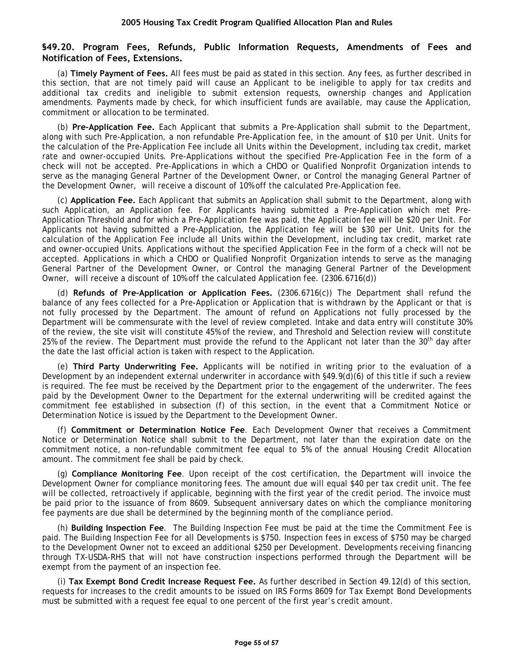## <span id="page-54-0"></span>**§49.20. Program Fees, Refunds, Public Information Requests, Amendments of Fees and Notification of Fees, Extensions.**

(a) **Timely Payment of Fees.** All fees must be paid as stated in this section. Any fees, as further described in this section, that are not timely paid will cause an Applicant to be ineligible to apply for tax credits and additional tax credits and ineligible to submit extension requests, ownership changes and Application amendments. Payments made by check, for which insufficient funds are available, may cause the Application, commitment or allocation to be terminated.

(b) **Pre-Application Fee.** Each Applicant that submits a Pre-Application shall submit to the Department, along with such Pre-Application, a non refundable Pre-Application fee, in the amount of \$10 per Unit. Units for the calculation of the Pre-Application Fee include all Units within the Development, including tax credit, market rate and owner-occupied Units. Pre-Applications without the specified Pre-Application Fee in the form of a check will not be accepted. Pre-Applications in which a CHDO or Qualified Nonprofit Organization intends to serve as the managing General Partner of the Development Owner, or Control the managing General Partner of the Development Owner, will receive a discount of 10% off the calculated Pre-Application fee.

(c) **Application Fee.** Each Applicant that submits an Application shall submit to the Department, along with such Application, an Application fee. For Applicants having submitted a Pre-Application which met Pre-Application Threshold and for which a Pre-Application fee was paid, the Application fee will be \$20 per Unit. For Applicants not having submitted a Pre-Application, the Application fee will be \$30 per Unit. Units for the calculation of the Application Fee include all Units within the Development, including tax credit, market rate and owner-occupied Units. Applications without the specified Application Fee in the form of a check will not be accepted. Applications in which a CHDO or Qualified Nonprofit Organization intends to serve as the managing General Partner of the Development Owner, or Control the managing General Partner of the Development Owner, will receive a discount of 10% off the calculated Application fee. (2306.6716(d))

(d) **Refunds of Pre-Application or Application Fees.** (2306.6716(c)) The Department shall refund the balance of any fees collected for a Pre-Application or Application that is withdrawn by the Applicant or that is not fully processed by the Department. The amount of refund on Applications not fully processed by the Department will be commensurate with the level of review completed. Intake and data entry will constitute 30% of the review, the site visit will constitute 45% of the review, and Threshold and Selection review will constitute 25% of the review. The Department must provide the refund to the Applicant not later than the 30<sup>th</sup> day after the date the last official action is taken with respect to the Application.

(e) **Third Party Underwriting Fee.** Applicants will be notified in writing prior to the evaluation of a Development by an independent external underwriter in accordance with §49.9(d)(6) of this title if such a review is required. The fee must be received by the Department prior to the engagement of the underwriter. The fees paid by the Development Owner to the Department for the external underwriting will be credited against the commitment fee established in subsection (f) of this section, in the event that a Commitment Notice or Determination Notice is issued by the Department to the Development Owner.

(f) **Commitment or Determination Notice Fee**. Each Development Owner that receives a Commitment Notice or Determination Notice shall submit to the Department, not later than the expiration date on the commitment notice, a non-refundable commitment fee equal to 5% of the annual Housing Credit Allocation amount. The commitment fee shall be paid by check.

(g) **Compliance Monitoring Fee**. Upon receipt of the cost certification, the Department will invoice the Development Owner for compliance monitoring fees. The amount due will equal \$40 per tax credit unit. The fee will be collected, retroactively if applicable, beginning with the first year of the credit period. The invoice must be paid prior to the issuance of from 8609. Subsequent anniversary dates on which the compliance monitoring fee payments are due shall be determined by the beginning month of the compliance period.

(h) **Building Inspection Fee**. The Building Inspection Fee must be paid at the time the Commitment Fee is paid. The Building Inspection Fee for all Developments is \$750. Inspection fees in excess of \$750 may be charged to the Development Owner not to exceed an additional \$250 per Development. Developments receiving financing through TX-USDA-RHS that will not have construction inspections performed through the Department will be exempt from the payment of an inspection fee.

(i) **Tax Exempt Bond Credit Increase Request Fee.** As further described in Section 49.12(d) of this section, requests for increases to the credit amounts to be issued on IRS Forms 8609 for Tax Exempt Bond Developments must be submitted with a request fee equal to one percent of the first year's credit amount.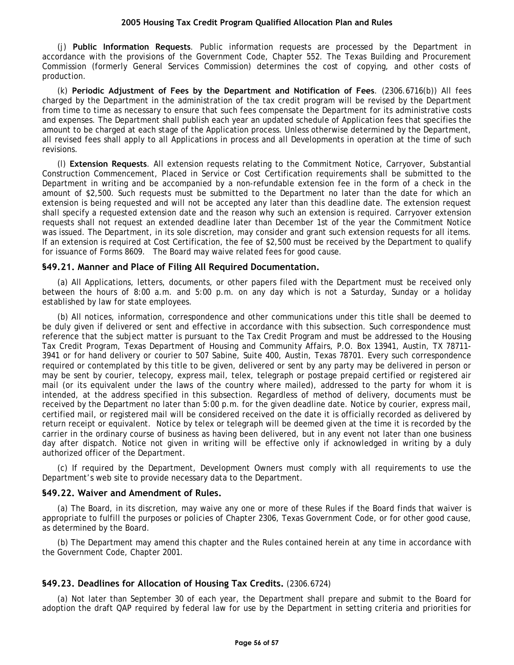<span id="page-55-0"></span>(j) **Public Information Requests**. Public information requests are processed by the Department in accordance with the provisions of the Government Code, Chapter 552. The Texas Building and Procurement Commission (formerly General Services Commission) determines the cost of copying, and other costs of production.

(k) **Periodic Adjustment of Fees by the Department and Notification of Fees**. (2306.6716(b)) All fees charged by the Department in the administration of the tax credit program will be revised by the Department from time to time as necessary to ensure that such fees compensate the Department for its administrative costs and expenses. The Department shall publish each year an updated schedule of Application fees that specifies the amount to be charged at each stage of the Application process. Unless otherwise determined by the Department, all revised fees shall apply to all Applications in process and all Developments in operation at the time of such revisions.

(l) **Extension Requests**. All extension requests relating to the Commitment Notice, Carryover, Substantial Construction Commencement, Placed in Service or Cost Certification requirements shall be submitted to the Department in writing and be accompanied by a non-refundable extension fee in the form of a check in the amount of \$2,500. Such requests must be submitted to the Department no later than the date for which an extension is being requested and will not be accepted any later than this deadline date. The extension request shall specify a requested extension date and the reason why such an extension is required. Carryover extension requests shall not request an extended deadline later than December 1st of the year the Commitment Notice was issued. The Department, in its sole discretion, may consider and grant such extension requests for all items. If an extension is required at Cost Certification, the fee of \$2,500 must be received by the Department to qualify for issuance of Forms 8609. The Board may waive related fees for good cause.

## **§49.21. Manner and Place of Filing All Required Documentation.**

(a) All Applications, letters, documents, or other papers filed with the Department must be received only between the hours of 8:00 a.m. and 5:00 p.m. on any day which is not a Saturday, Sunday or a holiday established by law for state employees.

(b) All notices, information, correspondence and other communications under this title shall be deemed to be duly given if delivered or sent and effective in accordance with this subsection. Such correspondence must reference that the subject matter is pursuant to the Tax Credit Program and must be addressed to the Housing Tax Credit Program, Texas Department of Housing and Community Affairs, P.O. Box 13941, Austin, TX 78711- 3941 or for hand delivery or courier to 507 Sabine, Suite 400, Austin, Texas 78701. Every such correspondence required or contemplated by this title to be given, delivered or sent by any party may be delivered in person or may be sent by courier, telecopy, express mail, telex, telegraph or postage prepaid certified or registered air mail (or its equivalent under the laws of the country where mailed), addressed to the party for whom it is intended, at the address specified in this subsection. Regardless of method of delivery, documents must be received by the Department no later than 5:00 p.m. for the given deadline date. Notice by courier, express mail, certified mail, or registered mail will be considered received on the date it is officially recorded as delivered by return receipt or equivalent. Notice by telex or telegraph will be deemed given at the time it is recorded by the carrier in the ordinary course of business as having been delivered, but in any event not later than one business day after dispatch. Notice not given in writing will be effective only if acknowledged in writing by a duly authorized officer of the Department.

(c) If required by the Department, Development Owners must comply with all requirements to use the Department's web site to provide necessary data to the Department.

#### **§49.22. Waiver and Amendment of Rules.**

(a) The Board, in its discretion, may waive any one or more of these Rules if the Board finds that waiver is appropriate to fulfill the purposes or policies of Chapter 2306, Texas Government Code, or for other good cause, as determined by the Board.

(b) The Department may amend this chapter and the Rules contained herein at any time in accordance with the Government Code, Chapter 2001.

## **§49.23. Deadlines for Allocation of Housing Tax Credits.** (2306.6724)

(a) Not later than September 30 of each year, the Department shall prepare and submit to the Board for adoption the draft QAP required by federal law for use by the Department in setting criteria and priorities for